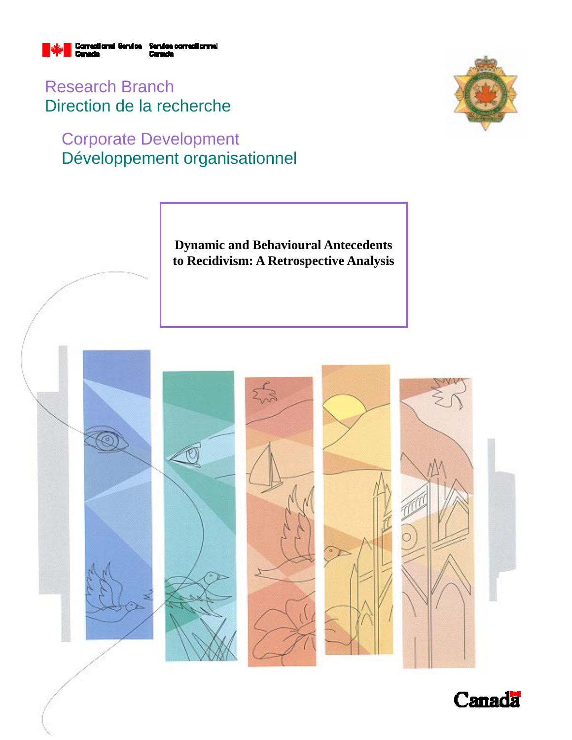

Research Branch Direction de la recherche

# Corporate Development Développement organisationnel



**Dynamic and Behavioural Antecedents to Recidivism: A Retrospective Analysis** 



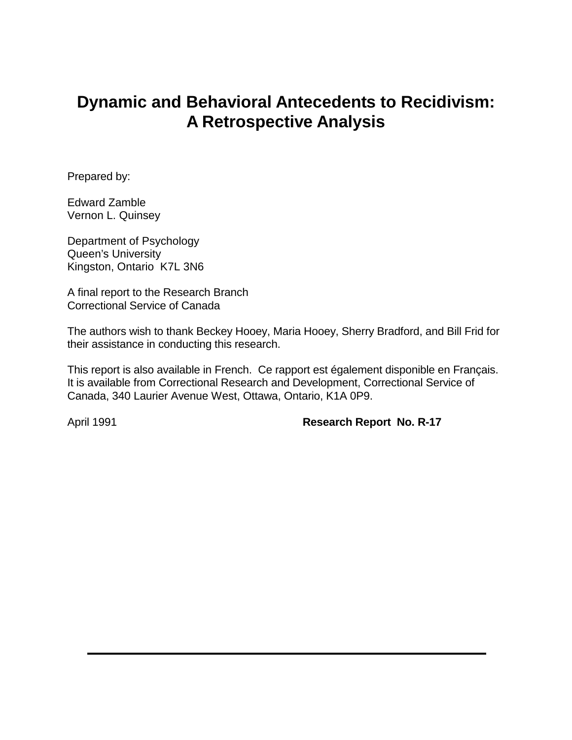# **Dynamic and Behavioral Antecedents to Recidivism: A Retrospective Analysis**

Prepared by:

Edward Zamble Vernon L. Quinsey

Department of Psychology Queen's University Kingston, Ontario K7L 3N6

A final report to the Research Branch Correctional Service of Canada

The authors wish to thank Beckey Hooey, Maria Hooey, Sherry Bradford, and Bill Frid for their assistance in conducting this research.

This report is also available in French. Ce rapport est également disponible en Français. It is available from Correctional Research and Development, Correctional Service of Canada, 340 Laurier Avenue West, Ottawa, Ontario, K1A 0P9.

April 1991 **Research Report No. R-17**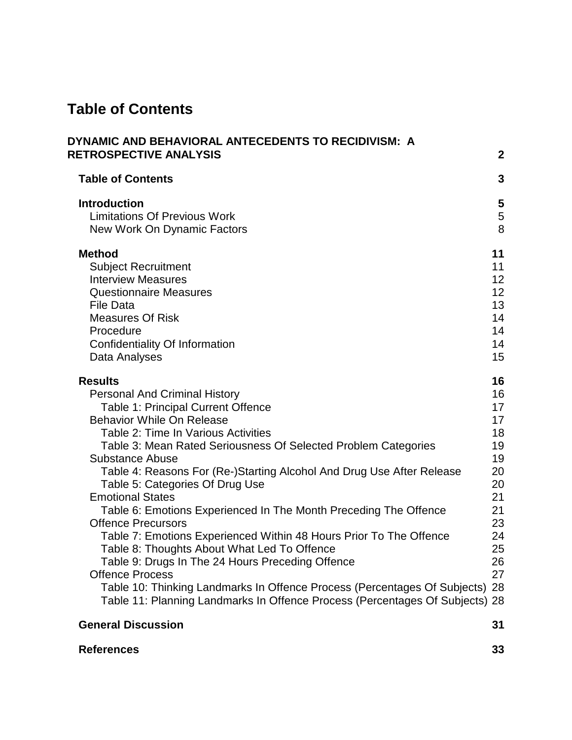# **Table of Contents**

| DYNAMIC AND BEHAVIORAL ANTECEDENTS TO RECIDIVISM: A<br><b>RETROSPECTIVE ANALYSIS</b> | $\boldsymbol{2}$ |
|--------------------------------------------------------------------------------------|------------------|
|                                                                                      |                  |
| <b>Table of Contents</b>                                                             | 3                |
| <b>Introduction</b>                                                                  | 5                |
| <b>Limitations Of Previous Work</b>                                                  | $\frac{5}{8}$    |
| New Work On Dynamic Factors                                                          |                  |
| <b>Method</b>                                                                        | 11               |
| <b>Subject Recruitment</b>                                                           | 11               |
| <b>Interview Measures</b>                                                            | 12               |
| <b>Questionnaire Measures</b>                                                        | 12               |
| <b>File Data</b>                                                                     | 13               |
| <b>Measures Of Risk</b>                                                              | 14               |
| Procedure                                                                            | 14               |
| Confidentiality Of Information                                                       | 14               |
| Data Analyses                                                                        | 15               |
| <b>Results</b>                                                                       | 16               |
| <b>Personal And Criminal History</b>                                                 | 16               |
| Table 1: Principal Current Offence                                                   | 17               |
| <b>Behavior While On Release</b>                                                     | 17               |
| Table 2: Time In Various Activities                                                  | 18               |
| Table 3: Mean Rated Seriousness Of Selected Problem Categories                       | 19               |
| <b>Substance Abuse</b>                                                               | 19               |
| Table 4: Reasons For (Re-)Starting Alcohol And Drug Use After Release                | 20               |
| Table 5: Categories Of Drug Use<br><b>Emotional States</b>                           | 20<br>21         |
| Table 6: Emotions Experienced In The Month Preceding The Offence                     | 21               |
| <b>Offence Precursors</b>                                                            | 23               |
| Table 7: Emotions Experienced Within 48 Hours Prior To The Offence                   | 24               |
| Table 8: Thoughts About What Led To Offence                                          | 25               |
| Table 9: Drugs In The 24 Hours Preceding Offence                                     | 26               |
| <b>Offence Process</b>                                                               | 27               |
| Table 10: Thinking Landmarks In Offence Process (Percentages Of Subjects)            | 28               |
| Table 11: Planning Landmarks In Offence Process (Percentages Of Subjects) 28         |                  |
| <b>General Discussion</b>                                                            | 31               |

| <b>References</b> | υu |
|-------------------|----|
|                   |    |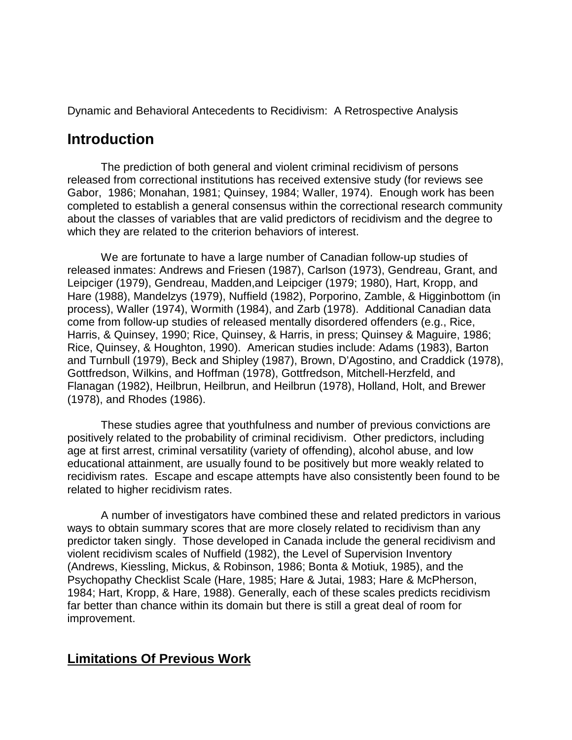Dynamic and Behavioral Antecedents to Recidivism: A Retrospective Analysis

# **Introduction**

The prediction of both general and violent criminal recidivism of persons released from correctional institutions has received extensive study (for reviews see Gabor, 1986; Monahan, 1981; Quinsey, 1984; Waller, 1974). Enough work has been completed to establish a general consensus within the correctional research community about the classes of variables that are valid predictors of recidivism and the degree to which they are related to the criterion behaviors of interest.

We are fortunate to have a large number of Canadian follow-up studies of released inmates: Andrews and Friesen (1987), Carlson (1973), Gendreau, Grant, and Leipciger (1979), Gendreau, Madden,and Leipciger (1979; 1980), Hart, Kropp, and Hare (1988), Mandelzys (1979), Nuffield (1982), Porporino, Zamble, & Higginbottom (in process), Waller (1974), Wormith (1984), and Zarb (1978). Additional Canadian data come from follow-up studies of released mentally disordered offenders (e.g., Rice, Harris, & Quinsey, 1990; Rice, Quinsey, & Harris, in press; Quinsey & Maguire, 1986; Rice, Quinsey, & Houghton, 1990). American studies include: Adams (1983), Barton and Turnbull (1979), Beck and Shipley (1987), Brown, D'Agostino, and Craddick (1978), Gottfredson, Wilkins, and Hoffman (1978), Gottfredson, Mitchell-Herzfeld, and Flanagan (1982), Heilbrun, Heilbrun, and Heilbrun (1978), Holland, Holt, and Brewer (1978), and Rhodes (1986).

These studies agree that youthfulness and number of previous convictions are positively related to the probability of criminal recidivism. Other predictors, including age at first arrest, criminal versatility (variety of offending), alcohol abuse, and low educational attainment, are usually found to be positively but more weakly related to recidivism rates. Escape and escape attempts have also consistently been found to be related to higher recidivism rates.

A number of investigators have combined these and related predictors in various ways to obtain summary scores that are more closely related to recidivism than any predictor taken singly. Those developed in Canada include the general recidivism and violent recidivism scales of Nuffield (1982), the Level of Supervision Inventory (Andrews, Kiessling, Mickus, & Robinson, 1986; Bonta & Motiuk, 1985), and the Psychopathy Checklist Scale (Hare, 1985; Hare & Jutai, 1983; Hare & McPherson, 1984; Hart, Kropp, & Hare, 1988). Generally, each of these scales predicts recidivism far better than chance within its domain but there is still a great deal of room for improvement.

## **Limitations Of Previous Work**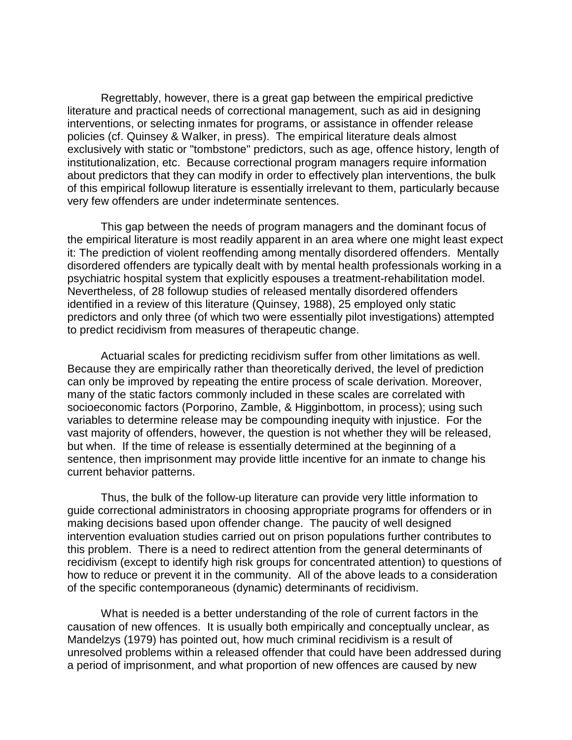Regrettably, however, there is a great gap between the empirical predictive literature and practical needs of correctional management, such as aid in designing interventions, or selecting inmates for programs, or assistance in offender release policies (cf. Quinsey & Walker, in press). The empirical literature deals almost exclusively with static or "tombstone" predictors, such as age, offence history, length of institutionalization, etc. Because correctional program managers require information about predictors that they can modify in order to effectively plan interventions, the bulk of this empirical followup literature is essentially irrelevant to them, particularly because very few offenders are under indeterminate sentences.

This gap between the needs of program managers and the dominant focus of the empirical literature is most readily apparent in an area where one might least expect it: The prediction of violent reoffending among mentally disordered offenders. Mentally disordered offenders are typically dealt with by mental health professionals working in a psychiatric hospital system that explicitly espouses a treatment-rehabilitation model. Nevertheless, of 28 followup studies of released mentally disordered offenders identified in a review of this literature (Quinsey, 1988), 25 employed only static predictors and only three (of which two were essentially pilot investigations) attempted to predict recidivism from measures of therapeutic change.

Actuarial scales for predicting recidivism suffer from other limitations as well. Because they are empirically rather than theoretically derived, the level of prediction can only be improved by repeating the entire process of scale derivation. Moreover, many of the static factors commonly included in these scales are correlated with socioeconomic factors (Porporino, Zamble, & Higginbottom, in process); using such variables to determine release may be compounding inequity with injustice. For the vast majority of offenders, however, the question is not whether they will be released, but when. If the time of release is essentially determined at the beginning of a sentence, then imprisonment may provide little incentive for an inmate to change his current behavior patterns.

Thus, the bulk of the follow-up literature can provide very little information to guide correctional administrators in choosing appropriate programs for offenders or in making decisions based upon offender change. The paucity of well designed intervention evaluation studies carried out on prison populations further contributes to this problem. There is a need to redirect attention from the general determinants of recidivism (except to identify high risk groups for concentrated attention) to questions of how to reduce or prevent it in the community. All of the above leads to a consideration of the specific contemporaneous (dynamic) determinants of recidivism.

What is needed is a better understanding of the role of current factors in the causation of new offences. It is usually both empirically and conceptually unclear, as Mandelzys (1979) has pointed out, how much criminal recidivism is a result of unresolved problems within a released offender that could have been addressed during a period of imprisonment, and what proportion of new offences are caused by new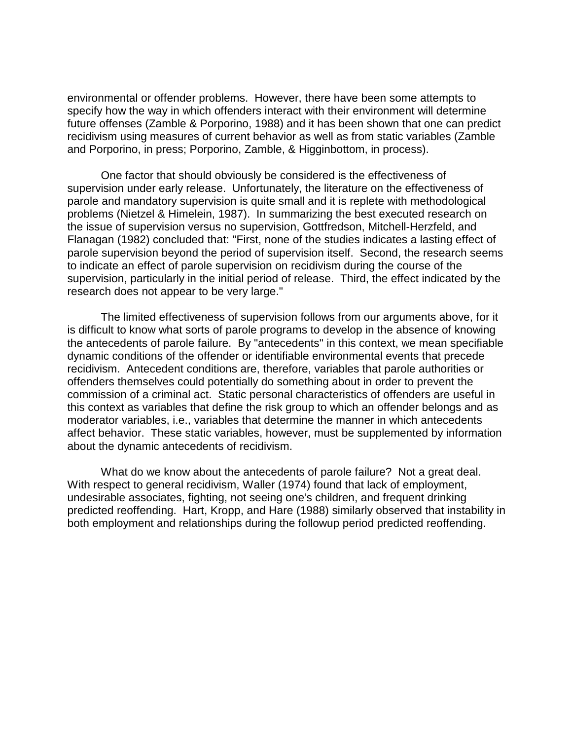environmental or offender problems. However, there have been some attempts to specify how the way in which offenders interact with their environment will determine future offenses (Zamble & Porporino, 1988) and it has been shown that one can predict recidivism using measures of current behavior as well as from static variables (Zamble and Porporino, in press; Porporino, Zamble, & Higginbottom, in process).

One factor that should obviously be considered is the effectiveness of supervision under early release. Unfortunately, the literature on the effectiveness of parole and mandatory supervision is quite small and it is replete with methodological problems (Nietzel & Himelein, 1987). In summarizing the best executed research on the issue of supervision versus no supervision, Gottfredson, Mitchell-Herzfeld, and Flanagan (1982) concluded that: "First, none of the studies indicates a lasting effect of parole supervision beyond the period of supervision itself. Second, the research seems to indicate an effect of parole supervision on recidivism during the course of the supervision, particularly in the initial period of release. Third, the effect indicated by the research does not appear to be very large."

The limited effectiveness of supervision follows from our arguments above, for it is difficult to know what sorts of parole programs to develop in the absence of knowing the antecedents of parole failure. By "antecedents" in this context, we mean specifiable dynamic conditions of the offender or identifiable environmental events that precede recidivism. Antecedent conditions are, therefore, variables that parole authorities or offenders themselves could potentially do something about in order to prevent the commission of a criminal act. Static personal characteristics of offenders are useful in this context as variables that define the risk group to which an offender belongs and as moderator variables, i.e., variables that determine the manner in which antecedents affect behavior. These static variables, however, must be supplemented by information about the dynamic antecedents of recidivism.

What do we know about the antecedents of parole failure? Not a great deal. With respect to general recidivism, Waller (1974) found that lack of employment, undesirable associates, fighting, not seeing one's children, and frequent drinking predicted reoffending. Hart, Kropp, and Hare (1988) similarly observed that instability in both employment and relationships during the followup period predicted reoffending.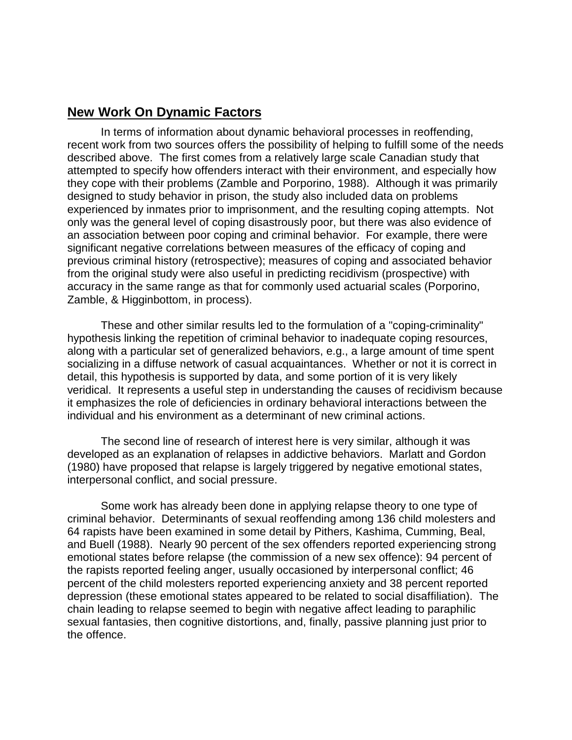## **New Work On Dynamic Factors**

In terms of information about dynamic behavioral processes in reoffending, recent work from two sources offers the possibility of helping to fulfill some of the needs described above. The first comes from a relatively large scale Canadian study that attempted to specify how offenders interact with their environment, and especially how they cope with their problems (Zamble and Porporino, 1988). Although it was primarily designed to study behavior in prison, the study also included data on problems experienced by inmates prior to imprisonment, and the resulting coping attempts. Not only was the general level of coping disastrously poor, but there was also evidence of an association between poor coping and criminal behavior. For example, there were significant negative correlations between measures of the efficacy of coping and previous criminal history (retrospective); measures of coping and associated behavior from the original study were also useful in predicting recidivism (prospective) with accuracy in the same range as that for commonly used actuarial scales (Porporino, Zamble, & Higginbottom, in process).

These and other similar results led to the formulation of a "coping-criminality" hypothesis linking the repetition of criminal behavior to inadequate coping resources, along with a particular set of generalized behaviors, e.g., a large amount of time spent socializing in a diffuse network of casual acquaintances. Whether or not it is correct in detail, this hypothesis is supported by data, and some portion of it is very likely veridical. It represents a useful step in understanding the causes of recidivism because it emphasizes the role of deficiencies in ordinary behavioral interactions between the individual and his environment as a determinant of new criminal actions.

The second line of research of interest here is very similar, although it was developed as an explanation of relapses in addictive behaviors. Marlatt and Gordon (1980) have proposed that relapse is largely triggered by negative emotional states, interpersonal conflict, and social pressure.

Some work has already been done in applying relapse theory to one type of criminal behavior. Determinants of sexual reoffending among 136 child molesters and 64 rapists have been examined in some detail by Pithers, Kashima, Cumming, Beal, and Buell (1988). Nearly 90 percent of the sex offenders reported experiencing strong emotional states before relapse (the commission of a new sex offence): 94 percent of the rapists reported feeling anger, usually occasioned by interpersonal conflict; 46 percent of the child molesters reported experiencing anxiety and 38 percent reported depression (these emotional states appeared to be related to social disaffiliation). The chain leading to relapse seemed to begin with negative affect leading to paraphilic sexual fantasies, then cognitive distortions, and, finally, passive planning just prior to the offence.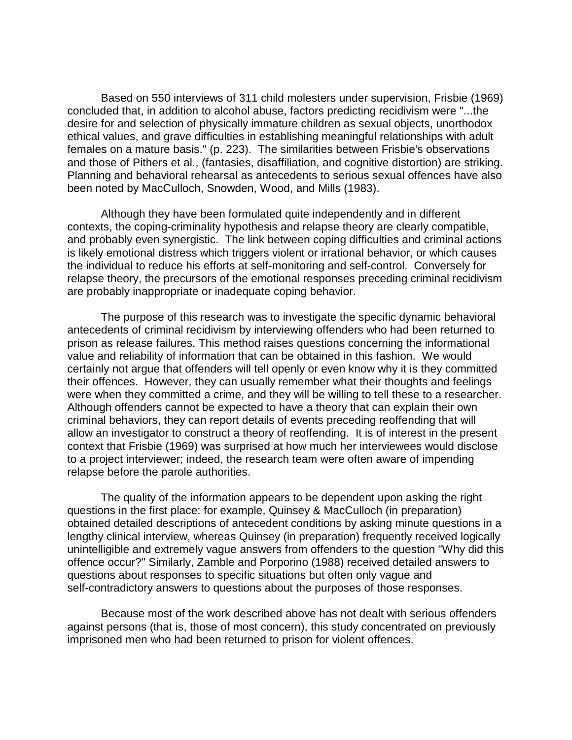Based on 550 interviews of 311 child molesters under supervision, Frisbie (1969) concluded that, in addition to alcohol abuse, factors predicting recidivism were "...the desire for and selection of physically immature children as sexual objects, unorthodox ethical values, and grave difficulties in establishing meaningful relationships with adult females on a mature basis." (p. 223). The similarities between Frisbie's observations and those of Pithers et al., (fantasies, disaffiliation, and cognitive distortion) are striking. Planning and behavioral rehearsal as antecedents to serious sexual offences have also been noted by MacCulloch, Snowden, Wood, and Mills (1983).

Although they have been formulated quite independently and in different contexts, the coping-criminality hypothesis and relapse theory are clearly compatible, and probably even synergistic. The link between coping difficulties and criminal actions is likely emotional distress which triggers violent or irrational behavior, or which causes the individual to reduce his efforts at self-monitoring and self-control. Conversely for relapse theory, the precursors of the emotional responses preceding criminal recidivism are probably inappropriate or inadequate coping behavior.

The purpose of this research was to investigate the specific dynamic behavioral antecedents of criminal recidivism by interviewing offenders who had been returned to prison as release failures. This method raises questions concerning the informational value and reliability of information that can be obtained in this fashion. We would certainly not argue that offenders will tell openly or even know why it is they committed their offences. However, they can usually remember what their thoughts and feelings were when they committed a crime, and they will be willing to tell these to a researcher. Although offenders cannot be expected to have a theory that can explain their own criminal behaviors, they can report details of events preceding reoffending that will allow an investigator to construct a theory of reoffending. It is of interest in the present context that Frisbie (1969) was surprised at how much her interviewees would disclose to a project interviewer; indeed, the research team were often aware of impending relapse before the parole authorities.

The quality of the information appears to be dependent upon asking the right questions in the first place: for example, Quinsey & MacCulloch (in preparation) obtained detailed descriptions of antecedent conditions by asking minute questions in a lengthy clinical interview, whereas Quinsey (in preparation) frequently received logically unintelligible and extremely vague answers from offenders to the question "Why did this offence occur?" Similarly, Zamble and Porporino (1988) received detailed answers to questions about responses to specific situations but often only vague and self-contradictory answers to questions about the purposes of those responses.

Because most of the work described above has not dealt with serious offenders against persons (that is, those of most concern), this study concentrated on previously imprisoned men who had been returned to prison for violent offences.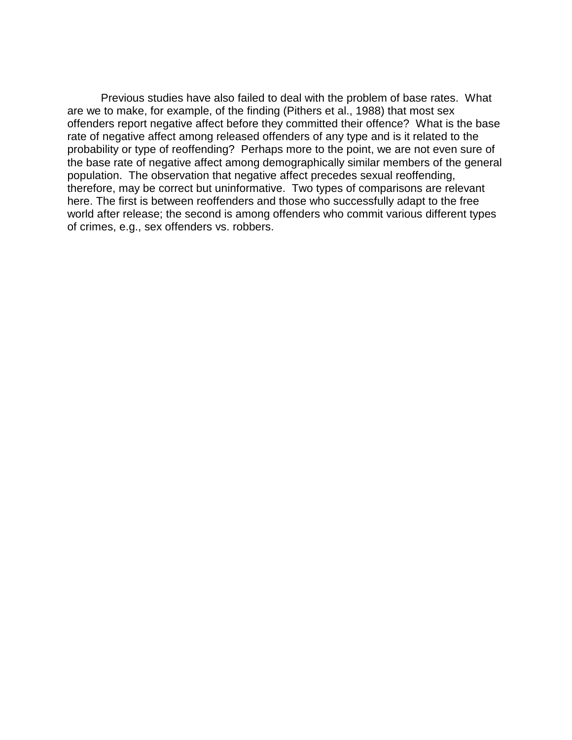Previous studies have also failed to deal with the problem of base rates. What are we to make, for example, of the finding (Pithers et al., 1988) that most sex offenders report negative affect before they committed their offence? What is the base rate of negative affect among released offenders of any type and is it related to the probability or type of reoffending? Perhaps more to the point, we are not even sure of the base rate of negative affect among demographically similar members of the general population. The observation that negative affect precedes sexual reoffending, therefore, may be correct but uninformative. Two types of comparisons are relevant here. The first is between reoffenders and those who successfully adapt to the free world after release; the second is among offenders who commit various different types of crimes, e.g., sex offenders vs. robbers.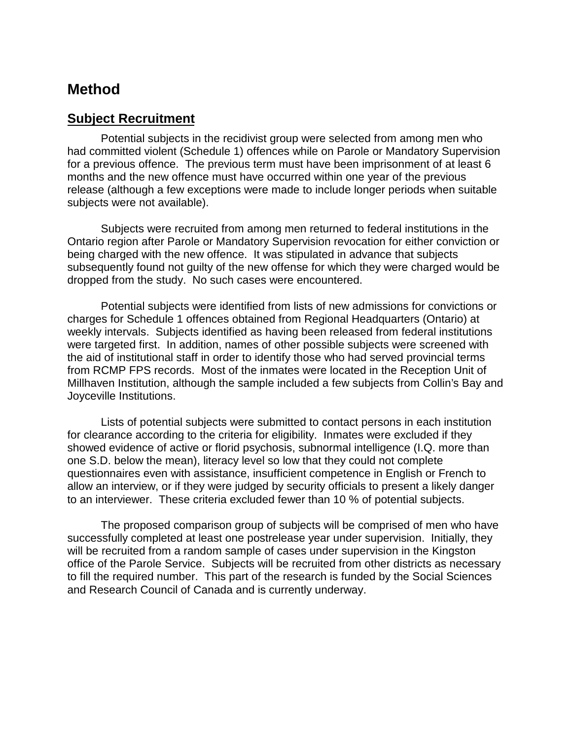# **Method**

### **Subject Recruitment**

Potential subjects in the recidivist group were selected from among men who had committed violent (Schedule 1) offences while on Parole or Mandatory Supervision for a previous offence. The previous term must have been imprisonment of at least 6 months and the new offence must have occurred within one year of the previous release (although a few exceptions were made to include longer periods when suitable subjects were not available).

Subjects were recruited from among men returned to federal institutions in the Ontario region after Parole or Mandatory Supervision revocation for either conviction or being charged with the new offence. It was stipulated in advance that subjects subsequently found not guilty of the new offense for which they were charged would be dropped from the study. No such cases were encountered.

Potential subjects were identified from lists of new admissions for convictions or charges for Schedule 1 offences obtained from Regional Headquarters (Ontario) at weekly intervals. Subjects identified as having been released from federal institutions were targeted first. In addition, names of other possible subjects were screened with the aid of institutional staff in order to identify those who had served provincial terms from RCMP FPS records. Most of the inmates were located in the Reception Unit of Millhaven Institution, although the sample included a few subjects from Collin's Bay and Joyceville Institutions.

Lists of potential subjects were submitted to contact persons in each institution for clearance according to the criteria for eligibility. Inmates were excluded if they showed evidence of active or florid psychosis, subnormal intelligence (I.Q. more than one S.D. below the mean), literacy level so low that they could not complete questionnaires even with assistance, insufficient competence in English or French to allow an interview, or if they were judged by security officials to present a likely danger to an interviewer. These criteria excluded fewer than 10 % of potential subjects.

The proposed comparison group of subjects will be comprised of men who have successfully completed at least one postrelease year under supervision. Initially, they will be recruited from a random sample of cases under supervision in the Kingston office of the Parole Service. Subjects will be recruited from other districts as necessary to fill the required number. This part of the research is funded by the Social Sciences and Research Council of Canada and is currently underway.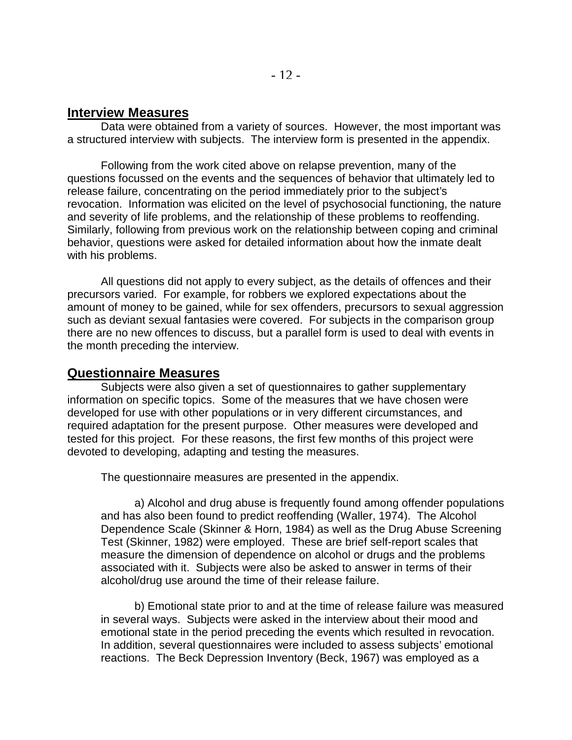#### **Interview Measures**

Data were obtained from a variety of sources. However, the most important was a structured interview with subjects. The interview form is presented in the appendix.

Following from the work cited above on relapse prevention, many of the questions focussed on the events and the sequences of behavior that ultimately led to release failure, concentrating on the period immediately prior to the subject's revocation. Information was elicited on the level of psychosocial functioning, the nature and severity of life problems, and the relationship of these problems to reoffending. Similarly, following from previous work on the relationship between coping and criminal behavior, questions were asked for detailed information about how the inmate dealt with his problems.

All questions did not apply to every subject, as the details of offences and their precursors varied. For example, for robbers we explored expectations about the amount of money to be gained, while for sex offenders, precursors to sexual aggression such as deviant sexual fantasies were covered. For subjects in the comparison group there are no new offences to discuss, but a parallel form is used to deal with events in the month preceding the interview.

#### **Questionnaire Measures**

Subjects were also given a set of questionnaires to gather supplementary information on specific topics. Some of the measures that we have chosen were developed for use with other populations or in very different circumstances, and required adaptation for the present purpose. Other measures were developed and tested for this project. For these reasons, the first few months of this project were devoted to developing, adapting and testing the measures.

The questionnaire measures are presented in the appendix.

a) Alcohol and drug abuse is frequently found among offender populations and has also been found to predict reoffending (Waller, 1974). The Alcohol Dependence Scale (Skinner & Horn, 1984) as well as the Drug Abuse Screening Test (Skinner, 1982) were employed. These are brief self-report scales that measure the dimension of dependence on alcohol or drugs and the problems associated with it. Subjects were also be asked to answer in terms of their alcohol/drug use around the time of their release failure.

b) Emotional state prior to and at the time of release failure was measured in several ways. Subjects were asked in the interview about their mood and emotional state in the period preceding the events which resulted in revocation. In addition, several questionnaires were included to assess subjects' emotional reactions. The Beck Depression Inventory (Beck, 1967) was employed as a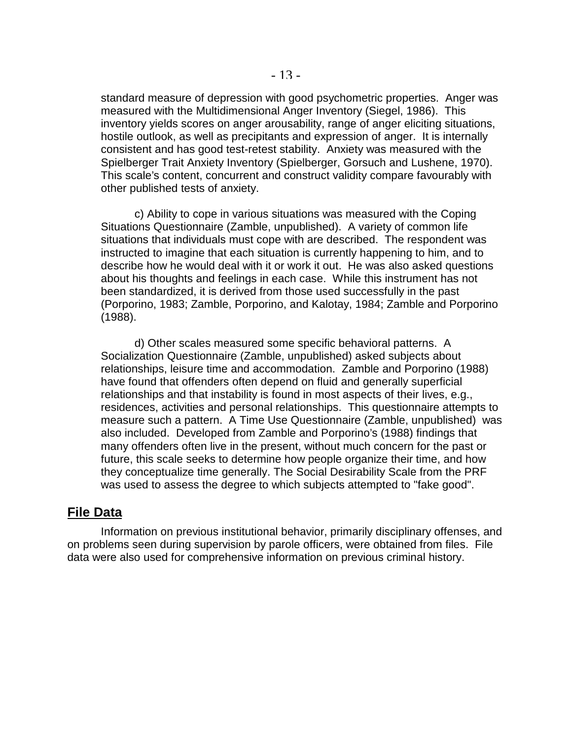standard measure of depression with good psychometric properties. Anger was measured with the Multidimensional Anger Inventory (Siegel, 1986). This inventory yields scores on anger arousability, range of anger eliciting situations, hostile outlook, as well as precipitants and expression of anger. It is internally consistent and has good test-retest stability. Anxiety was measured with the Spielberger Trait Anxiety Inventory (Spielberger, Gorsuch and Lushene, 1970). This scale's content, concurrent and construct validity compare favourably with other published tests of anxiety.

c) Ability to cope in various situations was measured with the Coping Situations Questionnaire (Zamble, unpublished). A variety of common life situations that individuals must cope with are described. The respondent was instructed to imagine that each situation is currently happening to him, and to describe how he would deal with it or work it out. He was also asked questions about his thoughts and feelings in each case. While this instrument has not been standardized, it is derived from those used successfully in the past (Porporino, 1983; Zamble, Porporino, and Kalotay, 1984; Zamble and Porporino (1988).

d) Other scales measured some specific behavioral patterns. A Socialization Questionnaire (Zamble, unpublished) asked subjects about relationships, leisure time and accommodation. Zamble and Porporino (1988) have found that offenders often depend on fluid and generally superficial relationships and that instability is found in most aspects of their lives, e.g., residences, activities and personal relationships. This questionnaire attempts to measure such a pattern. A Time Use Questionnaire (Zamble, unpublished) was also included. Developed from Zamble and Porporino's (1988) findings that many offenders often live in the present, without much concern for the past or future, this scale seeks to determine how people organize their time, and how they conceptualize time generally. The Social Desirability Scale from the PRF was used to assess the degree to which subjects attempted to "fake good".

#### **File Data**

Information on previous institutional behavior, primarily disciplinary offenses, and on problems seen during supervision by parole officers, were obtained from files. File data were also used for comprehensive information on previous criminal history.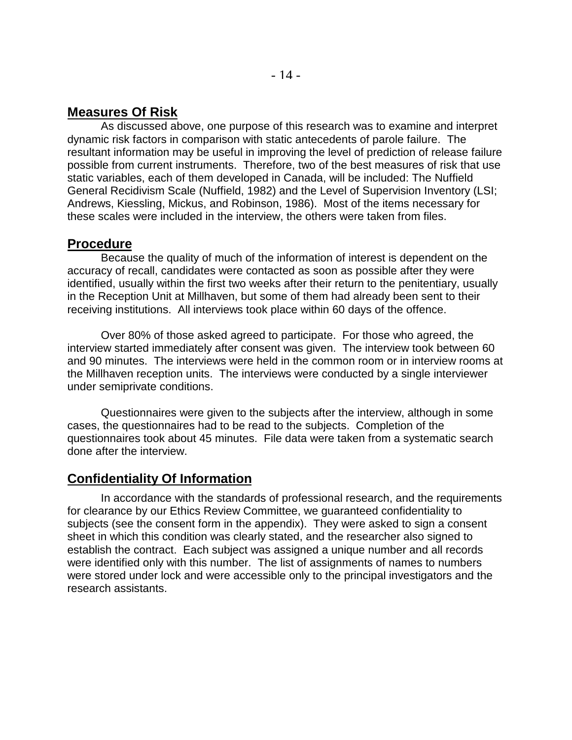#### **Measures Of Risk**

As discussed above, one purpose of this research was to examine and interpret dynamic risk factors in comparison with static antecedents of parole failure. The resultant information may be useful in improving the level of prediction of release failure possible from current instruments. Therefore, two of the best measures of risk that use static variables, each of them developed in Canada, will be included: The Nuffield General Recidivism Scale (Nuffield, 1982) and the Level of Supervision Inventory (LSI; Andrews, Kiessling, Mickus, and Robinson, 1986). Most of the items necessary for these scales were included in the interview, the others were taken from files.

#### **Procedure**

Because the quality of much of the information of interest is dependent on the accuracy of recall, candidates were contacted as soon as possible after they were identified, usually within the first two weeks after their return to the penitentiary, usually in the Reception Unit at Millhaven, but some of them had already been sent to their receiving institutions. All interviews took place within 60 days of the offence.

Over 80% of those asked agreed to participate. For those who agreed, the interview started immediately after consent was given. The interview took between 60 and 90 minutes. The interviews were held in the common room or in interview rooms at the Millhaven reception units. The interviews were conducted by a single interviewer under semiprivate conditions.

Questionnaires were given to the subjects after the interview, although in some cases, the questionnaires had to be read to the subjects. Completion of the questionnaires took about 45 minutes. File data were taken from a systematic search done after the interview.

## **Confidentiality Of Information**

In accordance with the standards of professional research, and the requirements for clearance by our Ethics Review Committee, we guaranteed confidentiality to subjects (see the consent form in the appendix). They were asked to sign a consent sheet in which this condition was clearly stated, and the researcher also signed to establish the contract. Each subject was assigned a unique number and all records were identified only with this number. The list of assignments of names to numbers were stored under lock and were accessible only to the principal investigators and the research assistants.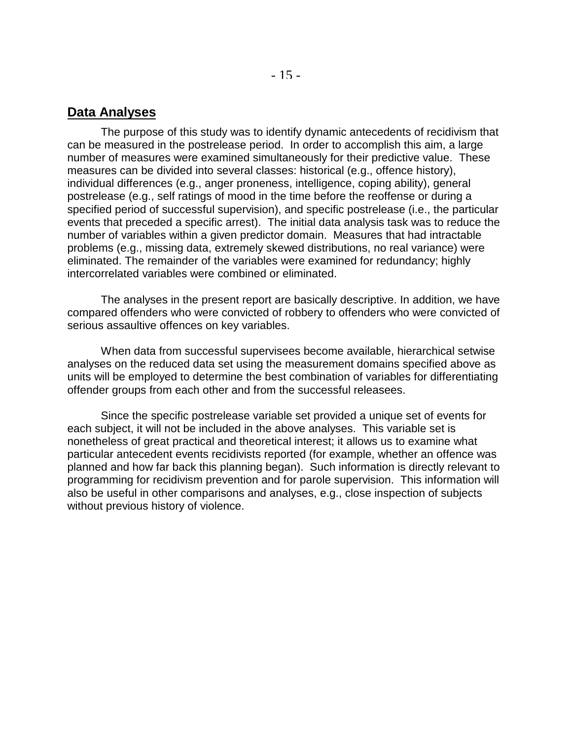#### **Data Analyses**

The purpose of this study was to identify dynamic antecedents of recidivism that can be measured in the postrelease period. In order to accomplish this aim, a large number of measures were examined simultaneously for their predictive value. These measures can be divided into several classes: historical (e.g., offence history), individual differences (e.g., anger proneness, intelligence, coping ability), general postrelease (e.g., self ratings of mood in the time before the reoffense or during a specified period of successful supervision), and specific postrelease (i.e., the particular events that preceded a specific arrest). The initial data analysis task was to reduce the number of variables within a given predictor domain. Measures that had intractable problems (e.g., missing data, extremely skewed distributions, no real variance) were eliminated. The remainder of the variables were examined for redundancy; highly intercorrelated variables were combined or eliminated.

The analyses in the present report are basically descriptive. In addition, we have compared offenders who were convicted of robbery to offenders who were convicted of serious assaultive offences on key variables.

When data from successful supervisees become available, hierarchical setwise analyses on the reduced data set using the measurement domains specified above as units will be employed to determine the best combination of variables for differentiating offender groups from each other and from the successful releasees.

Since the specific postrelease variable set provided a unique set of events for each subject, it will not be included in the above analyses. This variable set is nonetheless of great practical and theoretical interest; it allows us to examine what particular antecedent events recidivists reported (for example, whether an offence was planned and how far back this planning began). Such information is directly relevant to programming for recidivism prevention and for parole supervision. This information will also be useful in other comparisons and analyses, e.g., close inspection of subjects without previous history of violence.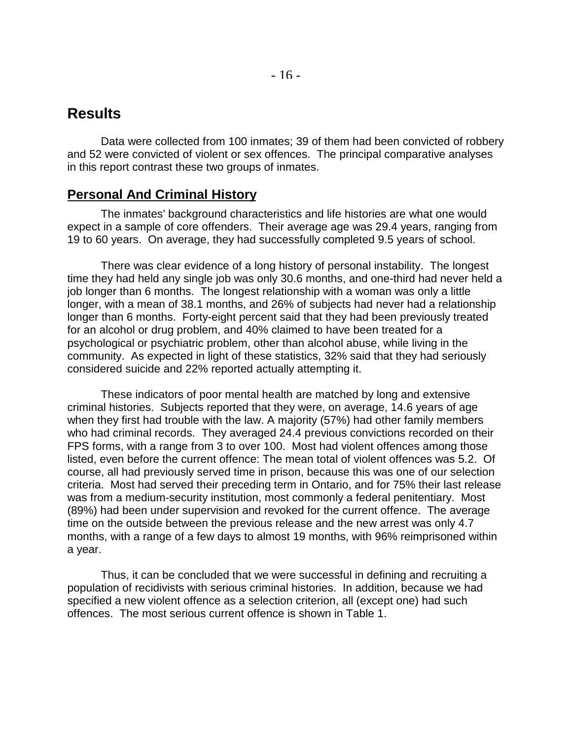Data were collected from 100 inmates; 39 of them had been convicted of robbery and 52 were convicted of violent or sex offences. The principal comparative analyses in this report contrast these two groups of inmates.

## **Personal And Criminal History**

The inmates' background characteristics and life histories are what one would expect in a sample of core offenders. Their average age was 29.4 years, ranging from 19 to 60 years. On average, they had successfully completed 9.5 years of school.

There was clear evidence of a long history of personal instability. The longest time they had held any single job was only 30.6 months, and one-third had never held a job longer than 6 months. The longest relationship with a woman was only a little longer, with a mean of 38.1 months, and 26% of subjects had never had a relationship longer than 6 months. Forty-eight percent said that they had been previously treated for an alcohol or drug problem, and 40% claimed to have been treated for a psychological or psychiatric problem, other than alcohol abuse, while living in the community. As expected in light of these statistics, 32% said that they had seriously considered suicide and 22% reported actually attempting it.

These indicators of poor mental health are matched by long and extensive criminal histories. Subjects reported that they were, on average, 14.6 years of age when they first had trouble with the law. A majority (57%) had other family members who had criminal records. They averaged 24.4 previous convictions recorded on their FPS forms, with a range from 3 to over 100. Most had violent offences among those listed, even before the current offence: The mean total of violent offences was 5.2. Of course, all had previously served time in prison, because this was one of our selection criteria. Most had served their preceding term in Ontario, and for 75% their last release was from a medium-security institution, most commonly a federal penitentiary. Most (89%) had been under supervision and revoked for the current offence. The average time on the outside between the previous release and the new arrest was only 4.7 months, with a range of a few days to almost 19 months, with 96% reimprisoned within a year.

Thus, it can be concluded that we were successful in defining and recruiting a population of recidivists with serious criminal histories. In addition, because we had specified a new violent offence as a selection criterion, all (except one) had such offences. The most serious current offence is shown in Table 1.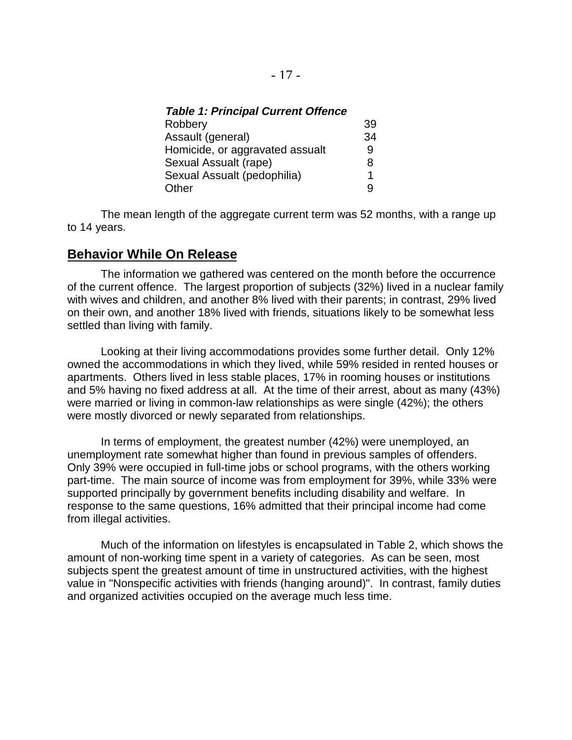|  |  |  |  |  | <b>Table 1: Principal Current Offence</b> |
|--|--|--|--|--|-------------------------------------------|
|--|--|--|--|--|-------------------------------------------|

| Robbery                         | 39 |
|---------------------------------|----|
| Assault (general)               | 34 |
| Homicide, or aggravated assualt | 9  |
| Sexual Assualt (rape)           | 8  |
| Sexual Assualt (pedophilia)     | 1  |
| Other                           | Q  |

The mean length of the aggregate current term was 52 months, with a range up to 14 years.

#### **Behavior While On Release**

The information we gathered was centered on the month before the occurrence of the current offence. The largest proportion of subjects (32%) lived in a nuclear family with wives and children, and another 8% lived with their parents; in contrast, 29% lived on their own, and another 18% lived with friends, situations likely to be somewhat less settled than living with family.

Looking at their living accommodations provides some further detail. Only 12% owned the accommodations in which they lived, while 59% resided in rented houses or apartments. Others lived in less stable places, 17% in rooming houses or institutions and 5% having no fixed address at all. At the time of their arrest, about as many (43%) were married or living in common-law relationships as were single (42%); the others were mostly divorced or newly separated from relationships.

In terms of employment, the greatest number (42%) were unemployed, an unemployment rate somewhat higher than found in previous samples of offenders. Only 39% were occupied in full-time jobs or school programs, with the others working part-time. The main source of income was from employment for 39%, while 33% were supported principally by government benefits including disability and welfare. In response to the same questions, 16% admitted that their principal income had come from illegal activities.

Much of the information on lifestyles is encapsulated in Table 2, which shows the amount of non-working time spent in a variety of categories. As can be seen, most subjects spent the greatest amount of time in unstructured activities, with the highest value in "Nonspecific activities with friends (hanging around)". In contrast, family duties and organized activities occupied on the average much less time.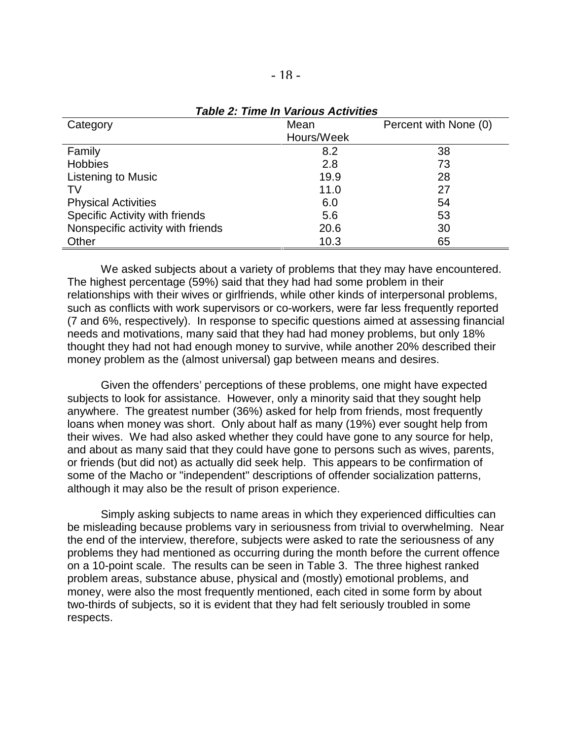| Category                          | Mean       | Percent with None (0) |
|-----------------------------------|------------|-----------------------|
|                                   | Hours/Week |                       |
| Family                            | 8.2        | 38                    |
| <b>Hobbies</b>                    | 2.8        | 73                    |
| <b>Listening to Music</b>         | 19.9       | 28                    |
| TV                                | 11.0       | 27                    |
| <b>Physical Activities</b>        | 6.0        | 54                    |
| Specific Activity with friends    | 5.6        | 53                    |
| Nonspecific activity with friends | 20.6       | 30                    |
| Other                             | 10.3       | 65                    |

#### **Table 2: Time In Various Activities**

We asked subjects about a variety of problems that they may have encountered. The highest percentage (59%) said that they had had some problem in their relationships with their wives or girlfriends, while other kinds of interpersonal problems, such as conflicts with work supervisors or co-workers, were far less frequently reported (7 and 6%, respectively). In response to specific questions aimed at assessing financial needs and motivations, many said that they had had money problems, but only 18% thought they had not had enough money to survive, while another 20% described their money problem as the (almost universal) gap between means and desires.

Given the offenders' perceptions of these problems, one might have expected subjects to look for assistance. However, only a minority said that they sought help anywhere. The greatest number (36%) asked for help from friends, most frequently loans when money was short. Only about half as many (19%) ever sought help from their wives. We had also asked whether they could have gone to any source for help, and about as many said that they could have gone to persons such as wives, parents, or friends (but did not) as actually did seek help. This appears to be confirmation of some of the Macho or "independent" descriptions of offender socialization patterns, although it may also be the result of prison experience.

Simply asking subjects to name areas in which they experienced difficulties can be misleading because problems vary in seriousness from trivial to overwhelming. Near the end of the interview, therefore, subjects were asked to rate the seriousness of any problems they had mentioned as occurring during the month before the current offence on a 10-point scale. The results can be seen in Table 3. The three highest ranked problem areas, substance abuse, physical and (mostly) emotional problems, and money, were also the most frequently mentioned, each cited in some form by about two-thirds of subjects, so it is evident that they had felt seriously troubled in some respects.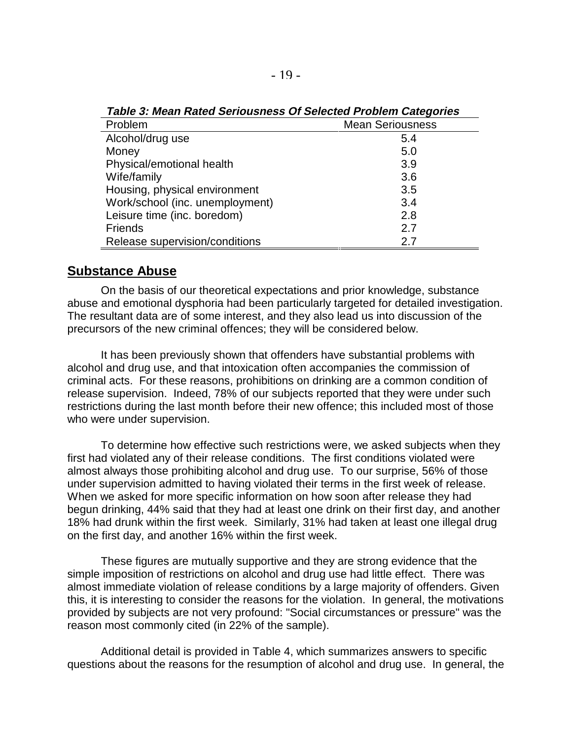| Problem                         | <b>Mean Seriousness</b> |
|---------------------------------|-------------------------|
| Alcohol/drug use                | 5.4                     |
| Money                           | 5.0                     |
| Physical/emotional health       | 3.9                     |
| Wife/family                     | 3.6                     |
| Housing, physical environment   | 3.5                     |
| Work/school (inc. unemployment) | 3.4                     |
| Leisure time (inc. boredom)     | 2.8                     |
| <b>Friends</b>                  | 2.7                     |
| Release supervision/conditions  | 2.7                     |

**Table 3: Mean Rated Seriousness Of Selected Problem Categories**

#### **Substance Abuse**

On the basis of our theoretical expectations and prior knowledge, substance abuse and emotional dysphoria had been particularly targeted for detailed investigation. The resultant data are of some interest, and they also lead us into discussion of the precursors of the new criminal offences; they will be considered below.

It has been previously shown that offenders have substantial problems with alcohol and drug use, and that intoxication often accompanies the commission of criminal acts. For these reasons, prohibitions on drinking are a common condition of release supervision. Indeed, 78% of our subjects reported that they were under such restrictions during the last month before their new offence; this included most of those who were under supervision.

To determine how effective such restrictions were, we asked subjects when they first had violated any of their release conditions. The first conditions violated were almost always those prohibiting alcohol and drug use. To our surprise, 56% of those under supervision admitted to having violated their terms in the first week of release. When we asked for more specific information on how soon after release they had begun drinking, 44% said that they had at least one drink on their first day, and another 18% had drunk within the first week. Similarly, 31% had taken at least one illegal drug on the first day, and another 16% within the first week.

These figures are mutually supportive and they are strong evidence that the simple imposition of restrictions on alcohol and drug use had little effect. There was almost immediate violation of release conditions by a large majority of offenders. Given this, it is interesting to consider the reasons for the violation. In general, the motivations provided by subjects are not very profound: "Social circumstances or pressure" was the reason most commonly cited (in 22% of the sample).

Additional detail is provided in Table 4, which summarizes answers to specific questions about the reasons for the resumption of alcohol and drug use. In general, the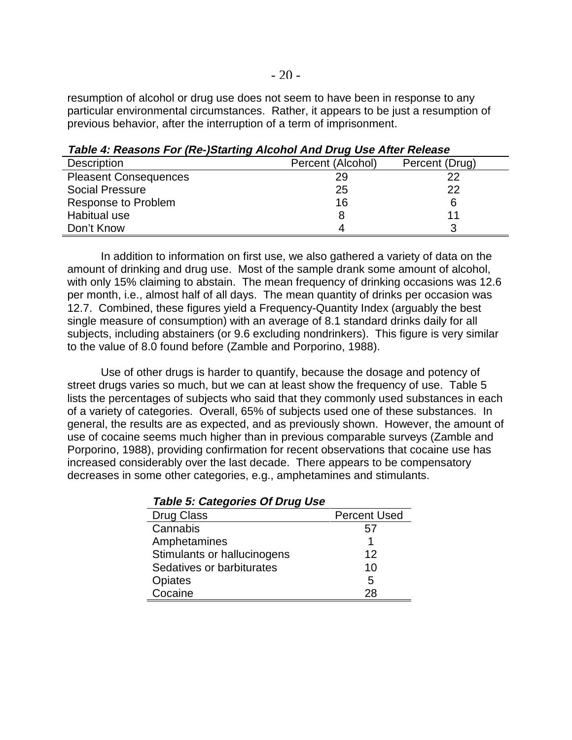resumption of alcohol or drug use does not seem to have been in response to any particular environmental circumstances. Rather, it appears to be just a resumption of previous behavior, after the interruption of a term of imprisonment.

| <b>Description</b>           | Percent (Alcohol) | Percent (Drug) |
|------------------------------|-------------------|----------------|
| <b>Pleasent Consequences</b> | 29                | つつ             |
| <b>Social Pressure</b>       | 25                | 22             |
| Response to Problem          | 16                |                |
| Habitual use                 |                   |                |
| Don't Know                   | 4                 |                |

**Table 4: Reasons For (Re-)Starting Alcohol And Drug Use After Release**

In addition to information on first use, we also gathered a variety of data on the amount of drinking and drug use. Most of the sample drank some amount of alcohol, with only 15% claiming to abstain. The mean frequency of drinking occasions was 12.6 per month, i.e., almost half of all days. The mean quantity of drinks per occasion was 12.7. Combined, these figures yield a Frequency-Quantity Index (arguably the best single measure of consumption) with an average of 8.1 standard drinks daily for all subjects, including abstainers (or 9.6 excluding nondrinkers). This figure is very similar to the value of 8.0 found before (Zamble and Porporino, 1988).

Use of other drugs is harder to quantify, because the dosage and potency of street drugs varies so much, but we can at least show the frequency of use. Table 5 lists the percentages of subjects who said that they commonly used substances in each of a variety of categories. Overall, 65% of subjects used one of these substances. In general, the results are as expected, and as previously shown. However, the amount of use of cocaine seems much higher than in previous comparable surveys (Zamble and Porporino, 1988), providing confirmation for recent observations that cocaine use has increased considerably over the last decade. There appears to be compensatory decreases in some other categories, e.g., amphetamines and stimulants.

| Table 5: Categories Of Drug Use |                     |
|---------------------------------|---------------------|
| <b>Drug Class</b>               | <b>Percent Used</b> |
| Cannabis                        | 57                  |
| Amphetamines                    |                     |
| Stimulants or hallucinogens     | 12                  |
| Sedatives or barbiturates       | 10                  |
| <b>Opiates</b>                  | 5                   |
| Cocaine                         | 28                  |

**Table 5: Categories Of Drug Use**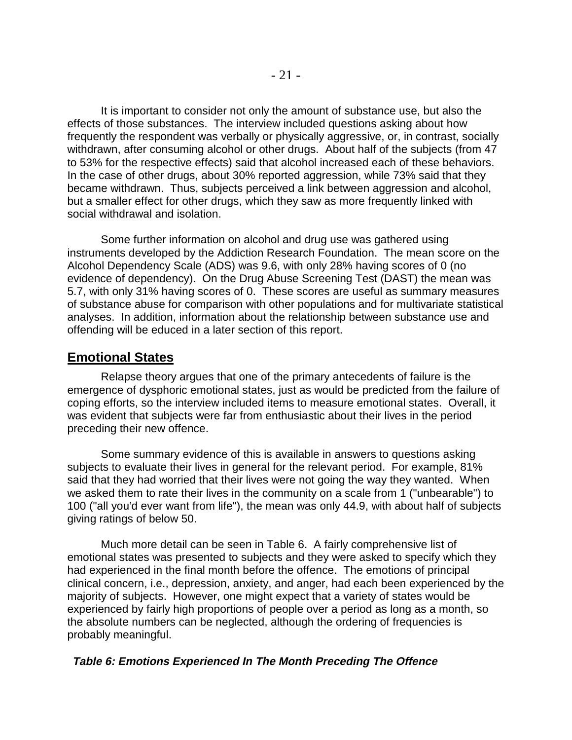It is important to consider not only the amount of substance use, but also the effects of those substances. The interview included questions asking about how frequently the respondent was verbally or physically aggressive, or, in contrast, socially withdrawn, after consuming alcohol or other drugs. About half of the subjects (from 47 to 53% for the respective effects) said that alcohol increased each of these behaviors. In the case of other drugs, about 30% reported aggression, while 73% said that they became withdrawn. Thus, subjects perceived a link between aggression and alcohol, but a smaller effect for other drugs, which they saw as more frequently linked with social withdrawal and isolation.

Some further information on alcohol and drug use was gathered using instruments developed by the Addiction Research Foundation. The mean score on the Alcohol Dependency Scale (ADS) was 9.6, with only 28% having scores of 0 (no evidence of dependency). On the Drug Abuse Screening Test (DAST) the mean was 5.7, with only 31% having scores of 0. These scores are useful as summary measures of substance abuse for comparison with other populations and for multivariate statistical analyses. In addition, information about the relationship between substance use and offending will be educed in a later section of this report.

#### **Emotional States**

Relapse theory argues that one of the primary antecedents of failure is the emergence of dysphoric emotional states, just as would be predicted from the failure of coping efforts, so the interview included items to measure emotional states. Overall, it was evident that subjects were far from enthusiastic about their lives in the period preceding their new offence.

Some summary evidence of this is available in answers to questions asking subjects to evaluate their lives in general for the relevant period. For example, 81% said that they had worried that their lives were not going the way they wanted. When we asked them to rate their lives in the community on a scale from 1 ("unbearable") to 100 ("all you'd ever want from life"), the mean was only 44.9, with about half of subjects giving ratings of below 50.

Much more detail can be seen in Table 6. A fairly comprehensive list of emotional states was presented to subjects and they were asked to specify which they had experienced in the final month before the offence. The emotions of principal clinical concern, i.e., depression, anxiety, and anger, had each been experienced by the majority of subjects. However, one might expect that a variety of states would be experienced by fairly high proportions of people over a period as long as a month, so the absolute numbers can be neglected, although the ordering of frequencies is probably meaningful.

#### **Table 6: Emotions Experienced In The Month Preceding The Offence**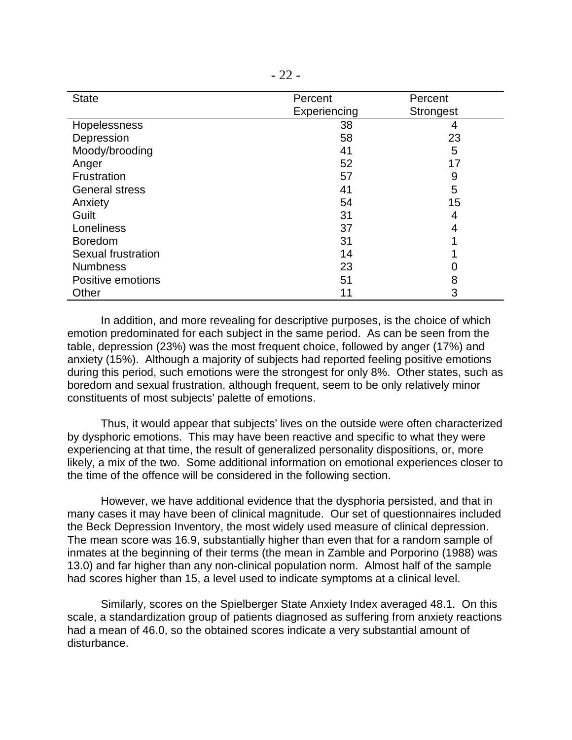| <b>State</b>          | Percent      | Percent          |
|-----------------------|--------------|------------------|
|                       | Experiencing | <b>Strongest</b> |
| Hopelessness          | 38           | 4                |
| Depression            | 58           | 23               |
| Moody/brooding        | 41           | 5                |
| Anger                 | 52           | 17               |
| Frustration           | 57           | 9                |
| <b>General stress</b> | 41           | 5                |
| Anxiety               | 54           | 15               |
| Guilt                 | 31           | 4                |
| Loneliness            | 37           | 4                |
| <b>Boredom</b>        | 31           |                  |
| Sexual frustration    | 14           |                  |
| <b>Numbness</b>       | 23           |                  |
| Positive emotions     | 51           | 8                |
| Other                 | 11           | 3                |

In addition, and more revealing for descriptive purposes, is the choice of which emotion predominated for each subject in the same period. As can be seen from the table, depression (23%) was the most frequent choice, followed by anger (17%) and anxiety (15%). Although a majority of subjects had reported feeling positive emotions during this period, such emotions were the strongest for only 8%. Other states, such as boredom and sexual frustration, although frequent, seem to be only relatively minor constituents of most subjects' palette of emotions.

Thus, it would appear that subjects' lives on the outside were often characterized by dysphoric emotions. This may have been reactive and specific to what they were experiencing at that time, the result of generalized personality dispositions, or, more likely, a mix of the two. Some additional information on emotional experiences closer to the time of the offence will be considered in the following section.

However, we have additional evidence that the dysphoria persisted, and that in many cases it may have been of clinical magnitude. Our set of questionnaires included the Beck Depression Inventory, the most widely used measure of clinical depression. The mean score was 16.9, substantially higher than even that for a random sample of inmates at the beginning of their terms (the mean in Zamble and Porporino (1988) was 13.0) and far higher than any non-clinical population norm. Almost half of the sample had scores higher than 15, a level used to indicate symptoms at a clinical level.

Similarly, scores on the Spielberger State Anxiety Index averaged 48.1. On this scale, a standardization group of patients diagnosed as suffering from anxiety reactions had a mean of 46.0, so the obtained scores indicate a very substantial amount of disturbance.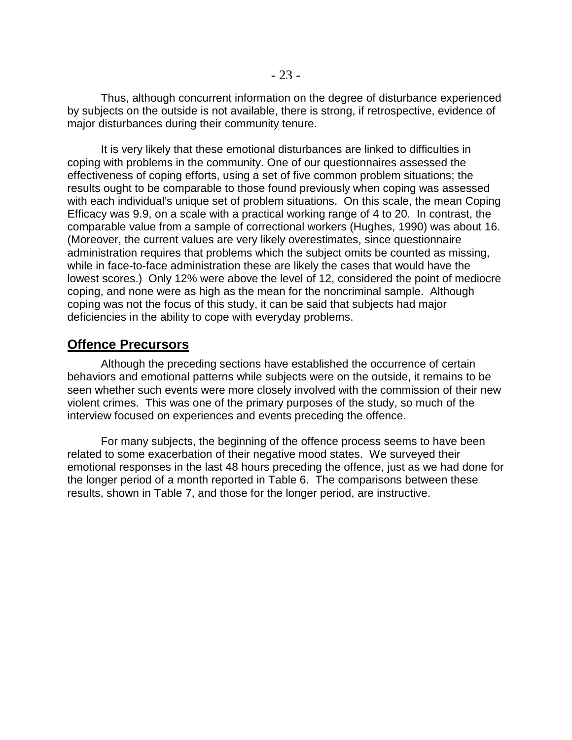Thus, although concurrent information on the degree of disturbance experienced by subjects on the outside is not available, there is strong, if retrospective, evidence of major disturbances during their community tenure.

It is very likely that these emotional disturbances are linked to difficulties in coping with problems in the community. One of our questionnaires assessed the effectiveness of coping efforts, using a set of five common problem situations; the results ought to be comparable to those found previously when coping was assessed with each individual's unique set of problem situations. On this scale, the mean Coping Efficacy was 9.9, on a scale with a practical working range of 4 to 20. In contrast, the comparable value from a sample of correctional workers (Hughes, 1990) was about 16. (Moreover, the current values are very likely overestimates, since questionnaire administration requires that problems which the subject omits be counted as missing, while in face-to-face administration these are likely the cases that would have the lowest scores.) Only 12% were above the level of 12, considered the point of mediocre coping, and none were as high as the mean for the noncriminal sample. Although coping was not the focus of this study, it can be said that subjects had major deficiencies in the ability to cope with everyday problems.

#### **Offence Precursors**

Although the preceding sections have established the occurrence of certain behaviors and emotional patterns while subjects were on the outside, it remains to be seen whether such events were more closely involved with the commission of their new violent crimes. This was one of the primary purposes of the study, so much of the interview focused on experiences and events preceding the offence.

For many subjects, the beginning of the offence process seems to have been related to some exacerbation of their negative mood states. We surveyed their emotional responses in the last 48 hours preceding the offence, just as we had done for the longer period of a month reported in Table 6. The comparisons between these results, shown in Table 7, and those for the longer period, are instructive.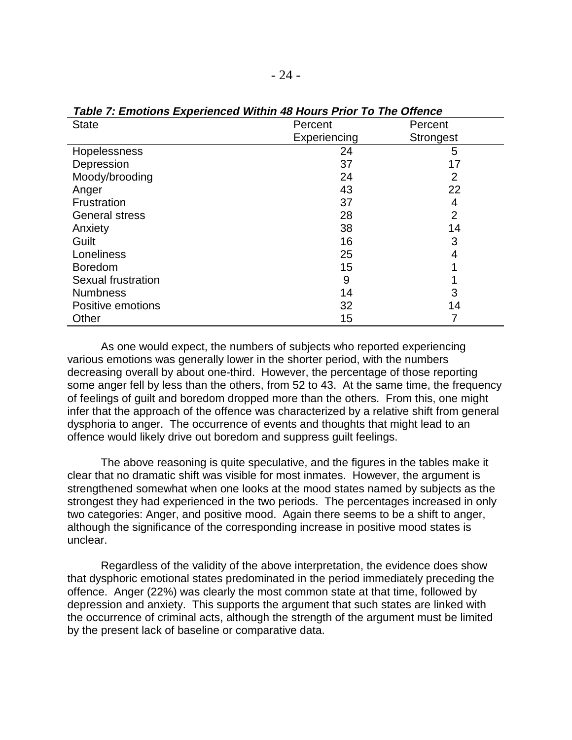| <b>State</b>          | Percent      | Percent          |
|-----------------------|--------------|------------------|
|                       | Experiencing | <b>Strongest</b> |
| Hopelessness          | 24           | 5                |
| Depression            | 37           | 17               |
| Moody/brooding        | 24           | 2                |
| Anger                 | 43           | 22               |
| Frustration           | 37           | 4                |
| <b>General stress</b> | 28           | $\overline{2}$   |
| Anxiety               | 38           | 14               |
| Guilt                 | 16           | 3                |
| Loneliness            | 25           | 4                |
| <b>Boredom</b>        | 15           |                  |
| Sexual frustration    | 9            |                  |
| <b>Numbness</b>       | 14           | 3                |
| Positive emotions     | 32           | 14               |
| Other                 | 15           |                  |

**Table 7: Emotions Experienced Within 48 Hours Prior To The Offence**

As one would expect, the numbers of subjects who reported experiencing various emotions was generally lower in the shorter period, with the numbers decreasing overall by about one-third. However, the percentage of those reporting some anger fell by less than the others, from 52 to 43. At the same time, the frequency of feelings of guilt and boredom dropped more than the others. From this, one might infer that the approach of the offence was characterized by a relative shift from general dysphoria to anger. The occurrence of events and thoughts that might lead to an offence would likely drive out boredom and suppress guilt feelings.

The above reasoning is quite speculative, and the figures in the tables make it clear that no dramatic shift was visible for most inmates. However, the argument is strengthened somewhat when one looks at the mood states named by subjects as the strongest they had experienced in the two periods. The percentages increased in only two categories: Anger, and positive mood. Again there seems to be a shift to anger, although the significance of the corresponding increase in positive mood states is unclear.

Regardless of the validity of the above interpretation, the evidence does show that dysphoric emotional states predominated in the period immediately preceding the offence. Anger (22%) was clearly the most common state at that time, followed by depression and anxiety. This supports the argument that such states are linked with the occurrence of criminal acts, although the strength of the argument must be limited by the present lack of baseline or comparative data.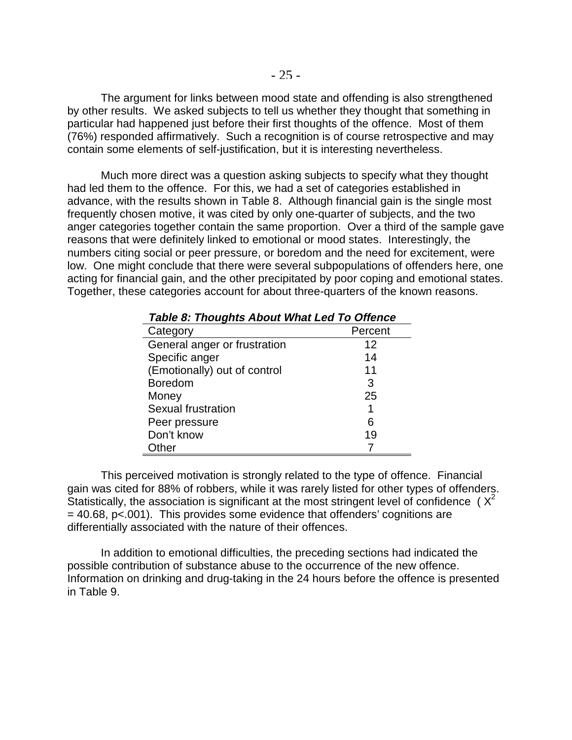The argument for links between mood state and offending is also strengthened by other results. We asked subjects to tell us whether they thought that something in particular had happened just before their first thoughts of the offence. Most of them (76%) responded affirmatively. Such a recognition is of course retrospective and may contain some elements of self-justification, but it is interesting nevertheless.

Much more direct was a question asking subjects to specify what they thought had led them to the offence. For this, we had a set of categories established in advance, with the results shown in Table 8. Although financial gain is the single most frequently chosen motive, it was cited by only one-quarter of subjects, and the two anger categories together contain the same proportion. Over a third of the sample gave reasons that were definitely linked to emotional or mood states. Interestingly, the numbers citing social or peer pressure, or boredom and the need for excitement, were low. One might conclude that there were several subpopulations of offenders here, one acting for financial gain, and the other precipitated by poor coping and emotional states. Together, these categories account for about three-quarters of the known reasons.

| radio 6. Thoughts About Milat Lou To Onchoc |         |
|---------------------------------------------|---------|
| Category                                    | Percent |
| General anger or frustration                | 12      |
| Specific anger                              | 14      |
| (Emotionally) out of control                | 11      |
| <b>Boredom</b>                              | 3       |
| Money                                       | 25      |
| Sexual frustration                          | 1       |
| Peer pressure                               | 6       |
| Don't know                                  | 19      |
| Other                                       |         |

#### **Table 8: Thoughts About What Led To Offence**

This perceived motivation is strongly related to the type of offence. Financial gain was cited for 88% of robbers, while it was rarely listed for other types of offenders. Statistically, the association is significant at the most stringent level of confidence ( $X^2$ )  $= 40.68$ , p $< 0.01$ ). This provides some evidence that offenders' cognitions are differentially associated with the nature of their offences.

In addition to emotional difficulties, the preceding sections had indicated the possible contribution of substance abuse to the occurrence of the new offence. Information on drinking and drug-taking in the 24 hours before the offence is presented in Table 9.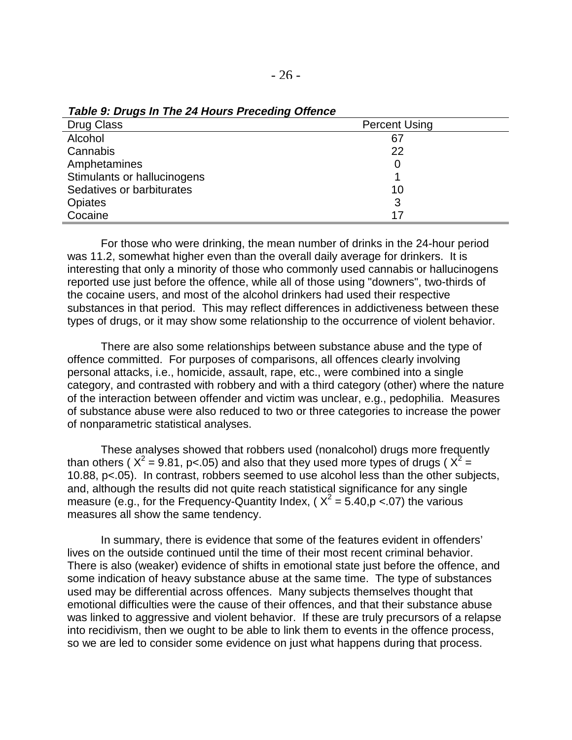| Drug Class                  | <b>Percent Using</b> |
|-----------------------------|----------------------|
| Alcohol                     | 67                   |
| Cannabis                    | 22                   |
| Amphetamines                | 0                    |
| Stimulants or hallucinogens |                      |
| Sedatives or barbiturates   | 10                   |
| Opiates                     | 3                    |
| Cocaine                     | 17                   |

**Table 9: Drugs In The 24 Hours Preceding Offence**

For those who were drinking, the mean number of drinks in the 24-hour period was 11.2, somewhat higher even than the overall daily average for drinkers. It is interesting that only a minority of those who commonly used cannabis or hallucinogens reported use just before the offence, while all of those using "downers", two-thirds of the cocaine users, and most of the alcohol drinkers had used their respective substances in that period. This may reflect differences in addictiveness between these types of drugs, or it may show some relationship to the occurrence of violent behavior.

There are also some relationships between substance abuse and the type of offence committed. For purposes of comparisons, all offences clearly involving personal attacks, i.e., homicide, assault, rape, etc., were combined into a single category, and contrasted with robbery and with a third category (other) where the nature of the interaction between offender and victim was unclear, e.g., pedophilia. Measures of substance abuse were also reduced to two or three categories to increase the power of nonparametric statistical analyses.

These analyses showed that robbers used (nonalcohol) drugs more frequently than others (  $X^2$  = 9.81, p<.05) and also that they used more types of drugs (  $X^2$  = 10.88, p<.05). In contrast, robbers seemed to use alcohol less than the other subjects, and, although the results did not quite reach statistical significance for any single measure (e.g., for the Frequency-Quantity Index, ( $X^2 = 5.40$ ,  $p < 07$ ) the various measures all show the same tendency.

In summary, there is evidence that some of the features evident in offenders' lives on the outside continued until the time of their most recent criminal behavior. There is also (weaker) evidence of shifts in emotional state just before the offence, and some indication of heavy substance abuse at the same time. The type of substances used may be differential across offences. Many subjects themselves thought that emotional difficulties were the cause of their offences, and that their substance abuse was linked to aggressive and violent behavior. If these are truly precursors of a relapse into recidivism, then we ought to be able to link them to events in the offence process, so we are led to consider some evidence on just what happens during that process.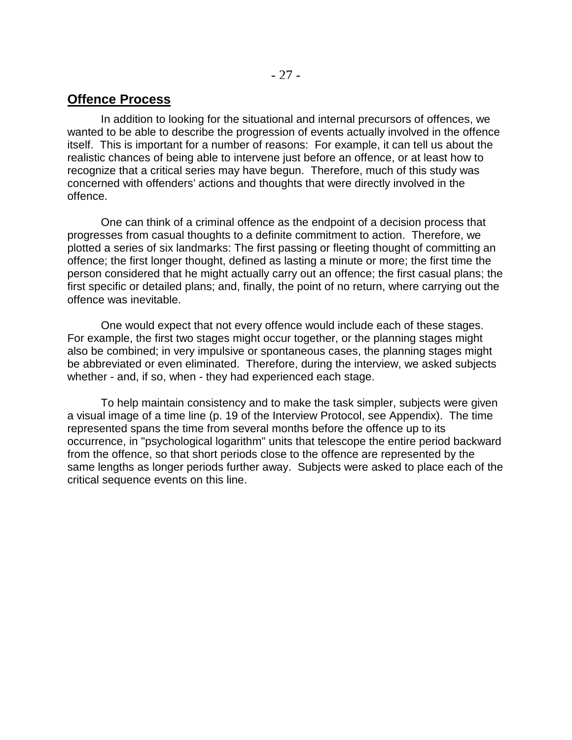## **Offence Process**

In addition to looking for the situational and internal precursors of offences, we wanted to be able to describe the progression of events actually involved in the offence itself. This is important for a number of reasons: For example, it can tell us about the realistic chances of being able to intervene just before an offence, or at least how to recognize that a critical series may have begun. Therefore, much of this study was concerned with offenders' actions and thoughts that were directly involved in the offence.

One can think of a criminal offence as the endpoint of a decision process that progresses from casual thoughts to a definite commitment to action. Therefore, we plotted a series of six landmarks: The first passing or fleeting thought of committing an offence; the first longer thought, defined as lasting a minute or more; the first time the person considered that he might actually carry out an offence; the first casual plans; the first specific or detailed plans; and, finally, the point of no return, where carrying out the offence was inevitable.

One would expect that not every offence would include each of these stages. For example, the first two stages might occur together, or the planning stages might also be combined; in very impulsive or spontaneous cases, the planning stages might be abbreviated or even eliminated. Therefore, during the interview, we asked subjects whether - and, if so, when - they had experienced each stage.

To help maintain consistency and to make the task simpler, subjects were given a visual image of a time line (p. 19 of the Interview Protocol, see Appendix). The time represented spans the time from several months before the offence up to its occurrence, in "psychological logarithm" units that telescope the entire period backward from the offence, so that short periods close to the offence are represented by the same lengths as longer periods further away. Subjects were asked to place each of the critical sequence events on this line.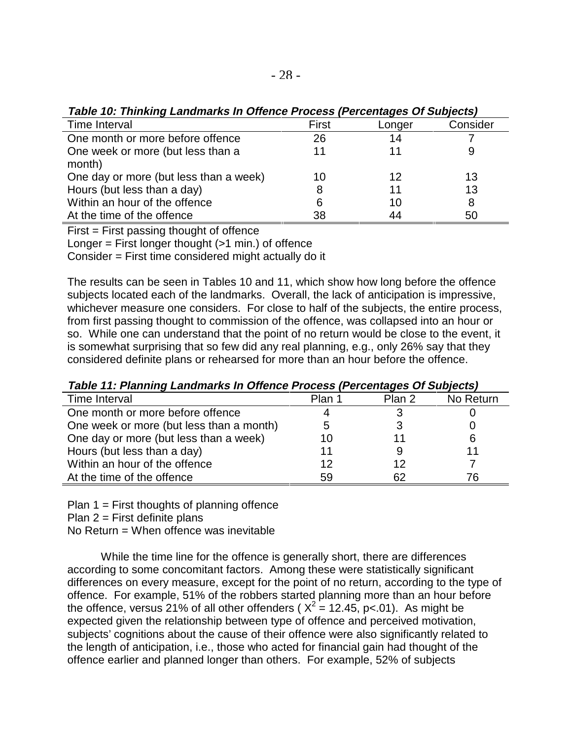| Table 10: Thinking Landmarks In Offence Process (Percentages Of Subjects) |       |        |          |  |
|---------------------------------------------------------------------------|-------|--------|----------|--|
| Time Interval                                                             | First | Longer | Consider |  |
| One month or more before offence                                          | 26    | 14     |          |  |
| One week or more (but less than a                                         |       |        | 9        |  |
| month)                                                                    |       |        |          |  |
| One day or more (but less than a week)                                    | 10    | 12     | 13       |  |
| Hours (but less than a day)                                               | 8     | 11     | 13       |  |
| Within an hour of the offence                                             | 6     | 10     | 8        |  |
| At the time of the offence                                                | 38    | 44     | 50       |  |

**Table 10: Thinking Landmarks In Offence Process (Percentages Of Subjects)**

First = First passing thought of offence

Longer  $=$  First longer thought  $($ >1 min.) of offence

Consider = First time considered might actually do it

The results can be seen in Tables 10 and 11, which show how long before the offence subjects located each of the landmarks. Overall, the lack of anticipation is impressive, whichever measure one considers. For close to half of the subjects, the entire process, from first passing thought to commission of the offence, was collapsed into an hour or so. While one can understand that the point of no return would be close to the event, it is somewhat surprising that so few did any real planning, e.g., only 26% say that they considered definite plans or rehearsed for more than an hour before the offence.

| Time Interval                            | Plan 1 | Plan 2 | No Return |  |
|------------------------------------------|--------|--------|-----------|--|
| One month or more before offence         |        |        |           |  |
| One week or more (but less than a month) | 5      |        |           |  |
| One day or more (but less than a week)   | 10     |        |           |  |
| Hours (but less than a day)              | 11     |        |           |  |
| Within an hour of the offence            | 12     | 12     |           |  |
| At the time of the offence               | 59     | 62     | 76        |  |

**Table 11: Planning Landmarks In Offence Process (Percentages Of Subjects)**

Plan  $1 =$  First thoughts of planning offence

Plan  $2$  = First definite plans

No Return  $=$  When offence was inevitable

While the time line for the offence is generally short, there are differences according to some concomitant factors. Among these were statistically significant differences on every measure, except for the point of no return, according to the type of offence. For example, 51% of the robbers started planning more than an hour before the offence, versus 21% of all other offenders (  $X^2 = 12.45$ , p<.01). As might be expected given the relationship between type of offence and perceived motivation, subjects' cognitions about the cause of their offence were also significantly related to the length of anticipation, i.e., those who acted for financial gain had thought of the offence earlier and planned longer than others. For example, 52% of subjects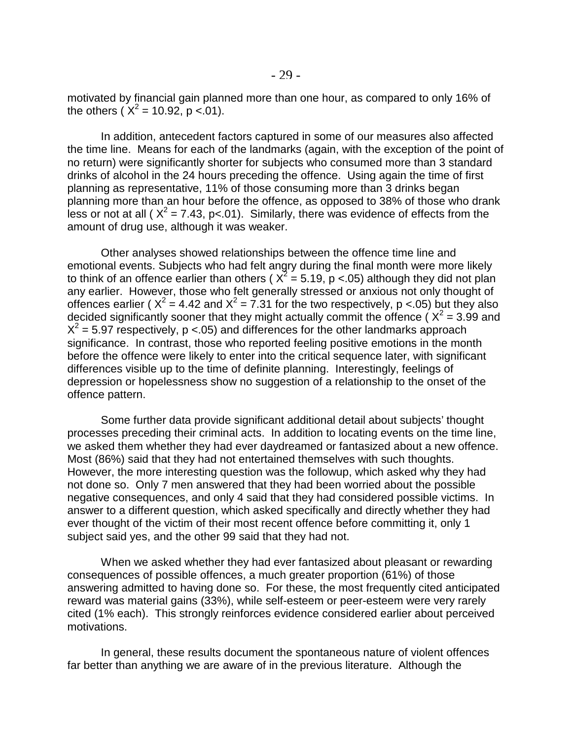motivated by financial gain planned more than one hour, as compared to only 16% of the others ( $X^2 = 10.92$ , p <.01).

In addition, antecedent factors captured in some of our measures also affected the time line. Means for each of the landmarks (again, with the exception of the point of no return) were significantly shorter for subjects who consumed more than 3 standard drinks of alcohol in the 24 hours preceding the offence. Using again the time of first planning as representative, 11% of those consuming more than 3 drinks began planning more than an hour before the offence, as opposed to 38% of those who drank less or not at all ( $X^2$  = 7.43, p<.01). Similarly, there was evidence of effects from the amount of drug use, although it was weaker.

Other analyses showed relationships between the offence time line and emotional events. Subjects who had felt angry during the final month were more likely to think of an offence earlier than others (  $X^2 = 5.19$ , p <.05) although they did not plan any earlier. However, those who felt generally stressed or anxious not only thought of offences earlier ( $X^2 = 4.42$  and  $X^2 = 7.31$  for the two respectively, p <.05) but they also decided significantly sooner that they might actually commit the offence ( $X^2$  = 3.99 and  $X^2$  = 5.97 respectively, p <.05) and differences for the other landmarks approach significance. In contrast, those who reported feeling positive emotions in the month before the offence were likely to enter into the critical sequence later, with significant differences visible up to the time of definite planning. Interestingly, feelings of depression or hopelessness show no suggestion of a relationship to the onset of the offence pattern.

Some further data provide significant additional detail about subjects' thought processes preceding their criminal acts. In addition to locating events on the time line, we asked them whether they had ever daydreamed or fantasized about a new offence. Most (86%) said that they had not entertained themselves with such thoughts. However, the more interesting question was the followup, which asked why they had not done so. Only 7 men answered that they had been worried about the possible negative consequences, and only 4 said that they had considered possible victims. In answer to a different question, which asked specifically and directly whether they had ever thought of the victim of their most recent offence before committing it, only 1 subject said yes, and the other 99 said that they had not.

When we asked whether they had ever fantasized about pleasant or rewarding consequences of possible offences, a much greater proportion (61%) of those answering admitted to having done so. For these, the most frequently cited anticipated reward was material gains (33%), while self-esteem or peer-esteem were very rarely cited (1% each). This strongly reinforces evidence considered earlier about perceived motivations.

In general, these results document the spontaneous nature of violent offences far better than anything we are aware of in the previous literature. Although the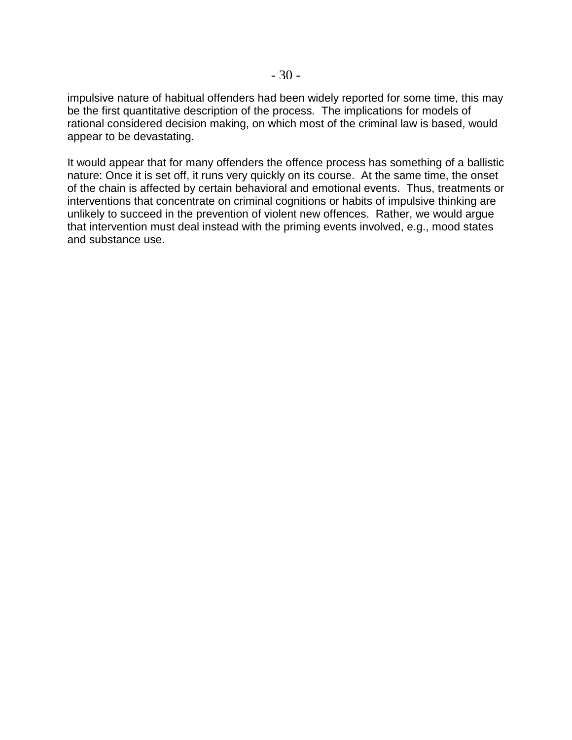impulsive nature of habitual offenders had been widely reported for some time, this may be the first quantitative description of the process. The implications for models of rational considered decision making, on which most of the criminal law is based, would appear to be devastating.

It would appear that for many offenders the offence process has something of a ballistic nature: Once it is set off, it runs very quickly on its course. At the same time, the onset of the chain is affected by certain behavioral and emotional events. Thus, treatments or interventions that concentrate on criminal cognitions or habits of impulsive thinking are unlikely to succeed in the prevention of violent new offences. Rather, we would argue that intervention must deal instead with the priming events involved, e.g., mood states and substance use.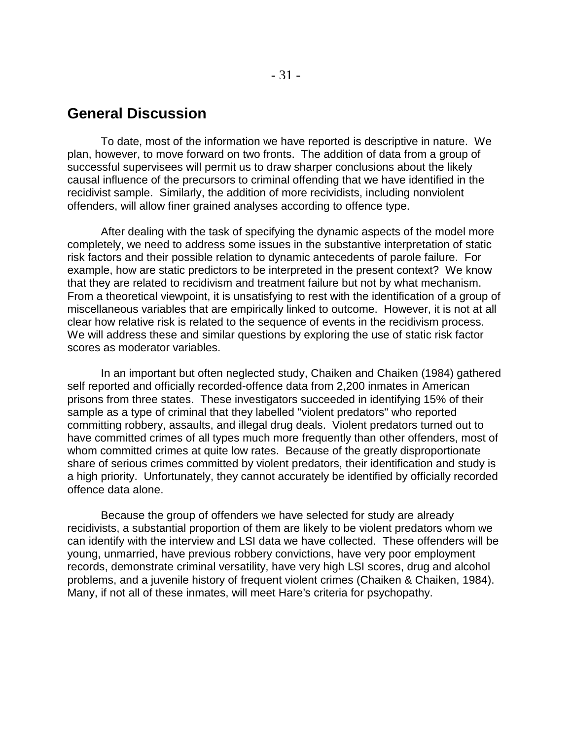### **General Discussion**

To date, most of the information we have reported is descriptive in nature. We plan, however, to move forward on two fronts. The addition of data from a group of successful supervisees will permit us to draw sharper conclusions about the likely causal influence of the precursors to criminal offending that we have identified in the recidivist sample. Similarly, the addition of more recividists, including nonviolent offenders, will allow finer grained analyses according to offence type.

After dealing with the task of specifying the dynamic aspects of the model more completely, we need to address some issues in the substantive interpretation of static risk factors and their possible relation to dynamic antecedents of parole failure. For example, how are static predictors to be interpreted in the present context? We know that they are related to recidivism and treatment failure but not by what mechanism. From a theoretical viewpoint, it is unsatisfying to rest with the identification of a group of miscellaneous variables that are empirically linked to outcome. However, it is not at all clear how relative risk is related to the sequence of events in the recidivism process. We will address these and similar questions by exploring the use of static risk factor scores as moderator variables.

In an important but often neglected study, Chaiken and Chaiken (1984) gathered self reported and officially recorded-offence data from 2,200 inmates in American prisons from three states. These investigators succeeded in identifying 15% of their sample as a type of criminal that they labelled "violent predators" who reported committing robbery, assaults, and illegal drug deals. Violent predators turned out to have committed crimes of all types much more frequently than other offenders, most of whom committed crimes at quite low rates. Because of the greatly disproportionate share of serious crimes committed by violent predators, their identification and study is a high priority. Unfortunately, they cannot accurately be identified by officially recorded offence data alone.

Because the group of offenders we have selected for study are already recidivists, a substantial proportion of them are likely to be violent predators whom we can identify with the interview and LSI data we have collected. These offenders will be young, unmarried, have previous robbery convictions, have very poor employment records, demonstrate criminal versatility, have very high LSI scores, drug and alcohol problems, and a juvenile history of frequent violent crimes (Chaiken & Chaiken, 1984). Many, if not all of these inmates, will meet Hare's criteria for psychopathy.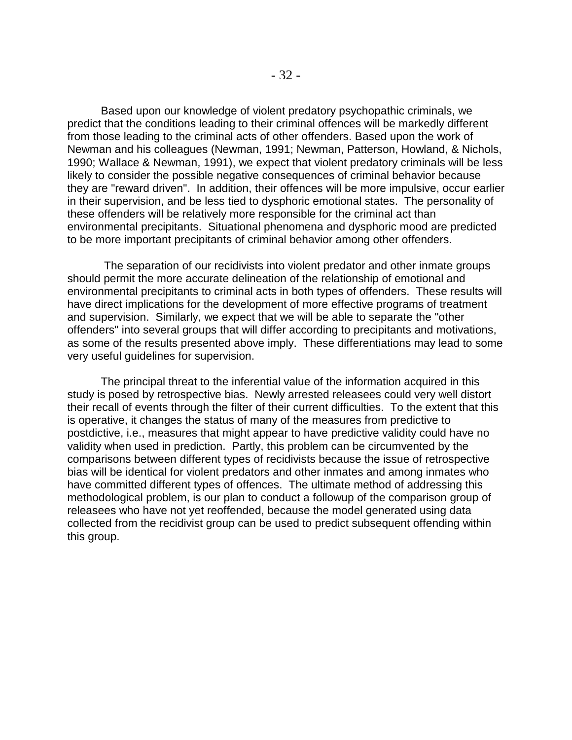Based upon our knowledge of violent predatory psychopathic criminals, we predict that the conditions leading to their criminal offences will be markedly different from those leading to the criminal acts of other offenders. Based upon the work of Newman and his colleagues (Newman, 1991; Newman, Patterson, Howland, & Nichols, 1990; Wallace & Newman, 1991), we expect that violent predatory criminals will be less likely to consider the possible negative consequences of criminal behavior because they are "reward driven". In addition, their offences will be more impulsive, occur earlier in their supervision, and be less tied to dysphoric emotional states. The personality of these offenders will be relatively more responsible for the criminal act than environmental precipitants. Situational phenomena and dysphoric mood are predicted to be more important precipitants of criminal behavior among other offenders.

 The separation of our recidivists into violent predator and other inmate groups should permit the more accurate delineation of the relationship of emotional and environmental precipitants to criminal acts in both types of offenders. These results will have direct implications for the development of more effective programs of treatment and supervision. Similarly, we expect that we will be able to separate the "other offenders" into several groups that will differ according to precipitants and motivations, as some of the results presented above imply. These differentiations may lead to some very useful guidelines for supervision.

The principal threat to the inferential value of the information acquired in this study is posed by retrospective bias. Newly arrested releasees could very well distort their recall of events through the filter of their current difficulties. To the extent that this is operative, it changes the status of many of the measures from predictive to postdictive, i.e., measures that might appear to have predictive validity could have no validity when used in prediction. Partly, this problem can be circumvented by the comparisons between different types of recidivists because the issue of retrospective bias will be identical for violent predators and other inmates and among inmates who have committed different types of offences. The ultimate method of addressing this methodological problem, is our plan to conduct a followup of the comparison group of releasees who have not yet reoffended, because the model generated using data collected from the recidivist group can be used to predict subsequent offending within this group.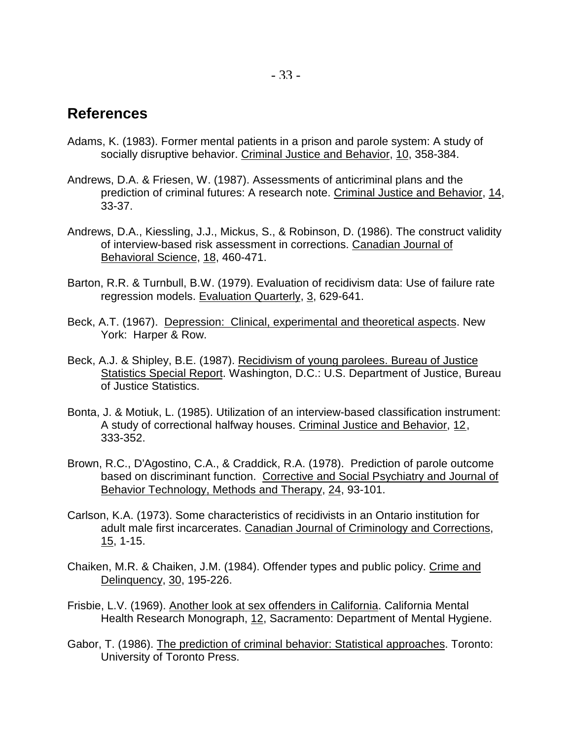## **References**

- Adams, K. (1983). Former mental patients in a prison and parole system: A study of socially disruptive behavior. Criminal Justice and Behavior, 10, 358-384.
- Andrews, D.A. & Friesen, W. (1987). Assessments of anticriminal plans and the prediction of criminal futures: A research note. Criminal Justice and Behavior, 14, 33-37.
- Andrews, D.A., Kiessling, J.J., Mickus, S., & Robinson, D. (1986). The construct validity of interview-based risk assessment in corrections. Canadian Journal of Behavioral Science, 18, 460-471.
- Barton, R.R. & Turnbull, B.W. (1979). Evaluation of recidivism data: Use of failure rate regression models. Evaluation Quarterly, 3, 629-641.
- Beck, A.T. (1967). Depression: Clinical, experimental and theoretical aspects. New York: Harper & Row.
- Beck, A.J. & Shipley, B.E. (1987). Recidivism of young parolees. Bureau of Justice Statistics Special Report. Washington, D.C.: U.S. Department of Justice, Bureau of Justice Statistics.
- Bonta, J. & Motiuk, L. (1985). Utilization of an interview-based classification instrument: A study of correctional halfway houses. Criminal Justice and Behavior, 12, 333-352.
- Brown, R.C., D'Agostino, C.A., & Craddick, R.A. (1978). Prediction of parole outcome based on discriminant function. Corrective and Social Psychiatry and Journal of Behavior Technology, Methods and Therapy, 24, 93-101.
- Carlson, K.A. (1973). Some characteristics of recidivists in an Ontario institution for adult male first incarcerates. Canadian Journal of Criminology and Corrections, 15, 1-15.
- Chaiken, M.R. & Chaiken, J.M. (1984). Offender types and public policy. Crime and Delinquency, 30, 195-226.
- Frisbie, L.V. (1969). Another look at sex offenders in California. California Mental Health Research Monograph, 12, Sacramento: Department of Mental Hygiene.
- Gabor, T. (1986). The prediction of criminal behavior: Statistical approaches. Toronto: University of Toronto Press.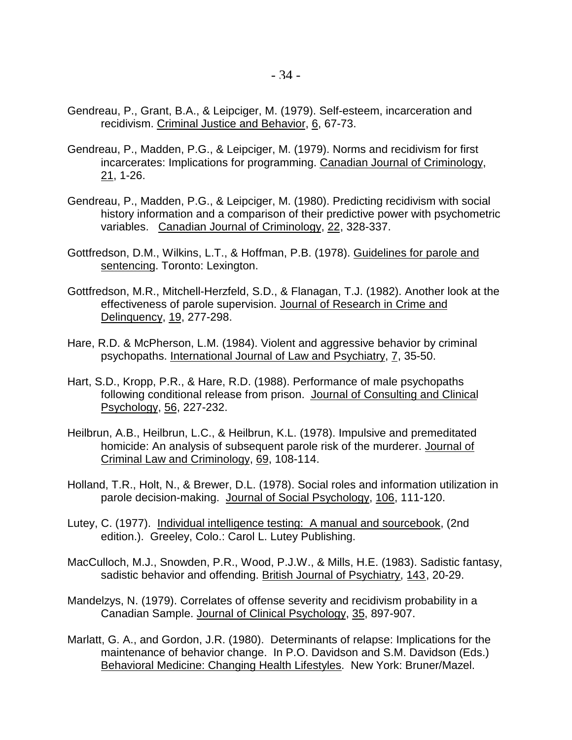- Gendreau, P., Grant, B.A., & Leipciger, M. (1979). Self-esteem, incarceration and recidivism. Criminal Justice and Behavior, 6, 67-73.
- Gendreau, P., Madden, P.G., & Leipciger, M. (1979). Norms and recidivism for first incarcerates: Implications for programming. Canadian Journal of Criminology, 21, 1-26.
- Gendreau, P., Madden, P.G., & Leipciger, M. (1980). Predicting recidivism with social history information and a comparison of their predictive power with psychometric variables. Canadian Journal of Criminology, 22, 328-337.
- Gottfredson, D.M., Wilkins, L.T., & Hoffman, P.B. (1978). Guidelines for parole and sentencing. Toronto: Lexington.
- Gottfredson, M.R., Mitchell-Herzfeld, S.D., & Flanagan, T.J. (1982). Another look at the effectiveness of parole supervision. Journal of Research in Crime and Delinquency, 19, 277-298.
- Hare, R.D. & McPherson, L.M. (1984). Violent and aggressive behavior by criminal psychopaths. International Journal of Law and Psychiatry, 7, 35-50.
- Hart, S.D., Kropp, P.R., & Hare, R.D. (1988). Performance of male psychopaths following conditional release from prison. Journal of Consulting and Clinical Psychology, 56, 227-232.
- Heilbrun, A.B., Heilbrun, L.C., & Heilbrun, K.L. (1978). Impulsive and premeditated homicide: An analysis of subsequent parole risk of the murderer. Journal of Criminal Law and Criminology, 69, 108-114.
- Holland, T.R., Holt, N., & Brewer, D.L. (1978). Social roles and information utilization in parole decision-making. Journal of Social Psychology, 106, 111-120.
- Lutey, C. (1977). Individual intelligence testing: A manual and sourcebook, (2nd edition.). Greeley, Colo.: Carol L. Lutey Publishing.
- MacCulloch, M.J., Snowden, P.R., Wood, P.J.W., & Mills, H.E. (1983). Sadistic fantasy, sadistic behavior and offending. British Journal of Psychiatry, 143, 20-29.
- Mandelzys, N. (1979). Correlates of offense severity and recidivism probability in a Canadian Sample. Journal of Clinical Psychology, 35, 897-907.
- Marlatt, G. A., and Gordon, J.R. (1980). Determinants of relapse: Implications for the maintenance of behavior change. In P.O. Davidson and S.M. Davidson (Eds.) Behavioral Medicine: Changing Health Lifestyles. New York: Bruner/Mazel.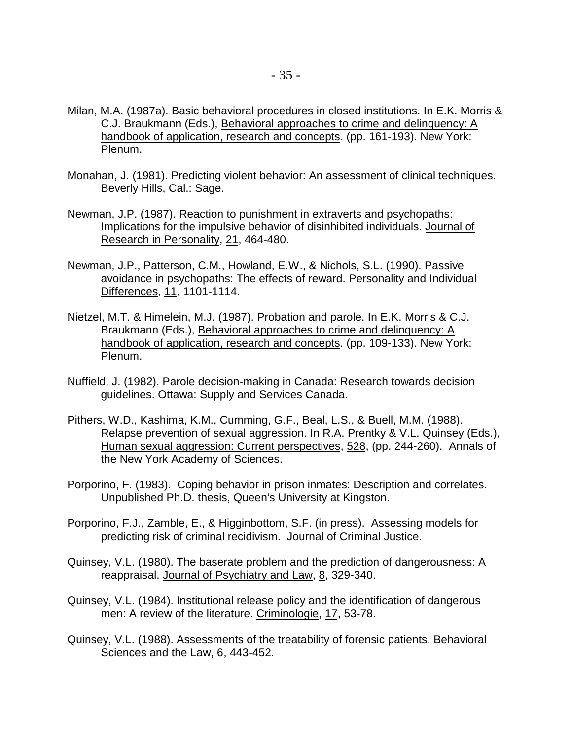- Milan, M.A. (1987a). Basic behavioral procedures in closed institutions. In E.K. Morris & C.J. Braukmann (Eds.), Behavioral approaches to crime and delinquency: A handbook of application, research and concepts. (pp. 161-193). New York: Plenum.
- Monahan, J. (1981). Predicting violent behavior: An assessment of clinical techniques. Beverly Hills, Cal.: Sage.
- Newman, J.P. (1987). Reaction to punishment in extraverts and psychopaths: Implications for the impulsive behavior of disinhibited individuals. Journal of Research in Personality, 21, 464-480.
- Newman, J.P., Patterson, C.M., Howland, E.W., & Nichols, S.L. (1990). Passive avoidance in psychopaths: The effects of reward. Personality and Individual Differences, 11, 1101-1114.
- Nietzel, M.T. & Himelein, M.J. (1987). Probation and parole. In E.K. Morris & C.J. Braukmann (Eds.), Behavioral approaches to crime and delinquency: A handbook of application, research and concepts. (pp. 109-133). New York: Plenum.
- Nuffield, J. (1982). Parole decision-making in Canada: Research towards decision guidelines. Ottawa: Supply and Services Canada.
- Pithers, W.D., Kashima, K.M., Cumming, G.F., Beal, L.S., & Buell, M.M. (1988). Relapse prevention of sexual aggression. In R.A. Prentky & V.L. Quinsey (Eds.), Human sexual aggression: Current perspectives, 528, (pp. 244-260). Annals of the New York Academy of Sciences.
- Porporino, F. (1983). Coping behavior in prison inmates: Description and correlates. Unpublished Ph.D. thesis, Queen's University at Kingston.
- Porporino, F.J., Zamble, E., & Higginbottom, S.F. (in press). Assessing models for predicting risk of criminal recidivism. Journal of Criminal Justice.
- Quinsey, V.L. (1980). The baserate problem and the prediction of dangerousness: A reappraisal. Journal of Psychiatry and Law, 8, 329-340.
- Quinsey, V.L. (1984). Institutional release policy and the identification of dangerous men: A review of the literature. Criminologie, 17, 53-78.
- Quinsey, V.L. (1988). Assessments of the treatability of forensic patients. Behavioral Sciences and the Law, 6, 443-452.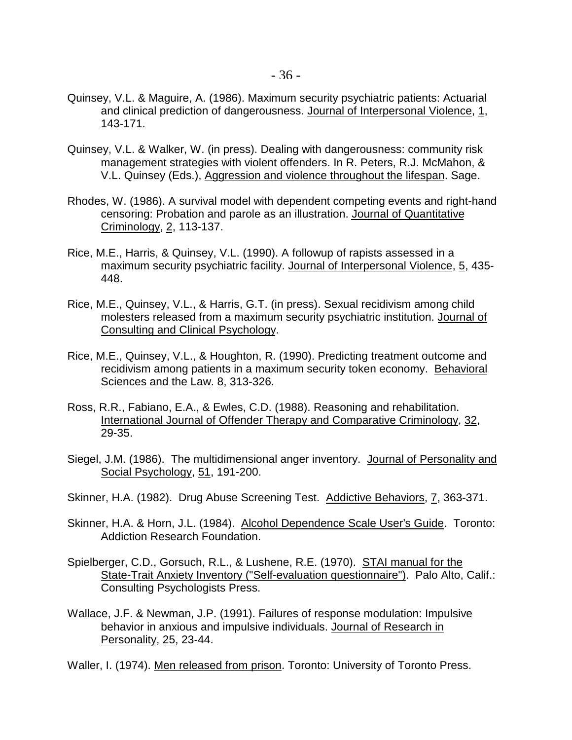- Quinsey, V.L. & Maguire, A. (1986). Maximum security psychiatric patients: Actuarial and clinical prediction of dangerousness. Journal of Interpersonal Violence, 1, 143-171.
- Quinsey, V.L. & Walker, W. (in press). Dealing with dangerousness: community risk management strategies with violent offenders. In R. Peters, R.J. McMahon, & V.L. Quinsey (Eds.), Aggression and violence throughout the lifespan. Sage.
- Rhodes, W. (1986). A survival model with dependent competing events and right-hand censoring: Probation and parole as an illustration. Journal of Quantitative Criminology, 2, 113-137.
- Rice, M.E., Harris, & Quinsey, V.L. (1990). A followup of rapists assessed in a maximum security psychiatric facility. Journal of Interpersonal Violence, 5, 435- 448.
- Rice, M.E., Quinsey, V.L., & Harris, G.T. (in press). Sexual recidivism among child molesters released from a maximum security psychiatric institution. Journal of Consulting and Clinical Psychology.
- Rice, M.E., Quinsey, V.L., & Houghton, R. (1990). Predicting treatment outcome and recidivism among patients in a maximum security token economy. Behavioral Sciences and the Law. 8, 313-326.
- Ross, R.R., Fabiano, E.A., & Ewles, C.D. (1988). Reasoning and rehabilitation. International Journal of Offender Therapy and Comparative Criminology, 32, 29-35.
- Siegel, J.M. (1986). The multidimensional anger inventory. Journal of Personality and Social Psychology, 51, 191-200.
- Skinner, H.A. (1982). Drug Abuse Screening Test. Addictive Behaviors, 7, 363-371.
- Skinner, H.A. & Horn, J.L. (1984). Alcohol Dependence Scale User's Guide. Toronto: Addiction Research Foundation.
- Spielberger, C.D., Gorsuch, R.L., & Lushene, R.E. (1970). STAI manual for the State-Trait Anxiety Inventory ("Self-evaluation questionnaire"). Palo Alto, Calif.: Consulting Psychologists Press.
- Wallace, J.F. & Newman, J.P. (1991). Failures of response modulation: Impulsive behavior in anxious and impulsive individuals. Journal of Research in Personality, 25, 23-44.

Waller, I. (1974). Men released from prison. Toronto: University of Toronto Press.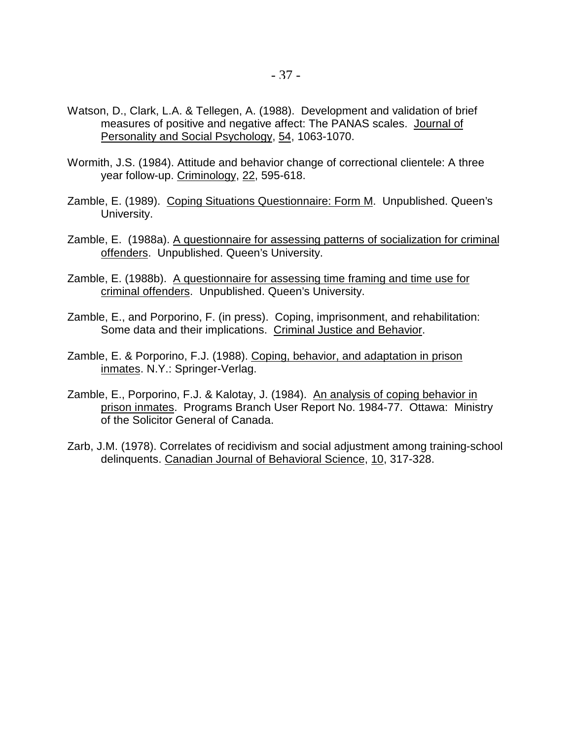- Watson, D., Clark, L.A. & Tellegen, A. (1988). Development and validation of brief measures of positive and negative affect: The PANAS scales. Journal of Personality and Social Psychology, 54, 1063-1070.
- Wormith, J.S. (1984). Attitude and behavior change of correctional clientele: A three year follow-up. Criminology, 22, 595-618.
- Zamble, E. (1989). Coping Situations Questionnaire: Form M. Unpublished. Queen's University.
- Zamble, E. (1988a). A questionnaire for assessing patterns of socialization for criminal offenders. Unpublished. Queen's University.
- Zamble, E. (1988b). A questionnaire for assessing time framing and time use for criminal offenders. Unpublished. Queen's University.
- Zamble, E., and Porporino, F. (in press). Coping, imprisonment, and rehabilitation: Some data and their implications. Criminal Justice and Behavior.
- Zamble, E. & Porporino, F.J. (1988). Coping, behavior, and adaptation in prison inmates. N.Y.: Springer-Verlag.
- Zamble, E., Porporino, F.J. & Kalotay, J. (1984). An analysis of coping behavior in prison inmates. Programs Branch User Report No. 1984-77. Ottawa: Ministry of the Solicitor General of Canada.
- Zarb, J.M. (1978). Correlates of recidivism and social adjustment among training-school delinquents. Canadian Journal of Behavioral Science, 10, 317-328.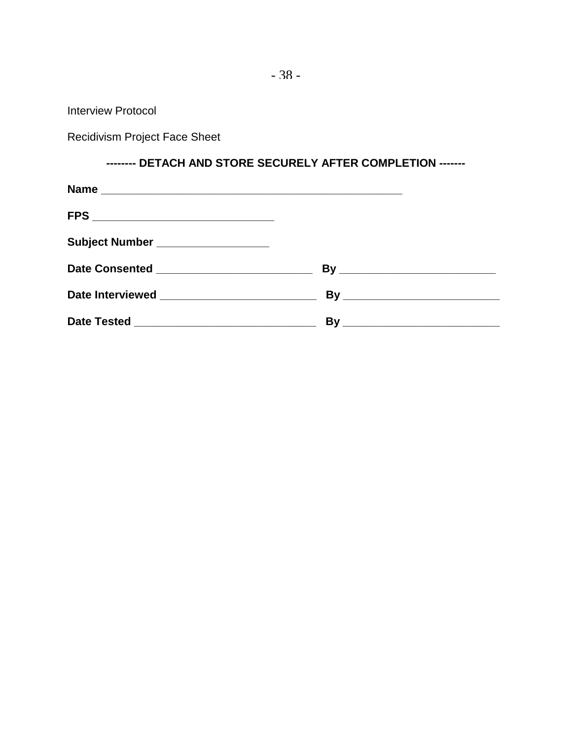Interview Protocol

Recidivism Project Face Sheet

## **-------- DETACH AND STORE SECURELY AFTER COMPLETION -------**

| Subject Number ___________________               |  |
|--------------------------------------------------|--|
| Date Consented ________________________________  |  |
| Date Interviewed _______________________________ |  |
|                                                  |  |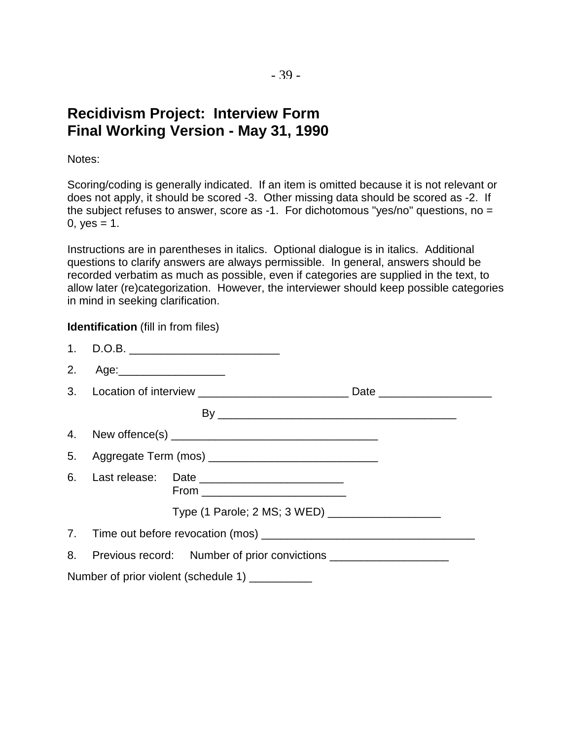# **Recidivism Project: Interview Form Final Working Version - May 31, 1990**

Notes:

Scoring/coding is generally indicated. If an item is omitted because it is not relevant or does not apply, it should be scored -3. Other missing data should be scored as -2. If the subject refuses to answer, score as -1. For dichotomous "yes/no" questions, no = 0,  $yes = 1$ .

Instructions are in parentheses in italics. Optional dialogue is in italics. Additional questions to clarify answers are always permissible. In general, answers should be recorded verbatim as much as possible, even if categories are supplied in the text, to allow later (re)categorization. However, the interviewer should keep possible categories in mind in seeking clarification.

#### **Identification** (fill in from files)

|    | 1. D.O.B. ________________________________                                            |  |
|----|---------------------------------------------------------------------------------------|--|
| 2. | Age:_____________________                                                             |  |
|    |                                                                                       |  |
|    |                                                                                       |  |
|    |                                                                                       |  |
|    |                                                                                       |  |
|    | 6. Last release: Date __________________________<br>From ____________________________ |  |
|    | Type (1 Parole; 2 MS; 3 WED) _____________________                                    |  |
|    |                                                                                       |  |
|    | 8. Previous record: Number of prior convictions ____________________                  |  |
|    | Number of prior violent (schedule 1) __________                                       |  |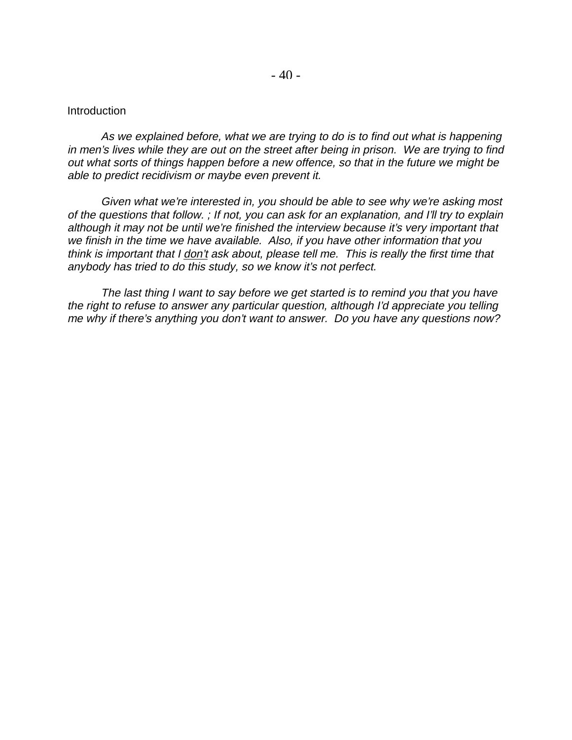#### Introduction

As we explained before, what we are trying to do is to find out what is happening in men's lives while they are out on the street after being in prison. We are trying to find out what sorts of things happen before a new offence, so that in the future we might be able to predict recidivism or maybe even prevent it.

Given what we're interested in, you should be able to see why we're asking most of the questions that follow. ; If not, you can ask for an explanation, and I'll try to explain although it may not be until we're finished the interview because it's very important that we finish in the time we have available. Also, if you have other information that you think is important that I don't ask about, please tell me. This is really the first time that anybody has tried to do this study, so we know it's not perfect.

The last thing I want to say before we get started is to remind you that you have the right to refuse to answer any particular question, although I'd appreciate you telling me why if there's anything you don't want to answer. Do you have any questions now?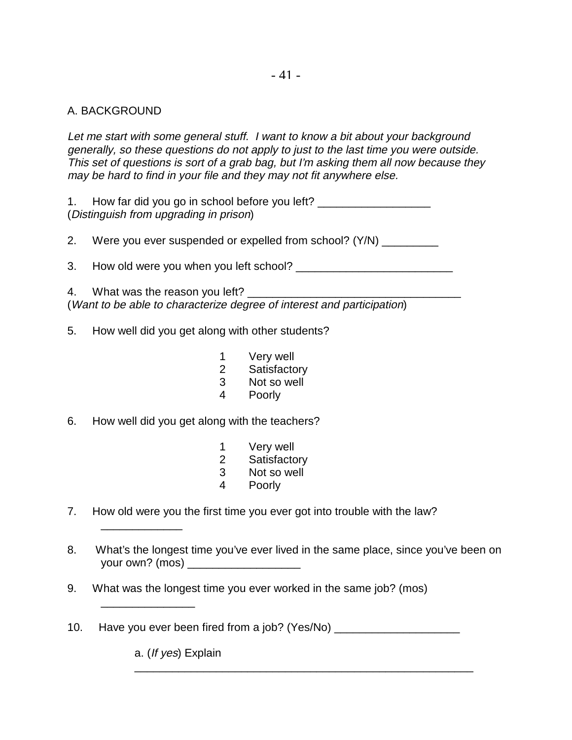## A. BACKGROUND

Let me start with some general stuff. I want to know a bit about your background generally, so these questions do not apply to just to the last time you were outside. This set of questions is sort of a grab bag, but I'm asking them all now because they may be hard to find in your file and they may not fit anywhere else.

1. How far did you go in school before you left? (Distinguish from upgrading in prison)

2. Were you ever suspended or expelled from school? (Y/N) \_\_\_\_\_\_\_\_\_\_

3. How old were you when you left school? \_\_\_\_\_\_\_\_\_\_\_\_\_\_\_\_\_\_\_\_\_\_\_\_\_

4. What was the reason you left? (Want to be able to characterize degree of interest and participation)

- 5. How well did you get along with other students?
	- 1 Very well
	- 2 Satisfactory
	- 3 Not so well
	- 4 Poorly
- 6. How well did you get along with the teachers?
	- 1 Very well
	- 2 Satisfactory
	- 3 Not so well
	- 4 Poorly
- 7. How old were you the first time you ever got into trouble with the law?
- 8. What's the longest time you've ever lived in the same place, since you've been on your own? (mos) \_\_\_\_\_\_\_\_\_\_\_\_\_\_\_\_\_\_

\_\_\_\_\_\_\_\_\_\_\_\_\_\_\_\_\_\_\_\_\_\_\_\_\_\_\_\_\_\_\_\_\_\_\_\_\_\_\_\_\_\_\_\_\_\_\_\_\_\_\_\_\_\_

- 9. What was the longest time you ever worked in the same job? (mos)
- 10. Have you ever been fired from a job? (Yes/No) \_\_\_\_\_\_\_\_\_\_\_\_\_\_\_\_\_\_\_\_\_\_\_\_\_\_\_\_\_\_

a. (If yes) Explain

\_\_\_\_\_\_\_\_\_\_\_\_\_

\_\_\_\_\_\_\_\_\_\_\_\_\_\_\_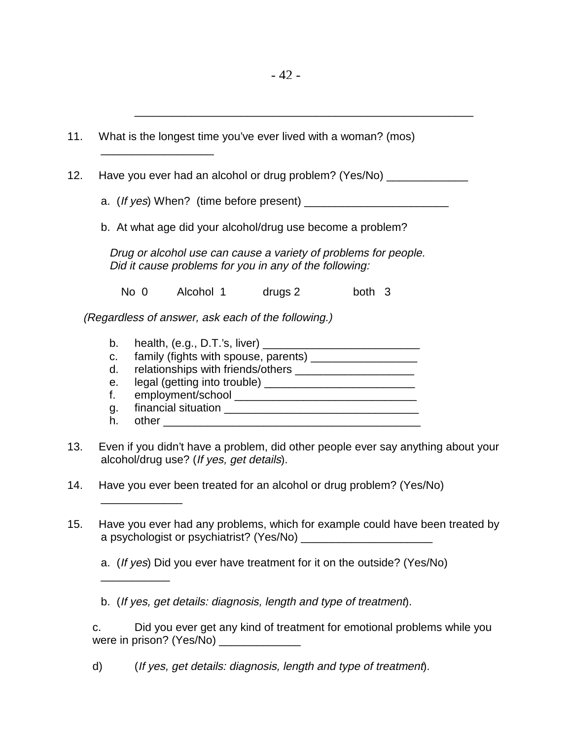| 11.        | What is the longest time you've ever lived with a woman? (mos)                                                                                                                                                                                                                                             |
|------------|------------------------------------------------------------------------------------------------------------------------------------------------------------------------------------------------------------------------------------------------------------------------------------------------------------|
| 12.        | Have you ever had an alcohol or drug problem? (Yes/No) _________________________                                                                                                                                                                                                                           |
|            |                                                                                                                                                                                                                                                                                                            |
|            | b. At what age did your alcohol/drug use become a problem?                                                                                                                                                                                                                                                 |
|            | Drug or alcohol use can cause a variety of problems for people.<br>Did it cause problems for you in any of the following:                                                                                                                                                                                  |
|            | Alcohol 1 drugs 2<br>No 0<br>both 3                                                                                                                                                                                                                                                                        |
|            | (Regardless of answer, ask each of the following.)                                                                                                                                                                                                                                                         |
| 13.<br>14. | b.<br>family (fights with spouse, parents) ____________________<br>C.<br>d.<br>е.<br>f.<br>g.<br>h.<br>Even if you didn't have a problem, did other people ever say anything about your<br>alcohol/drug use? (If yes, get details).<br>Have you ever been treated for an alcohol or drug problem? (Yes/No) |
| 15.        | Have you ever had any problems, which for example could have been treated by<br>a psychologist or psychiatrist? (Yes/No)<br>a. (If yes) Did you ever have treatment for it on the outside? (Yes/No)                                                                                                        |
|            | b. (If yes, get details: diagnosis, length and type of treatment).                                                                                                                                                                                                                                         |
|            | Did you ever get any kind of treatment for emotional problems while you<br>c.                                                                                                                                                                                                                              |
|            | (If yes, get details: diagnosis, length and type of treatment).<br>d)                                                                                                                                                                                                                                      |
|            |                                                                                                                                                                                                                                                                                                            |

\_\_\_\_\_\_\_\_\_\_\_\_\_\_\_\_\_\_\_\_\_\_\_\_\_\_\_\_\_\_\_\_\_\_\_\_\_\_\_\_\_\_\_\_\_\_\_\_\_\_\_\_\_\_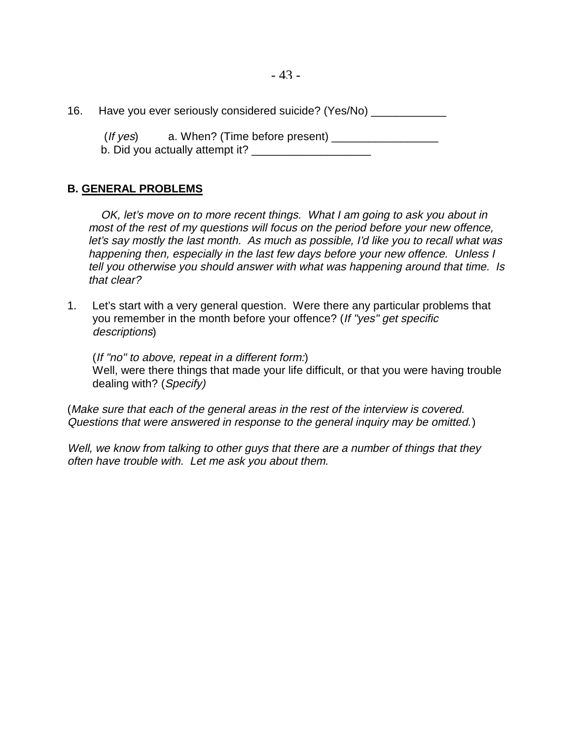16. Have you ever seriously considered suicide? (Yes/No) \_\_\_\_\_\_\_\_\_\_\_\_\_\_\_\_\_

 (If yes) a. When? (Time before present) \_\_\_\_\_\_\_\_\_\_\_\_\_\_\_\_\_ b. Did you actually attempt it?

## **B. GENERAL PROBLEMS**

OK, let's move on to more recent things. What I am going to ask you about in most of the rest of my questions will focus on the period before your new offence, let's say mostly the last month. As much as possible, I'd like you to recall what was happening then, especially in the last few days before your new offence. Unless I tell you otherwise you should answer with what was happening around that time. Is that clear?

1. Let's start with a very general question. Were there any particular problems that you remember in the month before your offence? (If "yes" get specific descriptions)

(If "no" to above, repeat in a different form:) Well, were there things that made your life difficult, or that you were having trouble dealing with? (Specify)

(Make sure that each of the general areas in the rest of the interview is covered. Questions that were answered in response to the general inquiry may be omitted.)

Well, we know from talking to other guys that there are a number of things that they often have trouble with. Let me ask you about them.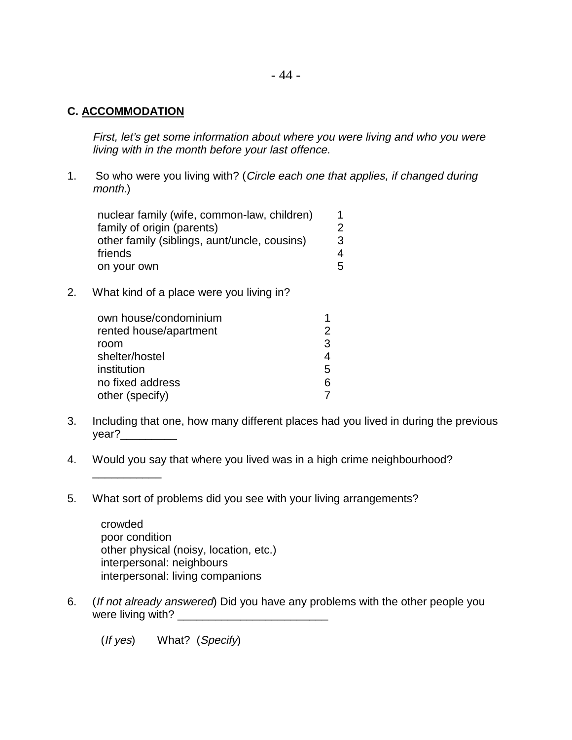#### **C. ACCOMMODATION**

\_\_\_\_\_\_\_\_\_\_\_

First, let's get some information about where you were living and who you were living with in the month before your last offence.

1. So who were you living with? (Circle each one that applies, if changed during month.)

| nuclear family (wife, common-law, children)  |   |
|----------------------------------------------|---|
| family of origin (parents)                   |   |
| other family (siblings, aunt/uncle, cousins) | 3 |
| friends                                      | 4 |
| on your own                                  | 5 |

2. What kind of a place were you living in?

| own house/condominium  |    |
|------------------------|----|
| rented house/apartment | 2  |
| room                   | 3  |
| shelter/hostel         |    |
| institution            | 5  |
| no fixed address       | ิธ |
| other (specify)        |    |

- 3. Including that one, how many different places had you lived in during the previous year?\_\_\_\_\_\_\_\_\_
- 4. Would you say that where you lived was in a high crime neighbourhood?
- 5. What sort of problems did you see with your living arrangements?

crowded poor condition other physical (noisy, location, etc.) interpersonal: neighbours interpersonal: living companions

6. (If not already answered) Did you have any problems with the other people you were living with? \_\_\_\_\_\_\_\_\_\_\_\_\_\_\_\_\_\_\_\_\_\_\_\_

(If yes) What? (Specify)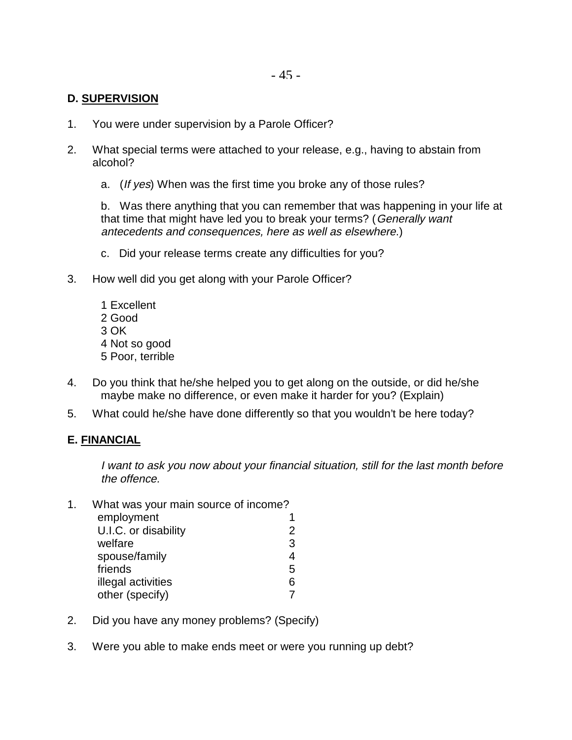#### **D. SUPERVISION**

- 1. You were under supervision by a Parole Officer?
- 2. What special terms were attached to your release, e.g., having to abstain from alcohol?
	- a. (If yes) When was the first time you broke any of those rules?

b. Was there anything that you can remember that was happening in your life at that time that might have led you to break your terms? (Generally want antecedents and consequences, here as well as elsewhere.)

- c. Did your release terms create any difficulties for you?
- 3. How well did you get along with your Parole Officer?
	- 1 Excellent 2 Good 3 OK 4 Not so good 5 Poor, terrible
- 4. Do you think that he/she helped you to get along on the outside, or did he/she maybe make no difference, or even make it harder for you? (Explain)
- 5. What could he/she have done differently so that you wouldn't be here today?

#### **E. FINANCIAL**

I want to ask you now about your financial situation, still for the last month before the offence.

| 1. | What was your main source of income? |   |  |
|----|--------------------------------------|---|--|
|    | employment                           |   |  |
|    | U.I.C. or disability                 | 2 |  |
|    | welfare                              | 3 |  |
|    | spouse/family                        | 4 |  |
|    | friends                              | 5 |  |
|    | illegal activities                   | 6 |  |
|    | other (specify)                      |   |  |

- 2. Did you have any money problems? (Specify)
- 3. Were you able to make ends meet or were you running up debt?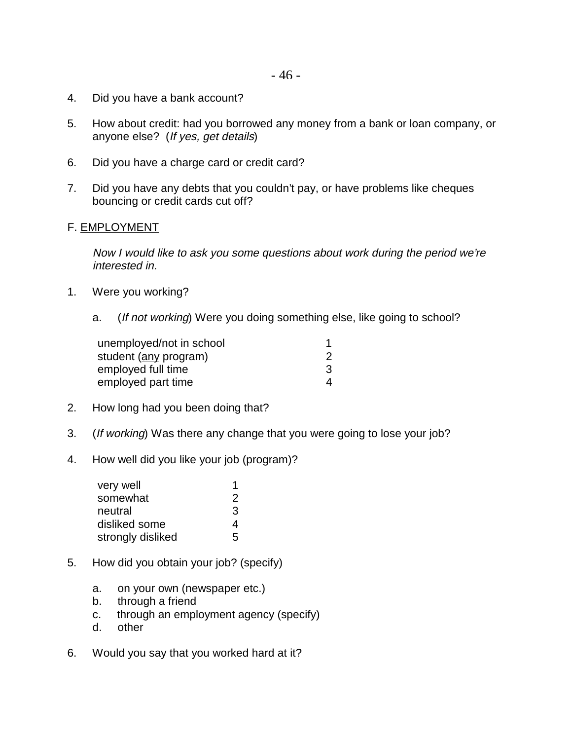- 4. Did you have a bank account?
- 5. How about credit: had you borrowed any money from a bank or loan company, or anyone else? (If yes, get details)
- 6. Did you have a charge card or credit card?
- 7. Did you have any debts that you couldn't pay, or have problems like cheques bouncing or credit cards cut off?

#### F. EMPLOYMENT

Now I would like to ask you some questions about work during the period we're interested in.

- 1. Were you working?
	- a. (If not working) Were you doing something else, like going to school?

| unemployed/not in school |   |
|--------------------------|---|
| student (any program)    |   |
| employed full time       | 3 |
| employed part time       | 4 |

- 2. How long had you been doing that?
- 3. (If working) Was there any change that you were going to lose your job?
- 4. How well did you like your job (program)?

| very well         |   |
|-------------------|---|
| somewhat          | 2 |
| neutral           | 3 |
| disliked some     | 4 |
| strongly disliked | 5 |

- 5. How did you obtain your job? (specify)
	- a. on your own (newspaper etc.)
	- b. through a friend
	- c. through an employment agency (specify)
	- d. other
- 6. Would you say that you worked hard at it?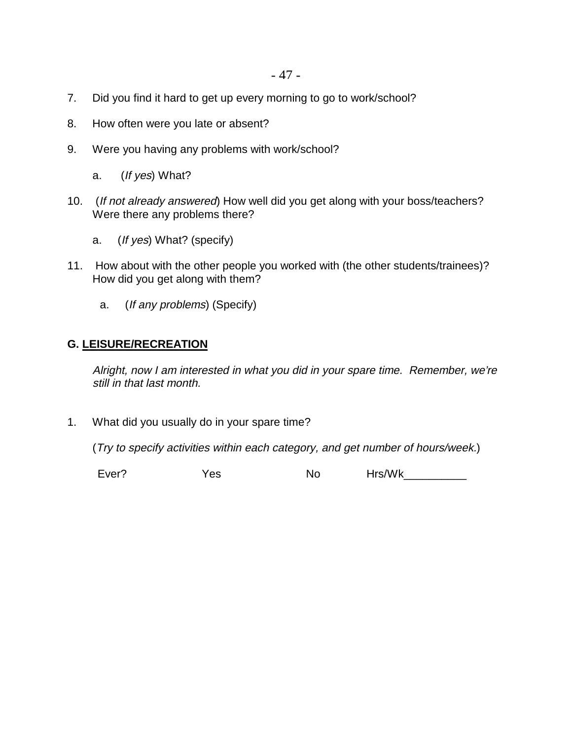- 7. Did you find it hard to get up every morning to go to work/school?
- 8. How often were you late or absent?
- 9. Were you having any problems with work/school?
	- a. (If yes) What?
- 10. (If not already answered) How well did you get along with your boss/teachers? Were there any problems there?
	- a. (If yes) What? (specify)
- 11. How about with the other people you worked with (the other students/trainees)? How did you get along with them?
	- a. (If any problems) (Specify)

#### **G. LEISURE/RECREATION**

Alright, now I am interested in what you did in your spare time. Remember, we're still in that last month.

1. What did you usually do in your spare time?

(Try to specify activities within each category, and get number of hours/week.)

Ever? Yes No Hrs/Wk\_\_\_\_\_\_\_\_\_\_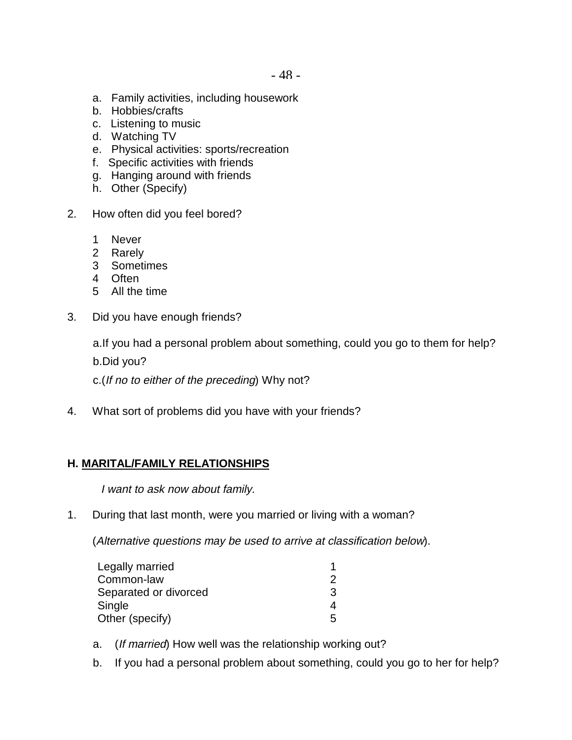- a. Family activities, including housework
- b. Hobbies/crafts
- c. Listening to music
- d. Watching TV
- e. Physical activities: sports/recreation
- f. Specific activities with friends
- g. Hanging around with friends
- h. Other (Specify)
- 2. How often did you feel bored?
	- 1 Never
	- 2 Rarely
	- 3 Sometimes
	- 4 Often
	- 5 All the time
- 3. Did you have enough friends?

a.If you had a personal problem about something, could you go to them for help? b.Did you?

c.(If no to either of the preceding) Why not?

4. What sort of problems did you have with your friends?

#### **H. MARITAL/FAMILY RELATIONSHIPS**

I want to ask now about family.

1. During that last month, were you married or living with a woman?

(Alternative questions may be used to arrive at classification below).

| Legally married       |   |
|-----------------------|---|
| Common-law            |   |
| Separated or divorced | 3 |
| Single                |   |
| Other (specify)       | 5 |

- a. (If married) How well was the relationship working out?
- b. If you had a personal problem about something, could you go to her for help?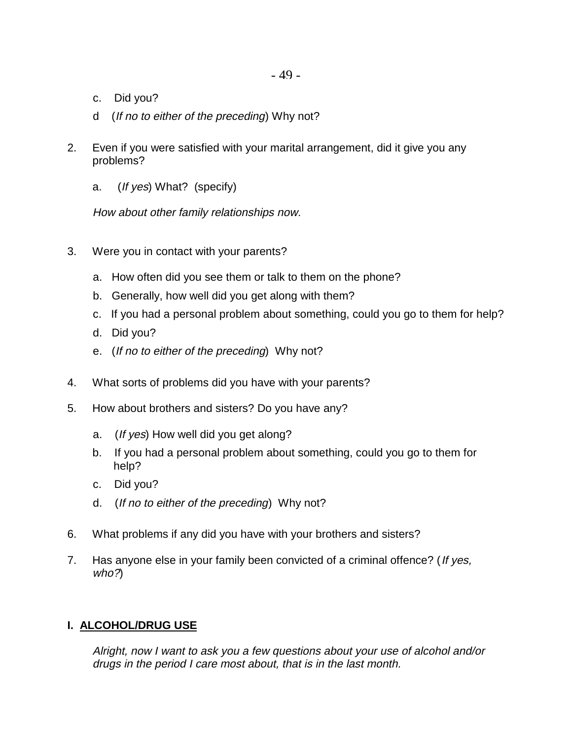- c. Did you?
- d (If no to either of the preceding) Why not?
- 2. Even if you were satisfied with your marital arrangement, did it give you any problems?
	- a. (If yes) What? (specify)

How about other family relationships now.

- 3. Were you in contact with your parents?
	- a. How often did you see them or talk to them on the phone?
	- b. Generally, how well did you get along with them?
	- c. If you had a personal problem about something, could you go to them for help?
	- d. Did you?
	- e. (If no to either of the preceding) Why not?
- 4. What sorts of problems did you have with your parents?
- 5. How about brothers and sisters? Do you have any?
	- a. (If yes) How well did you get along?
	- b. If you had a personal problem about something, could you go to them for help?
	- c. Did you?
	- d. (If no to either of the preceding) Why not?
- 6. What problems if any did you have with your brothers and sisters?
- 7. Has anyone else in your family been convicted of a criminal offence? (If yes, who?)

## **I. ALCOHOL/DRUG USE**

Alright, now I want to ask you a few questions about your use of alcohol and/or drugs in the period I care most about, that is in the last month.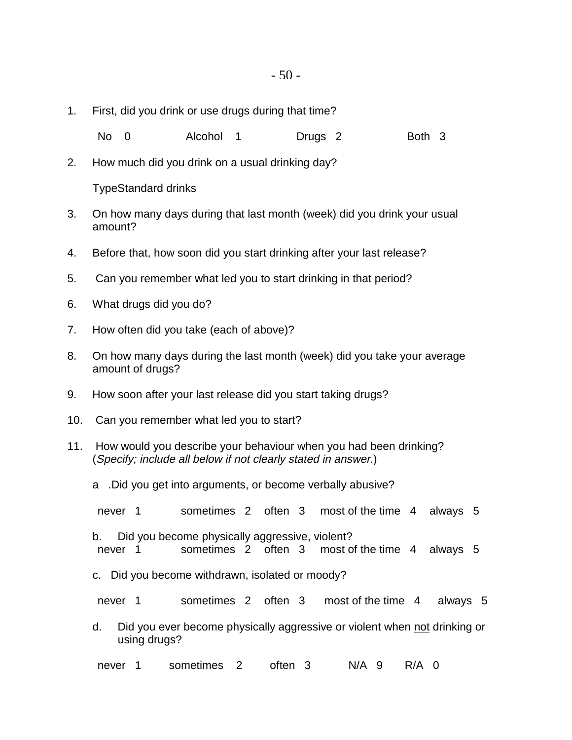1. First, did you drink or use drugs during that time?

No 0 Alcohol 1 Drugs 2 Both 3

2. How much did you drink on a usual drinking day?

TypeStandard drinks

- 3. On how many days during that last month (week) did you drink your usual amount?
- 4. Before that, how soon did you start drinking after your last release?
- 5. Can you remember what led you to start drinking in that period?
- 6. What drugs did you do?
- 7. How often did you take (each of above)?
- 8. On how many days during the last month (week) did you take your average amount of drugs?
- 9. How soon after your last release did you start taking drugs?
- 10. Can you remember what led you to start?
- 11. How would you describe your behaviour when you had been drinking? (Specify; include all below if not clearly stated in answer.)
	- a .Did you get into arguments, or become verbally abusive?
	- never 1 sometimes 2 often 3 most of the time 4 always 5
	- b. Did you become physically aggressive, violent? never 1 sometimes 2 often 3 most of the time 4 always 5
	- c. Did you become withdrawn, isolated or moody?
	- never 1 sometimes 2 often 3 most of the time 4 always 5
	- d. Did you ever become physically aggressive or violent when not drinking or using drugs?

never 1 sometimes 2 often 3 N/A 9 R/A 0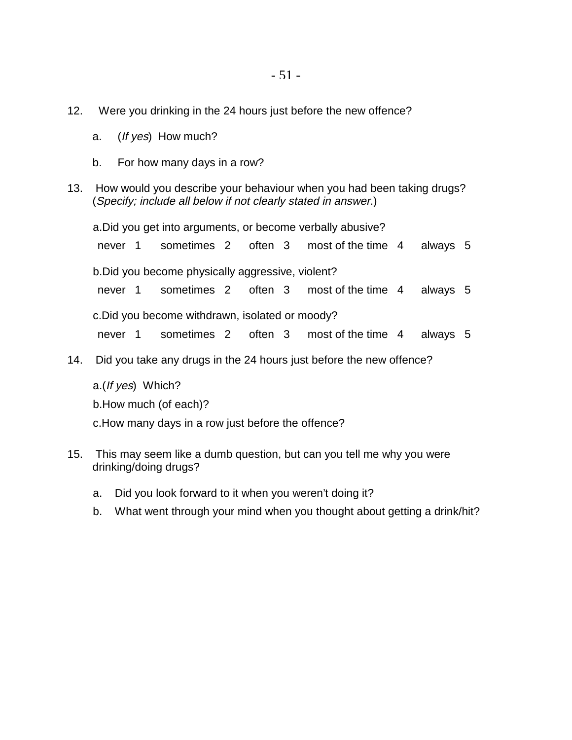- 12. Were you drinking in the 24 hours just before the new offence?
	- a. (If yes) How much?
	- b. For how many days in a row?
- 13. How would you describe your behaviour when you had been taking drugs? (Specify; include all below if not clearly stated in answer.)

a.Did you get into arguments, or become verbally abusive? never 1 sometimes 2 often 3 most of the time 4 always 5 b.Did you become physically aggressive, violent? never 1 sometimes 2 often 3 most of the time 4 always 5 c.Did you become withdrawn, isolated or moody? never 1 sometimes 2 often 3 most of the time 4 always 5

14. Did you take any drugs in the 24 hours just before the new offence?

a.(If yes) Which? b.How much (of each)? c.How many days in a row just before the offence?

- 15. This may seem like a dumb question, but can you tell me why you were drinking/doing drugs?
	- a. Did you look forward to it when you weren't doing it?
	- b. What went through your mind when you thought about getting a drink/hit?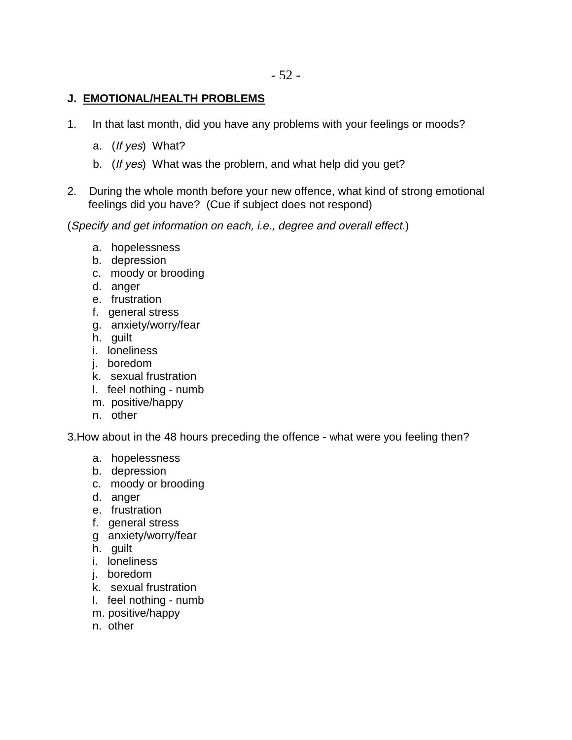#### **J. EMOTIONAL/HEALTH PROBLEMS**

- 1. In that last month, did you have any problems with your feelings or moods?
	- a. (If yes) What?
	- b. (If yes) What was the problem, and what help did you get?
- 2. During the whole month before your new offence, what kind of strong emotional feelings did you have? (Cue if subject does not respond)

(Specify and get information on each, i.e., degree and overall effect.)

- a. hopelessness
- b. depression
- c. moody or brooding
- d. anger
- e. frustration
- f. general stress
- g. anxiety/worry/fear
- h. guilt
- i. loneliness
- j. boredom
- k. sexual frustration
- l. feel nothing numb
- m. positive/happy
- n. other

3.How about in the 48 hours preceding the offence - what were you feeling then?

- a. hopelessness
- b. depression
- c. moody or brooding
- d. anger
- e. frustration
- f. general stress
- g anxiety/worry/fear
- h. guilt
- i. loneliness
- j. boredom
- k. sexual frustration
- l. feel nothing numb
- m. positive/happy
- n. other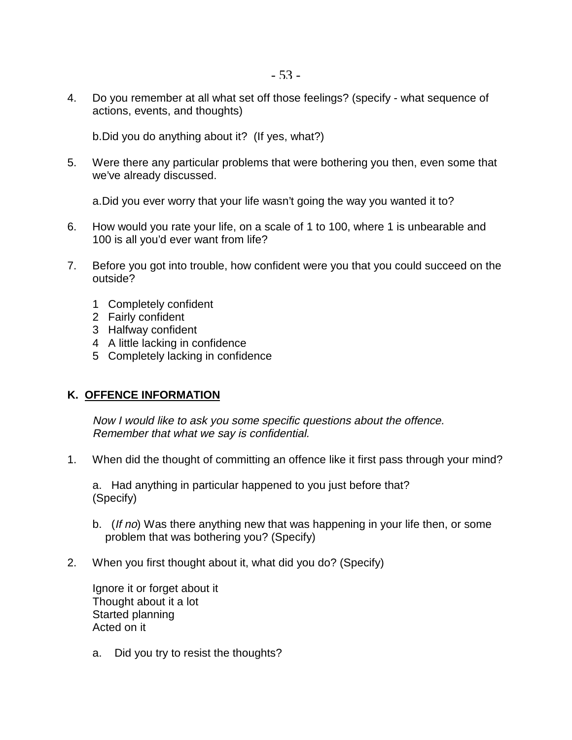4. Do you remember at all what set off those feelings? (specify - what sequence of actions, events, and thoughts)

b.Did you do anything about it? (If yes, what?)

5. Were there any particular problems that were bothering you then, even some that we've already discussed.

a.Did you ever worry that your life wasn't going the way you wanted it to?

- 6. How would you rate your life, on a scale of 1 to 100, where 1 is unbearable and 100 is all you'd ever want from life?
- 7. Before you got into trouble, how confident were you that you could succeed on the outside?
	- 1 Completely confident
	- 2 Fairly confident
	- 3 Halfway confident
	- 4 A little lacking in confidence
	- 5 Completely lacking in confidence

#### **K. OFFENCE INFORMATION**

Now I would like to ask you some specific questions about the offence. Remember that what we say is confidential.

1. When did the thought of committing an offence like it first pass through your mind?

a. Had anything in particular happened to you just before that? (Specify)

- b. (If no) Was there anything new that was happening in your life then, or some problem that was bothering you? (Specify)
- 2. When you first thought about it, what did you do? (Specify)

Ignore it or forget about it Thought about it a lot Started planning Acted on it

a. Did you try to resist the thoughts?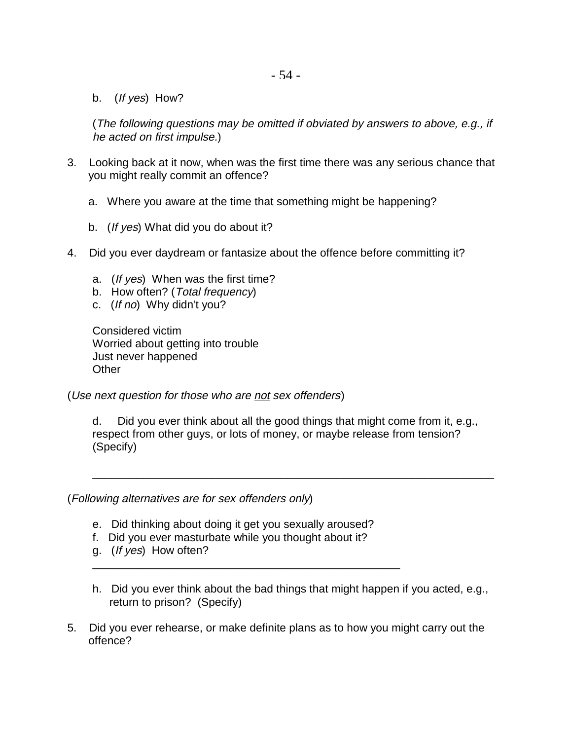b. (If yes) How?

(The following questions may be omitted if obviated by answers to above, e.g., if he acted on first impulse.)

- 3. Looking back at it now, when was the first time there was any serious chance that you might really commit an offence?
	- a. Where you aware at the time that something might be happening?
	- b. (If yes) What did you do about it?
- 4. Did you ever daydream or fantasize about the offence before committing it?
	- a. (If yes) When was the first time?
	- b. How often? (Total frequency)
	- c. (If no) Why didn't you?

Considered victim Worried about getting into trouble Just never happened **Other** 

(Use next question for those who are not sex offenders)

d. Did you ever think about all the good things that might come from it, e.g., respect from other guys, or lots of money, or maybe release from tension? (Specify)

\_\_\_\_\_\_\_\_\_\_\_\_\_\_\_\_\_\_\_\_\_\_\_\_\_\_\_\_\_\_\_\_\_\_\_\_\_\_\_\_\_\_\_\_\_\_\_\_\_\_\_\_\_\_\_\_\_\_\_\_\_\_\_\_

(Following alternatives are for sex offenders only)

- e. Did thinking about doing it get you sexually aroused?
- f. Did you ever masturbate while you thought about it?

\_\_\_\_\_\_\_\_\_\_\_\_\_\_\_\_\_\_\_\_\_\_\_\_\_\_\_\_\_\_\_\_\_\_\_\_\_\_\_\_\_\_\_\_\_\_\_\_\_

- g. (If yes) How often?
- h. Did you ever think about the bad things that might happen if you acted, e.g., return to prison? (Specify)
- 5. Did you ever rehearse, or make definite plans as to how you might carry out the offence?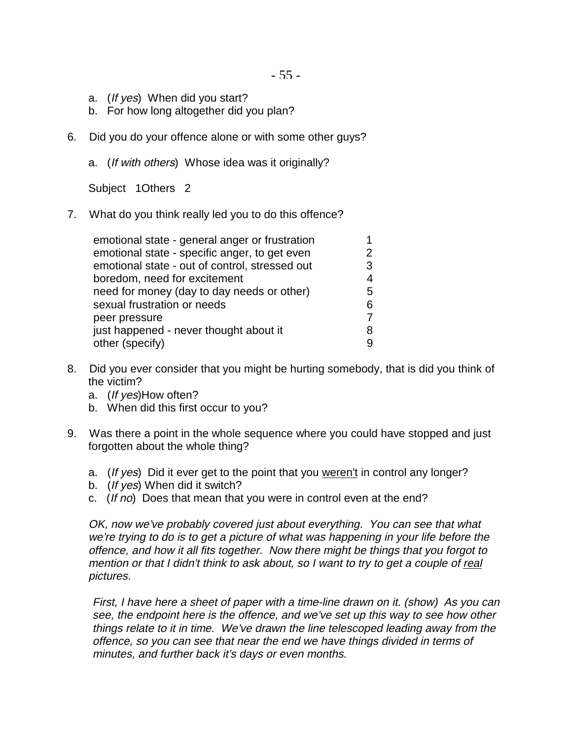- a. (If yes) When did you start?
- b. For how long altogether did you plan?
- 6. Did you do your offence alone or with some other guys?
	- a. (If with others) Whose idea was it originally?

Subject 1Others 2

7. What do you think really led you to do this offence?

| emotional state - general anger or frustration |    |
|------------------------------------------------|----|
| emotional state - specific anger, to get even  | 2  |
| emotional state - out of control, stressed out | 3  |
| boredom, need for excitement                   | 4  |
| need for money (day to day needs or other)     | 5. |
| sexual frustration or needs                    | 6  |
| peer pressure                                  |    |
| just happened - never thought about it         | 8  |
| other (specify)                                | 9  |
|                                                |    |

- 8. Did you ever consider that you might be hurting somebody, that is did you think of the victim?
	- a. (If yes)How often?
	- b. When did this first occur to you?
- 9. Was there a point in the whole sequence where you could have stopped and just forgotten about the whole thing?
	- a. (If yes) Did it ever get to the point that you weren't in control any longer?
	- b. (If yes) When did it switch?
	- c. (If no) Does that mean that you were in control even at the end?

OK, now we've probably covered just about everything. You can see that what we're trying to do is to get a picture of what was happening in your life before the offence, and how it all fits together. Now there might be things that you forgot to mention or that I didn't think to ask about, so I want to try to get a couple of real pictures.

First, I have here a sheet of paper with a time-line drawn on it. (show) As you can see, the endpoint here is the offence, and we've set up this way to see how other things relate to it in time. We've drawn the line telescoped leading away from the offence, so you can see that near the end we have things divided in terms of minutes, and further back it's days or even months.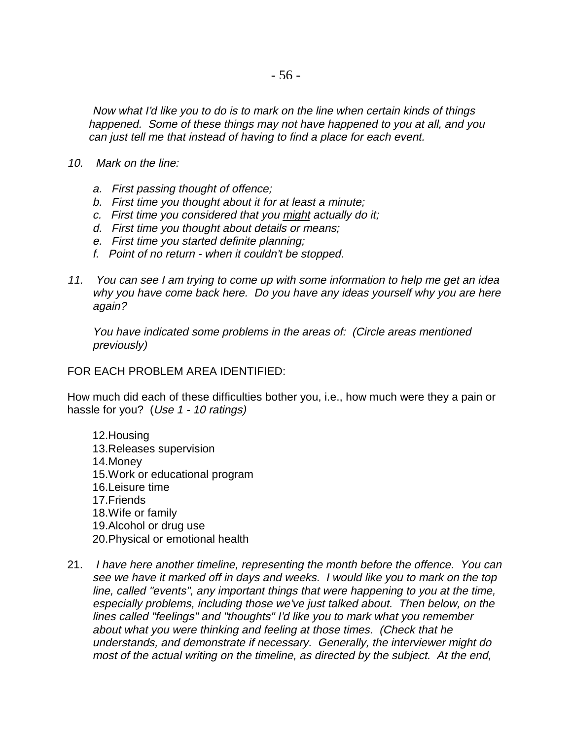Now what I'd like you to do is to mark on the line when certain kinds of things happened. Some of these things may not have happened to you at all, and you can just tell me that instead of having to find a place for each event.

- 10. Mark on the line:
	- a. First passing thought of offence;
	- b. First time you thought about it for at least a minute;
	- c. First time you considered that you might actually do it;
	- d. First time you thought about details or means;
	- e. First time you started definite planning;
	- f. Point of no return when it couldn't be stopped.
- 11. You can see I am trying to come up with some information to help me get an idea why you have come back here. Do you have any ideas yourself why you are here again?

You have indicated some problems in the areas of: (Circle areas mentioned previously)

#### FOR EACH PROBLEM AREA IDENTIFIED:

How much did each of these difficulties bother you, i.e., how much were they a pain or hassle for you? (Use 1 - 10 ratings)

- 12.Housing 13.Releases supervision 14.Money 15.Work or educational program 16.Leisure time 17.Friends 18.Wife or family 19.Alcohol or drug use 20.Physical or emotional health
- 21. I have here another timeline, representing the month before the offence. You can see we have it marked off in days and weeks. I would like you to mark on the top line, called "events", any important things that were happening to you at the time, especially problems, including those we've just talked about. Then below, on the lines called "feelings" and "thoughts" I'd like you to mark what you remember about what you were thinking and feeling at those times. (Check that he understands, and demonstrate if necessary. Generally, the interviewer might do most of the actual writing on the timeline, as directed by the subject. At the end,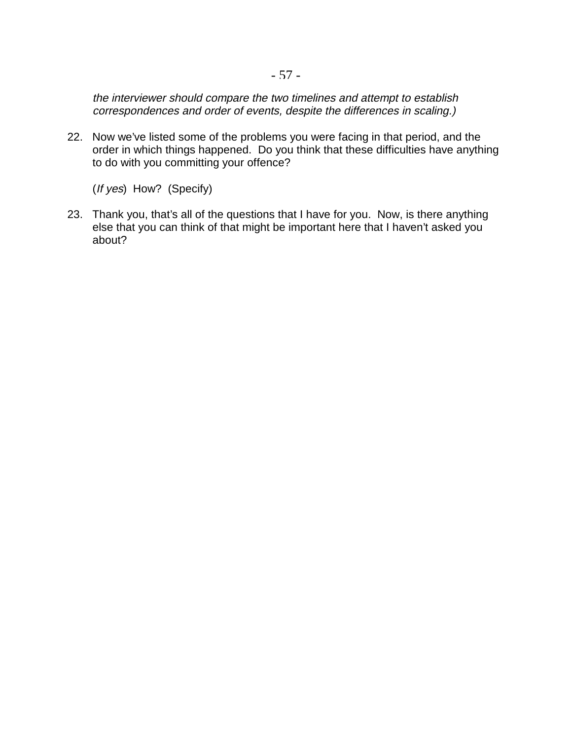the interviewer should compare the two timelines and attempt to establish correspondences and order of events, despite the differences in scaling.)

22. Now we've listed some of the problems you were facing in that period, and the order in which things happened. Do you think that these difficulties have anything to do with you committing your offence?

(If yes) How? (Specify)

23. Thank you, that's all of the questions that I have for you. Now, is there anything else that you can think of that might be important here that I haven't asked you about?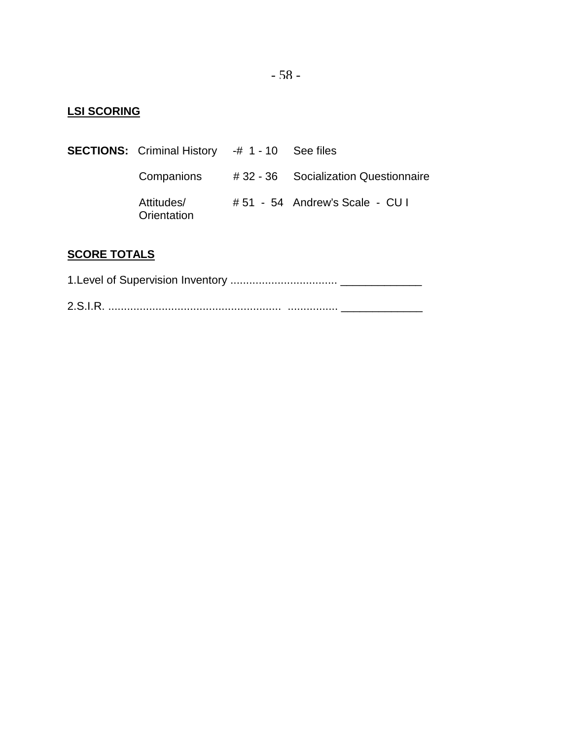## **LSI SCORING**

**SECTIONS:** Criminal History -# 1 - 10 See files Companions # 32 - 36 Socialization Questionnaire Attitudes/ # 51 - 54 Andrew's Scale - CU I **Orientation** 

## **SCORE TOTALS**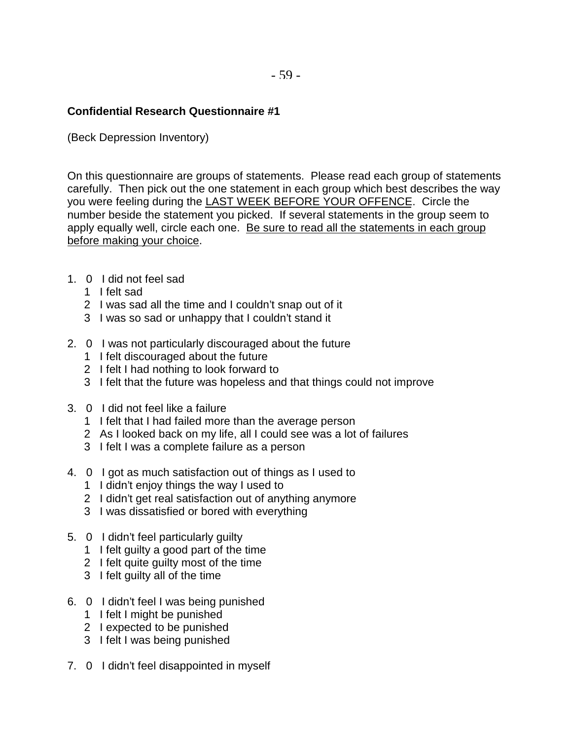#### **Confidential Research Questionnaire #1**

(Beck Depression Inventory)

On this questionnaire are groups of statements. Please read each group of statements carefully. Then pick out the one statement in each group which best describes the way you were feeling during the LAST WEEK BEFORE YOUR OFFENCE. Circle the number beside the statement you picked. If several statements in the group seem to apply equally well, circle each one. Be sure to read all the statements in each group before making your choice.

- 1. 0 I did not feel sad
	- 1 I felt sad
	- 2 I was sad all the time and I couldn't snap out of it
	- 3 I was so sad or unhappy that I couldn't stand it
- 2. 0 I was not particularly discouraged about the future
	- 1 I felt discouraged about the future
	- 2 I felt I had nothing to look forward to
	- 3 I felt that the future was hopeless and that things could not improve
- 3. 0 I did not feel like a failure
	- 1 I felt that I had failed more than the average person
	- 2 As I looked back on my life, all I could see was a lot of failures
	- 3 I felt I was a complete failure as a person
- 4. 0 I got as much satisfaction out of things as I used to
	- 1 I didn't enjoy things the way I used to
	- 2 I didn't get real satisfaction out of anything anymore
	- 3 I was dissatisfied or bored with everything
- 5. 0 I didn't feel particularly guilty
	- 1 I felt guilty a good part of the time
	- 2 I felt quite guilty most of the time
	- 3 I felt guilty all of the time
- 6. 0 I didn't feel I was being punished
	- 1 I felt I might be punished
	- 2 I expected to be punished
	- 3 I felt I was being punished
- 7. 0 I didn't feel disappointed in myself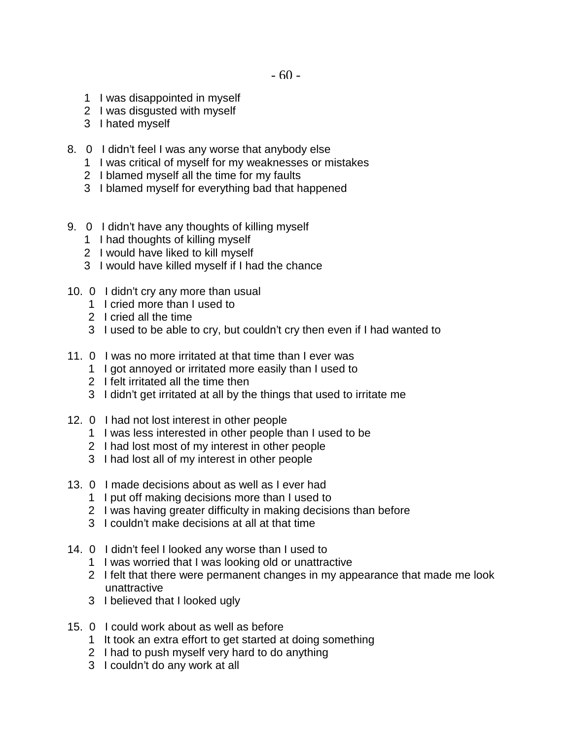- 1 I was disappointed in myself
- 2 I was disgusted with myself
- 3 I hated myself
- 8. 0 I didn't feel I was any worse that anybody else
	- 1 I was critical of myself for my weaknesses or mistakes
	- 2 I blamed myself all the time for my faults
	- 3 I blamed myself for everything bad that happened
- 9. 0 I didn't have any thoughts of killing myself
	- 1 I had thoughts of killing myself
	- 2 I would have liked to kill myself
	- 3 I would have killed myself if I had the chance
- 10. 0 I didn't cry any more than usual
	- 1 I cried more than I used to
	- 2 I cried all the time
	- 3 I used to be able to cry, but couldn't cry then even if I had wanted to
- 11. 0 I was no more irritated at that time than I ever was
	- 1 I got annoyed or irritated more easily than I used to
	- 2 I felt irritated all the time then
	- 3 I didn't get irritated at all by the things that used to irritate me
- 12. 0 I had not lost interest in other people
	- 1 I was less interested in other people than I used to be
	- 2 I had lost most of my interest in other people
	- 3 I had lost all of my interest in other people
- 13. 0 I made decisions about as well as I ever had
	- 1 I put off making decisions more than I used to
	- 2 I was having greater difficulty in making decisions than before
	- 3 I couldn't make decisions at all at that time
- 14. 0 I didn't feel I looked any worse than I used to
	- 1 I was worried that I was looking old or unattractive
	- 2 I felt that there were permanent changes in my appearance that made me look unattractive
	- 3 I believed that I looked ugly
- 15. 0 I could work about as well as before
	- 1 It took an extra effort to get started at doing something
	- 2 I had to push myself very hard to do anything
	- 3 I couldn't do any work at all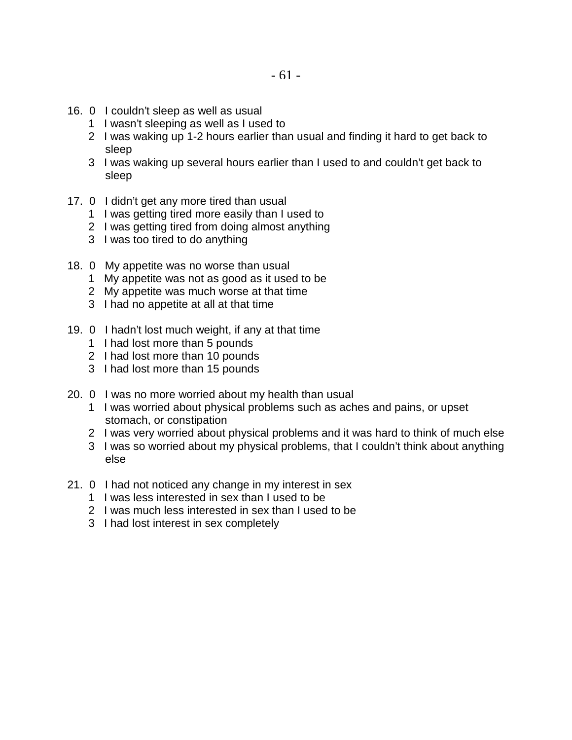- 16. 0 I couldn't sleep as well as usual
	- 1 I wasn't sleeping as well as I used to
	- 2 I was waking up 1-2 hours earlier than usual and finding it hard to get back to sleep
	- 3 I was waking up several hours earlier than I used to and couldn't get back to sleep
- 17. 0 I didn't get any more tired than usual
	- 1 I was getting tired more easily than I used to
	- 2 I was getting tired from doing almost anything
	- 3 I was too tired to do anything
- 18. 0 My appetite was no worse than usual
	- 1 My appetite was not as good as it used to be
	- 2 My appetite was much worse at that time
	- 3 I had no appetite at all at that time
- 19. 0 I hadn't lost much weight, if any at that time
	- 1 I had lost more than 5 pounds
	- 2 I had lost more than 10 pounds
	- 3 I had lost more than 15 pounds
- 20. 0 I was no more worried about my health than usual
	- 1 I was worried about physical problems such as aches and pains, or upset stomach, or constipation
	- 2 I was very worried about physical problems and it was hard to think of much else
	- 3 I was so worried about my physical problems, that I couldn't think about anything else
- 21. 0 I had not noticed any change in my interest in sex
	- 1 I was less interested in sex than I used to be
	- 2 I was much less interested in sex than I used to be
	- 3 I had lost interest in sex completely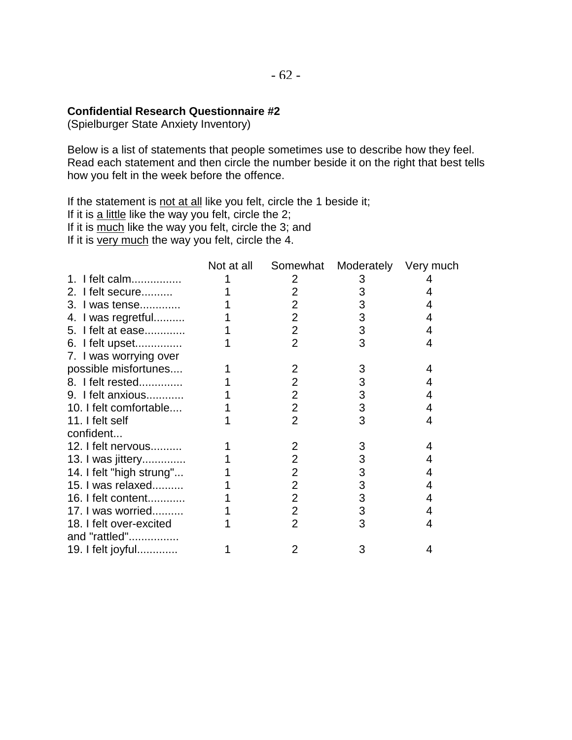#### **Confidential Research Questionnaire #2**

(Spielburger State Anxiety Inventory)

Below is a list of statements that people sometimes use to describe how they feel. Read each statement and then circle the number beside it on the right that best tells how you felt in the week before the offence.

If the statement is not at all like you felt, circle the 1 beside it;

If it is  $\underline{a}$  little like the way you felt, circle the 2;

If it is much like the way you felt, circle the 3; and

If it is very much the way you felt, circle the 4.

|                          | Not at all | Somewhat       | Moderately | Very much |
|--------------------------|------------|----------------|------------|-----------|
| 1. I felt calm           |            | 2              | 3          |           |
| 2. I felt secure         |            | $\overline{2}$ | 3          | 4         |
| 3. I was tense           |            | $\overline{2}$ | 3          | 4         |
| 4. I was regretful       |            | $\overline{2}$ | 3          | 4         |
| 5. I felt at ease        |            | $\overline{2}$ | 3          | 4         |
| 6. I felt upset          |            | $\overline{2}$ | 3          | 4         |
| 7. I was worrying over   |            |                |            |           |
| possible misfortunes     |            | 2              | 3          | 4         |
| 8. I felt rested         |            | $\overline{2}$ | 3          | 4         |
| 9. I felt anxious        |            | $\overline{2}$ | 3          | 4         |
| 10. I felt comfortable   |            | $\overline{2}$ | 3          | 4         |
| 11. I felt self          |            | $\overline{2}$ | 3          | 4         |
| confident                |            |                |            |           |
| 12. I felt nervous       |            | 2              | 3          | 4         |
| 13. I was jittery        |            | 2              | 3          | 4         |
| 14. I felt "high strung" |            | $\overline{2}$ | 3          | 4         |
| 15. I was relaxed        |            | $\overline{2}$ | 3          | 4         |
| 16. I felt content       |            | $\overline{2}$ | 3          | 4         |
| 17. I was worried        |            | $\overline{2}$ | 3          | 4         |
| 18. I felt over-excited  |            | $\overline{2}$ | 3          | 4         |
| and "rattled"            |            |                |            |           |
| 19. I felt joyful        |            | 2              | 3          | 4         |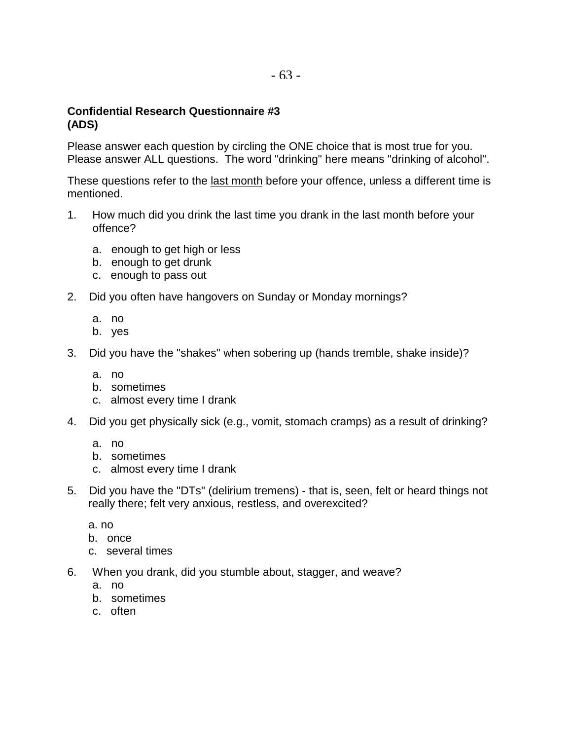#### **Confidential Research Questionnaire #3 (ADS)**

Please answer each question by circling the ONE choice that is most true for you. Please answer ALL questions. The word "drinking" here means "drinking of alcohol".

These questions refer to the last month before your offence, unless a different time is mentioned.

- 1. How much did you drink the last time you drank in the last month before your offence?
	- a. enough to get high or less
	- b. enough to get drunk
	- c. enough to pass out
- 2. Did you often have hangovers on Sunday or Monday mornings?
	- a. no
	- b. yes
- 3. Did you have the "shakes" when sobering up (hands tremble, shake inside)?
	- a. no
	- b. sometimes
	- c. almost every time I drank
- 4. Did you get physically sick (e.g., vomit, stomach cramps) as a result of drinking?
	- a. no
	- b. sometimes
	- c. almost every time I drank
- 5. Did you have the "DTs" (delirium tremens) that is, seen, felt or heard things not really there; felt very anxious, restless, and overexcited?
	- a. no
	- b. once
	- c. several times
- 6. When you drank, did you stumble about, stagger, and weave?
	- a. no
	- b. sometimes
	- c. often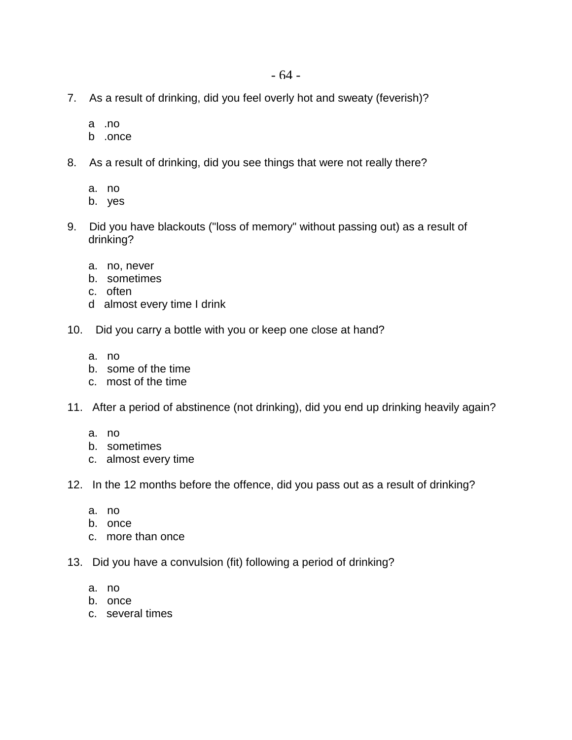- 7. As a result of drinking, did you feel overly hot and sweaty (feverish)?
	- a .no
	- b .once
- 8. As a result of drinking, did you see things that were not really there?
	- a. no
	- b. yes
- 9. Did you have blackouts ("loss of memory" without passing out) as a result of drinking?
	- a. no, never
	- b. sometimes
	- c. often
	- d almost every time I drink
- 10. Did you carry a bottle with you or keep one close at hand?
	- a. no
	- b. some of the time
	- c. most of the time
- 11. After a period of abstinence (not drinking), did you end up drinking heavily again?
	- a. no
	- b. sometimes
	- c. almost every time
- 12. In the 12 months before the offence, did you pass out as a result of drinking?
	- a. no
	- b. once
	- c. more than once
- 13. Did you have a convulsion (fit) following a period of drinking?
	- a. no
	- b. once
	- c. several times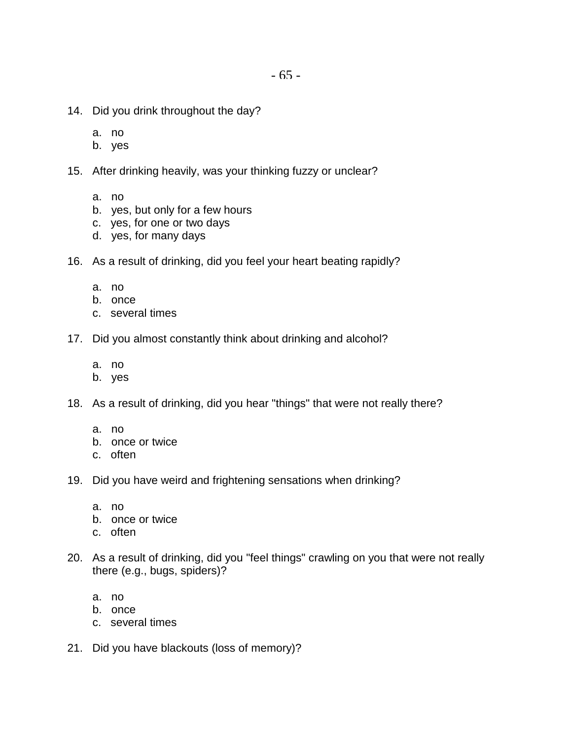- 14. Did you drink throughout the day?
	- a. no
	- b. yes
- 15. After drinking heavily, was your thinking fuzzy or unclear?
	- a. no
	- b. yes, but only for a few hours
	- c. yes, for one or two days
	- d. yes, for many days
- 16. As a result of drinking, did you feel your heart beating rapidly?
	- a. no
	- b. once
	- c. several times
- 17. Did you almost constantly think about drinking and alcohol?
	- a. no
	- b. yes
- 18. As a result of drinking, did you hear "things" that were not really there?
	- a. no
	- b. once or twice
	- c. often
- 19. Did you have weird and frightening sensations when drinking?
	- a. no
	- b. once or twice
	- c. often
- 20. As a result of drinking, did you "feel things" crawling on you that were not really there (e.g., bugs, spiders)?
	- a. no
	- b. once
	- c. several times
- 21. Did you have blackouts (loss of memory)?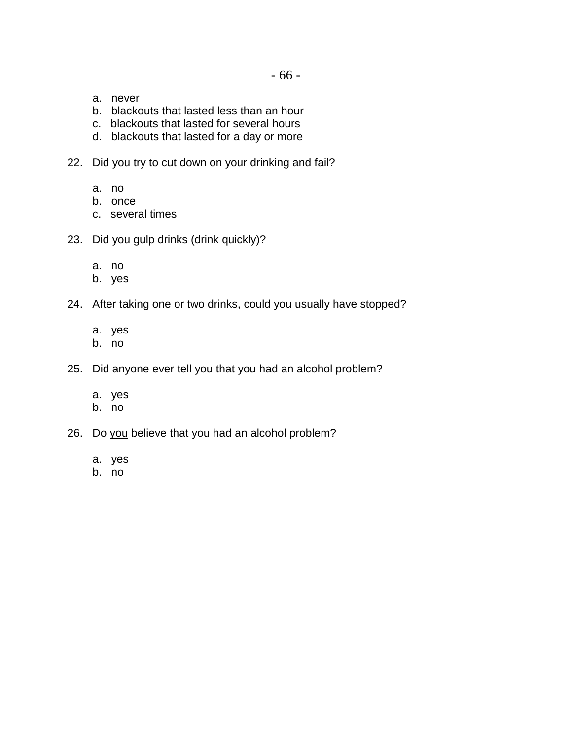- a. never
- b. blackouts that lasted less than an hour
- c. blackouts that lasted for several hours
- d. blackouts that lasted for a day or more
- 22. Did you try to cut down on your drinking and fail?
	- a. no
	- b. once
	- c. several times
- 23. Did you gulp drinks (drink quickly)?
	- a. no
	- b. yes
- 24. After taking one or two drinks, could you usually have stopped?
	- a. yes
	- b. no
- 25. Did anyone ever tell you that you had an alcohol problem?
	- a. yes
	- b. no
- 26. Do you believe that you had an alcohol problem?
	- a. yes
	- b. no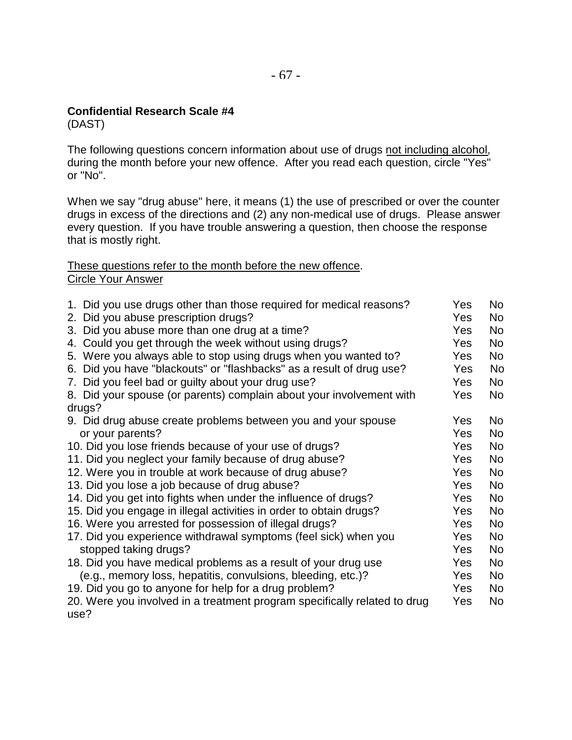#### **Confidential Research Scale #4**

(DAST)

The following questions concern information about use of drugs not including alcohol, during the month before your new offence. After you read each question, circle "Yes" or "No".

When we say "drug abuse" here, it means (1) the use of prescribed or over the counter drugs in excess of the directions and (2) any non-medical use of drugs. Please answer every question. If you have trouble answering a question, then choose the response that is mostly right.

These questions refer to the month before the new offence. Circle Your Answer

| 1. Did you use drugs other than those required for medical reasons?       | Yes        | No             |
|---------------------------------------------------------------------------|------------|----------------|
| 2. Did you abuse prescription drugs?                                      | Yes        | No             |
| 3. Did you abuse more than one drug at a time?                            | Yes        | No             |
| 4. Could you get through the week without using drugs?                    | Yes        | No             |
| 5. Were you always able to stop using drugs when you wanted to?           | <b>Yes</b> | No             |
| 6. Did you have "blackouts" or "flashbacks" as a result of drug use?      | Yes        | No.            |
| 7. Did you feel bad or guilty about your drug use?                        | Yes        | No             |
| 8. Did your spouse (or parents) complain about your involvement with      | Yes        | No             |
| drugs?                                                                    |            |                |
| 9. Did drug abuse create problems between you and your spouse             | Yes        | No             |
| or your parents?                                                          | Yes        | No             |
| 10. Did you lose friends because of your use of drugs?                    | Yes        | No.            |
| 11. Did you neglect your family because of drug abuse?                    | Yes        | <b>No</b>      |
| 12. Were you in trouble at work because of drug abuse?                    | <b>Yes</b> | No.            |
| 13. Did you lose a job because of drug abuse?                             | Yes        | <b>No</b>      |
| 14. Did you get into fights when under the influence of drugs?            | Yes        | No.            |
| 15. Did you engage in illegal activities in order to obtain drugs?        | Yes        | N <sub>o</sub> |
| 16. Were you arrested for possession of illegal drugs?                    | Yes        | <b>No</b>      |
| 17. Did you experience withdrawal symptoms (feel sick) when you           | Yes        | <b>No</b>      |
| stopped taking drugs?                                                     | Yes        | No             |
| 18. Did you have medical problems as a result of your drug use            | Yes        | No             |
| (e.g., memory loss, hepatitis, convulsions, bleeding, etc.)?              | Yes        | No             |
| 19. Did you go to anyone for help for a drug problem?                     | <b>Yes</b> | No             |
| 20. Were you involved in a treatment program specifically related to drug | Yes        | No             |
| use?                                                                      |            |                |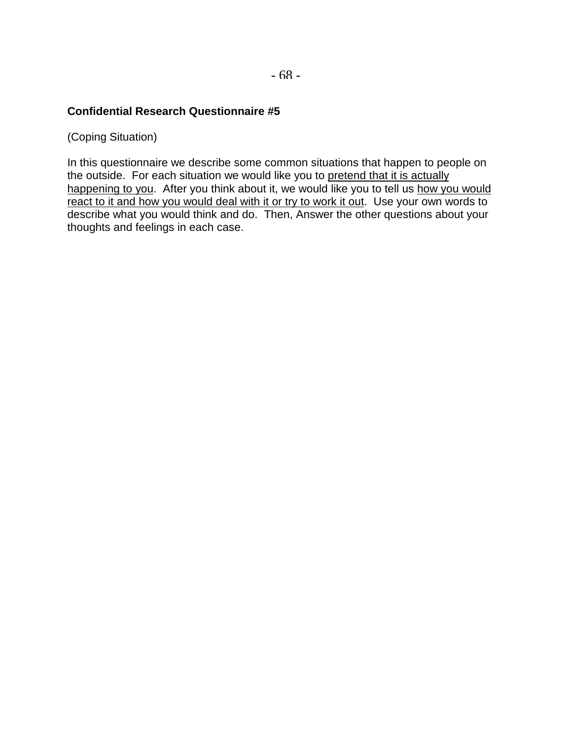#### **Confidential Research Questionnaire #5**

(Coping Situation)

In this questionnaire we describe some common situations that happen to people on the outside. For each situation we would like you to pretend that it is actually happening to you. After you think about it, we would like you to tell us how you would react to it and how you would deal with it or try to work it out. Use your own words to describe what you would think and do. Then, Answer the other questions about your thoughts and feelings in each case.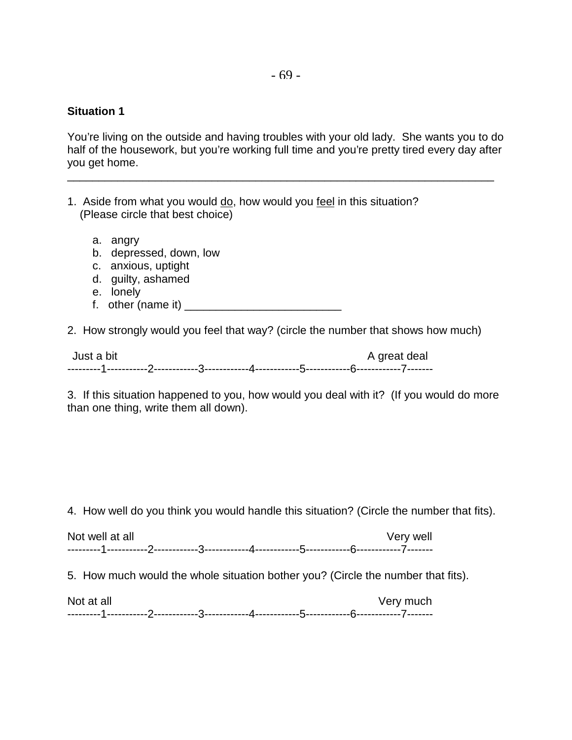#### **Situation 1**

You're living on the outside and having troubles with your old lady. She wants you to do half of the housework, but you're working full time and you're pretty tired every day after you get home.

\_\_\_\_\_\_\_\_\_\_\_\_\_\_\_\_\_\_\_\_\_\_\_\_\_\_\_\_\_\_\_\_\_\_\_\_\_\_\_\_\_\_\_\_\_\_\_\_\_\_\_\_\_\_\_\_\_\_\_\_\_\_\_\_\_\_\_\_

- 1. Aside from what you would do, how would you feel in this situation? (Please circle that best choice)
	- a. angry
	- b. depressed, down, low
	- c. anxious, uptight
	- d. guilty, ashamed
	- e. lonely
	- f. other (name it)  $\frac{1}{2}$  other (name it)

2. How strongly would you feel that way? (circle the number that shows how much)

| Just a bit |  |  | A great deal |
|------------|--|--|--------------|
|            |  |  |              |

3. If this situation happened to you, how would you deal with it? (If you would do more than one thing, write them all down).

4. How well do you think you would handle this situation? (Circle the number that fits).

| Not well at all | Very well |
|-----------------|-----------|
|                 |           |

5. How much would the whole situation bother you? (Circle the number that fits).

| Not at all |  |  | Very much |
|------------|--|--|-----------|
|            |  |  |           |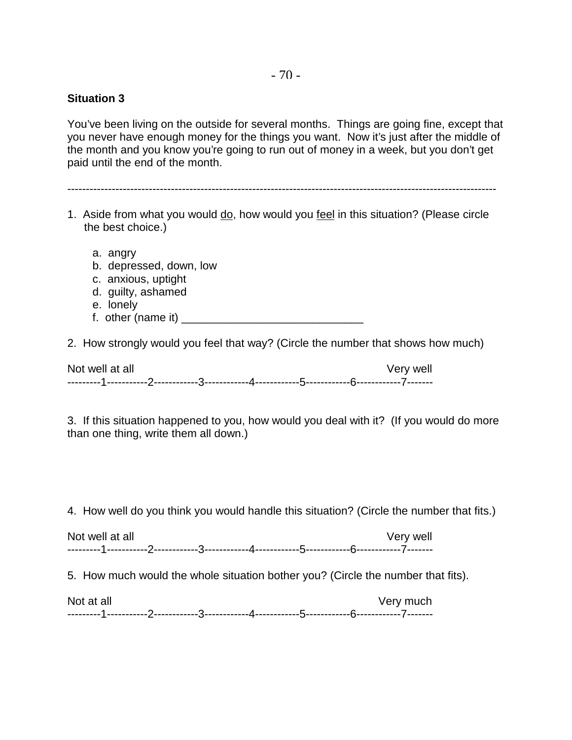#### **Situation 3**

You've been living on the outside for several months. Things are going fine, except that you never have enough money for the things you want. Now it's just after the middle of the month and you know you're going to run out of money in a week, but you don't get paid until the end of the month.

--------------------------------------------------------------------------------------------------------------------

- 1. Aside from what you would do, how would you feel in this situation? (Please circle the best choice.)
	- a. angry
	- b. depressed, down, low
	- c. anxious, uptight
	- d. guilty, ashamed
	- e. lonely
	- f. other (name it)  $\frac{1}{2}$  other (name it)  $\frac{1}{2}$  or  $\frac{1}{2}$  or  $\frac{1}{2}$  or  $\frac{1}{2}$  or  $\frac{1}{2}$  or  $\frac{1}{2}$  or  $\frac{1}{2}$  or  $\frac{1}{2}$  or  $\frac{1}{2}$  or  $\frac{1}{2}$  or  $\frac{1}{2}$  or  $\frac{1}{2}$  or  $\frac{1}{2}$  or  $\frac{1}{2$

2. How strongly would you feel that way? (Circle the number that shows how much)

Not well at all and the second second very well and very well ---------1-----------2------------3------------4------------5------------6------------7-------

3. If this situation happened to you, how would you deal with it? (If you would do more than one thing, write them all down.)

4. How well do you think you would handle this situation? (Circle the number that fits.)

Not well at all and the second second very well and very well ---------1-----------2------------3------------4------------5------------6------------7-------

5. How much would the whole situation bother you? (Circle the number that fits).

| Not at all | Very much |
|------------|-----------|
| ---------- |           |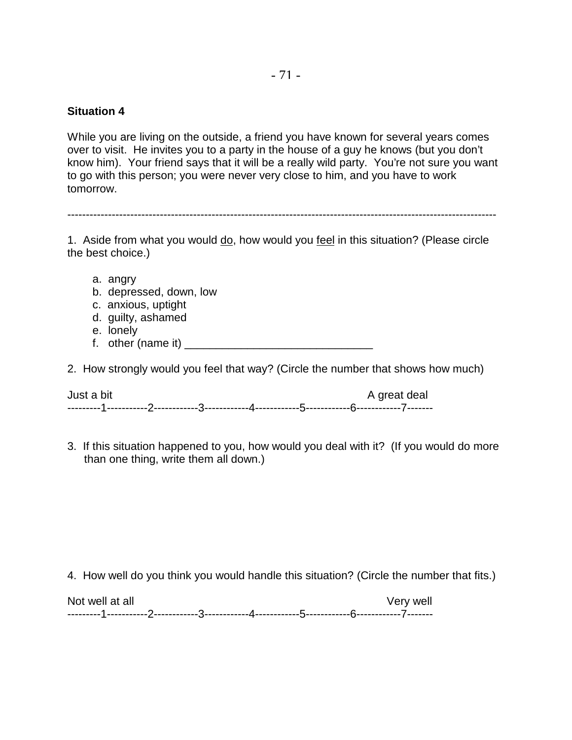#### **Situation 4**

While you are living on the outside, a friend you have known for several years comes over to visit. He invites you to a party in the house of a guy he knows (but you don't know him). Your friend says that it will be a really wild party. You're not sure you want to go with this person; you were never very close to him, and you have to work tomorrow.

--------------------------------------------------------------------------------------------------------------------

1. Aside from what you would do, how would you feel in this situation? (Please circle the best choice.)

- a. angry
- b. depressed, down, low
- c. anxious, uptight
- d. guilty, ashamed
- e. lonely
- f. other (name it)  $\frac{1}{2}$  other (name it)  $\frac{1}{2}$  or  $\frac{1}{2}$  or  $\frac{1}{2}$  or  $\frac{1}{2}$  or  $\frac{1}{2}$  or  $\frac{1}{2}$  or  $\frac{1}{2}$  or  $\frac{1}{2}$  or  $\frac{1}{2}$  or  $\frac{1}{2}$  or  $\frac{1}{2}$  or  $\frac{1}{2}$  or  $\frac{1}{2}$  or  $\frac{1}{2$
- 2. How strongly would you feel that way? (Circle the number that shows how much)

Just a bit A great deal ---------1-----------2------------3------------4------------5------------6------------7-------

3. If this situation happened to you, how would you deal with it? (If you would do more than one thing, write them all down.)

4. How well do you think you would handle this situation? (Circle the number that fits.)

Not well at all and the second second very well and very well ---------1-----------2------------3------------4------------5------------6------------7-------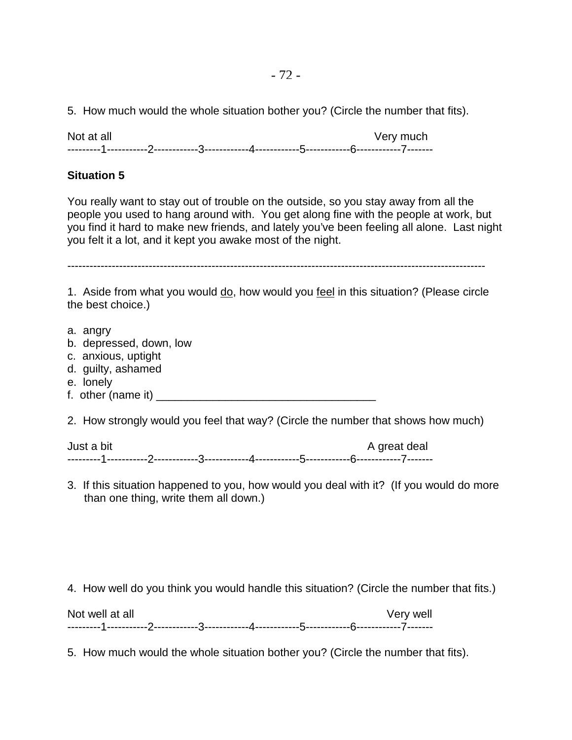5. How much would the whole situation bother you? (Circle the number that fits).

Not at all Very much ---------1-----------2------------3------------4------------5------------6------------7-------

### **Situation 5**

You really want to stay out of trouble on the outside, so you stay away from all the people you used to hang around with. You get along fine with the people at work, but you find it hard to make new friends, and lately you've been feeling all alone. Last night you felt it a lot, and it kept you awake most of the night.

-----------------------------------------------------------------------------------------------------------------

1. Aside from what you would do, how would you feel in this situation? (Please circle the best choice.)

- a. angry
- b. depressed, down, low
- c. anxious, uptight
- d. guilty, ashamed
- e. lonely
- f. other (name it)  $\qquad \qquad$

2. How strongly would you feel that way? (Circle the number that shows how much)

Just a bit A great deal and the A great deal and the A great deal and the A great deal ---------1-----------2------------3------------4------------5------------6------------7-------

3. If this situation happened to you, how would you deal with it? (If you would do more than one thing, write them all down.)

4. How well do you think you would handle this situation? (Circle the number that fits.)

Not well at all and the second second very well and very well ---------1-----------2------------3------------4------------5------------6------------7-------

5. How much would the whole situation bother you? (Circle the number that fits).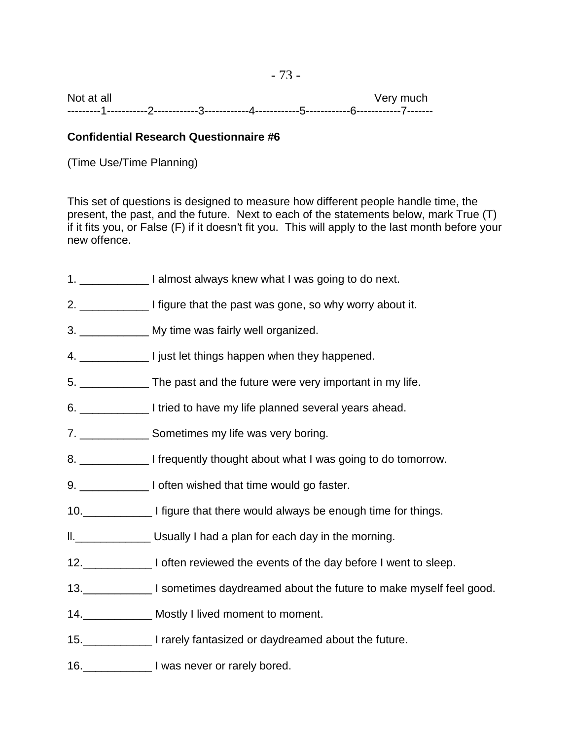Not at all Very much ---------1-----------2------------3------------4------------5------------6------------7-------

# **Confidential Research Questionnaire #6**

(Time Use/Time Planning)

This set of questions is designed to measure how different people handle time, the present, the past, and the future. Next to each of the statements below, mark True (T) if it fits you, or False (F) if it doesn't fit you. This will apply to the last month before your new offence.

- 1. \_\_\_\_\_\_\_\_\_\_\_ I almost always knew what I was going to do next.
- 2. **I** figure that the past was gone, so why worry about it.
- 3. **If Note that My time was fairly well organized.**
- 4. **I** just let things happen when they happened.
- 5. \_\_\_\_\_\_\_\_\_\_\_ The past and the future were very important in my life.
- 6. \_\_\_\_\_\_\_\_\_\_\_ I tried to have my life planned several years ahead.
- 7. Sometimes my life was very boring.
- 8. \_\_\_\_\_\_\_\_\_\_\_\_\_\_ I frequently thought about what I was going to do tomorrow.
- 9. \_\_\_\_\_\_\_\_\_\_\_\_\_\_\_ I often wished that time would go faster.
- 10.\_\_\_\_\_\_\_\_\_\_\_ I figure that there would always be enough time for things.
- ll.\_\_\_\_\_\_\_\_\_\_\_\_ Usually I had a plan for each day in the morning.
- 12.\_\_\_\_\_\_\_\_\_\_\_ I often reviewed the events of the day before I went to sleep.
- 13. Sometimes daydreamed about the future to make myself feel good.
- 14.\_\_\_\_\_\_\_\_\_\_\_ Mostly I lived moment to moment.
- 15.\_\_\_\_\_\_\_\_\_\_\_ I rarely fantasized or daydreamed about the future.
- 16.\_\_\_\_\_\_\_\_\_\_\_\_\_\_\_\_ I was never or rarely bored.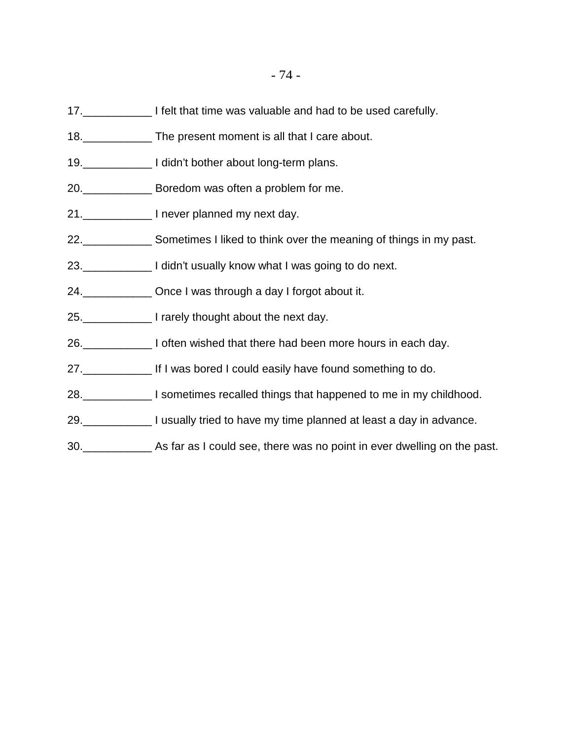- 17.\_\_\_\_\_\_\_\_\_\_\_ I felt that time was valuable and had to be used carefully.
- 18.\_\_\_\_\_\_\_\_\_\_\_ The present moment is all that I care about.
- 19.\_\_\_\_\_\_\_\_\_\_\_ I didn't bother about long-term plans.
- 20.\_\_\_\_\_\_\_\_\_\_\_ Boredom was often a problem for me.
- 21.\_\_\_\_\_\_\_\_\_\_\_ I never planned my next day.
- 22.\_\_\_\_\_\_\_\_\_\_\_ Sometimes I liked to think over the meaning of things in my past.
- 23.\_\_\_\_\_\_\_\_\_\_\_ I didn't usually know what I was going to do next.
- 24.\_\_\_\_\_\_\_\_\_\_\_ Once I was through a day I forgot about it.
- 25.\_\_\_\_\_\_\_\_\_\_\_ I rarely thought about the next day.
- 26.\_\_\_\_\_\_\_\_\_\_\_ I often wished that there had been more hours in each day.
- 27.\_\_\_\_\_\_\_\_\_\_\_ If I was bored I could easily have found something to do.
- 28.\_\_\_\_\_\_\_\_\_\_\_ I sometimes recalled things that happened to me in my childhood.
- 29.\_\_\_\_\_\_\_\_\_\_\_ I usually tried to have my time planned at least a day in advance.
- 30.\_\_\_\_\_\_\_\_\_\_\_ As far as I could see, there was no point in ever dwelling on the past.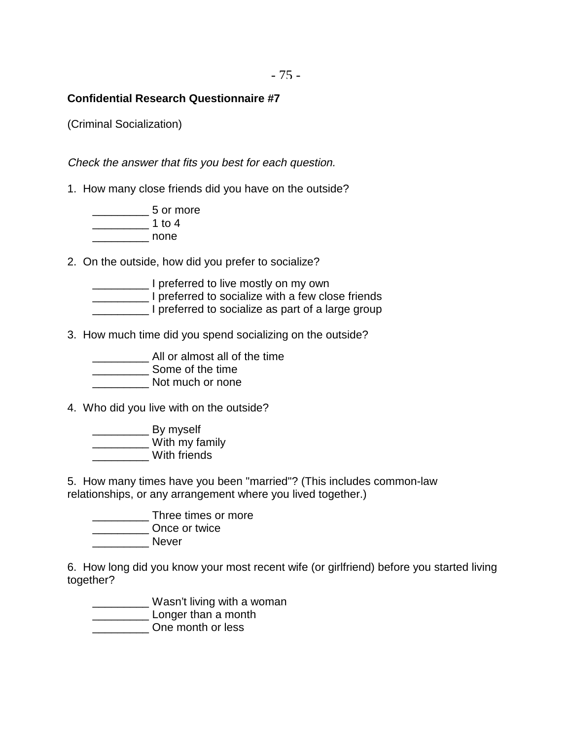- 75 -

# **Confidential Research Questionnaire #7**

(Criminal Socialization)

Check the answer that fits you best for each question.

1. How many close friends did you have on the outside?

\_\_\_\_\_\_\_\_\_ 5 or more  $\frac{1}{1}$  to 4  $\blacksquare$  none

2. On the outside, how did you prefer to socialize?

\_\_\_\_\_\_\_\_\_ I preferred to live mostly on my own \_\_\_\_\_\_\_\_\_ I preferred to socialize with a few close friends I preferred to socialize as part of a large group

3. How much time did you spend socializing on the outside?

\_\_\_\_\_\_\_\_\_ All or almost all of the time **\_\_\_\_\_\_\_\_\_\_\_\_\_\_ Some of the time** 

 $\blacksquare$  Not much or none

4. Who did you live with on the outside?

\_\_\_\_\_\_\_\_\_ By myself \_\_\_\_\_\_\_\_\_ With my family \_\_\_\_\_\_\_\_\_ With friends

5. How many times have you been "married"? (This includes common-law relationships, or any arrangement where you lived together.)

\_\_\_\_\_\_\_\_\_ Three times or more \_\_\_\_\_\_\_\_\_ Once or twice \_\_\_\_\_\_\_\_\_ Never

6. How long did you know your most recent wife (or girlfriend) before you started living together?

\_\_\_\_\_\_\_\_\_ Wasn't living with a woman **\_\_\_\_\_\_\_\_\_\_\_\_\_\_\_ Longer than a month** \_\_\_\_\_\_\_\_\_ One month or less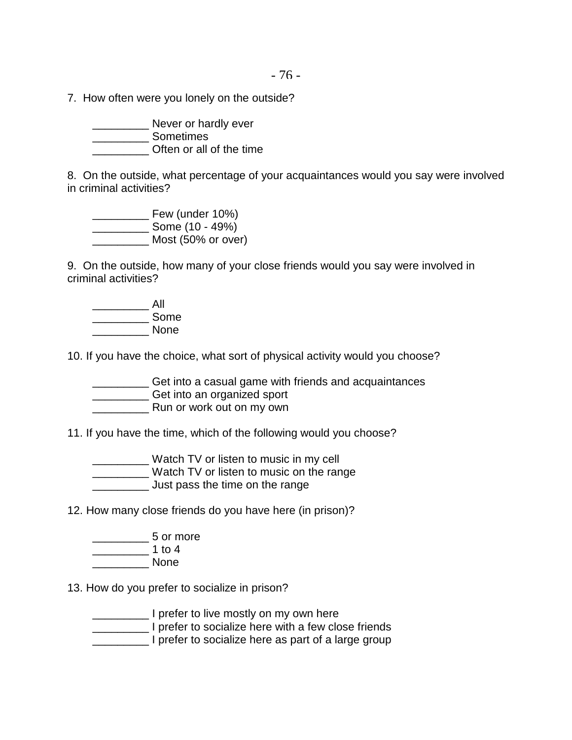- 76 -

7. How often were you lonely on the outside?

\_\_\_\_\_\_\_\_\_ Never or hardly ever \_\_\_\_\_\_\_\_\_ Sometimes \_\_\_\_\_\_\_\_\_ Often or all of the time

8. On the outside, what percentage of your acquaintances would you say were involved in criminal activities?

\_\_\_\_\_\_\_\_\_ Few (under 10%)  $\frac{1}{\sqrt{100}}$  Some (10 - 49%) \_\_\_\_\_\_\_\_\_ Most (50% or over)

9. On the outside, how many of your close friends would you say were involved in criminal activities?

 $\overline{\phantom{a}}$  All \_\_\_\_\_\_\_\_\_ Some \_\_\_\_\_\_\_\_\_ None

10. If you have the choice, what sort of physical activity would you choose?

\_\_\_\_\_\_\_\_\_ Get into a casual game with friends and acquaintances \_\_\_\_\_\_\_\_\_ Get into an organized sport Run or work out on my own

11. If you have the time, which of the following would you choose?

\_\_\_\_\_\_\_\_\_ Watch TV or listen to music in my cell \_\_\_\_\_\_\_\_\_ Watch TV or listen to music on the range

Just pass the time on the range

12. How many close friends do you have here (in prison)?

\_\_\_\_\_\_\_\_\_ 5 or more \_\_\_\_\_\_\_\_\_ 1 to 4 \_\_\_\_\_\_\_\_\_ None

13. How do you prefer to socialize in prison?

\_\_\_\_\_\_\_\_\_ I prefer to live mostly on my own here \_\_\_\_\_\_\_\_\_ I prefer to socialize here with a few close friends \_\_\_\_\_\_\_\_\_ I prefer to socialize here as part of a large group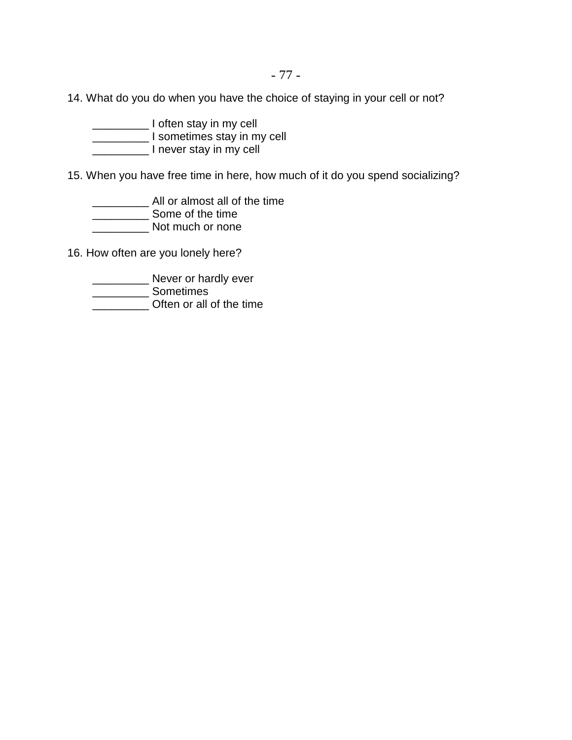- 77 -

14. What do you do when you have the choice of staying in your cell or not?

\_\_\_\_\_\_\_\_\_ I often stay in my cell \_\_\_\_\_\_\_\_\_ I sometimes stay in my cell \_\_\_\_\_\_\_\_\_ I never stay in my cell

15. When you have free time in here, how much of it do you spend socializing?

\_\_\_\_\_\_\_\_\_ All or almost all of the time \_\_\_\_\_\_\_\_\_ Some of the time

\_\_\_\_\_\_\_\_\_ Not much or none

16. How often are you lonely here?

**\_\_\_\_\_\_\_\_\_\_\_\_\_ Never or hardly ever** 

\_\_\_\_\_\_\_\_\_ Sometimes

\_\_\_\_\_\_\_\_\_ Often or all of the time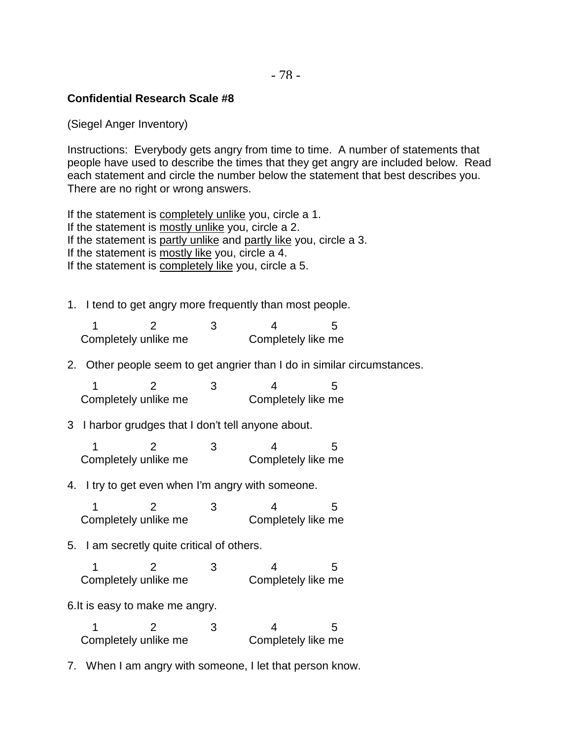# **Confidential Research Scale #8**

(Siegel Anger Inventory)

Instructions: Everybody gets angry from time to time. A number of statements that people have used to describe the times that they get angry are included below. Read each statement and circle the number below the statement that best describes you. There are no right or wrong answers.

If the statement is completely unlike you, circle a 1. If the statement is mostly unlike you, circle a 2. If the statement is partly unlike and partly like you, circle a 3. If the statement is mostly like you, circle a 4. If the statement is completely like you, circle a 5.

1. I tend to get angry more frequently than most people.

| Completely unlike me | Completely like me |  |
|----------------------|--------------------|--|

2. Other people seem to get angrier than I do in similar circumstances.

12 3 4 5 Completely unlike me Completely like me

# 3 I harbor grudges that I don't tell anyone about.

12 3 4 5 Completely unlike me Completely like me

### 4. I try to get even when I'm angry with someone.

12 3 4 5 Completely unlike me Completely like me

### 5. I am secretly quite critical of others.

12 3 4 5 Completely unlike me Completely like me

### 6.It is easy to make me angry.

| Completely unlike me | Completely like me |  |
|----------------------|--------------------|--|

7. When I am angry with someone, I let that person know.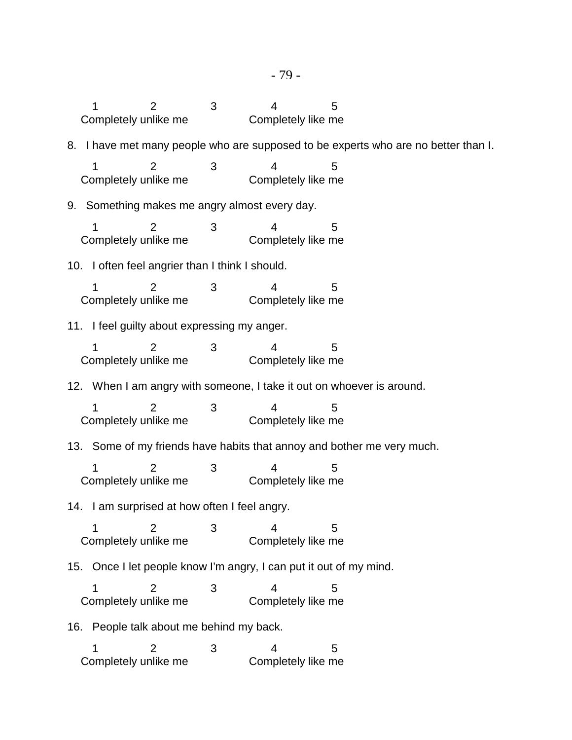12 3 4 5 Completely unlike me Completely like me 8. I have met many people who are supposed to be experts who are no better than I. 12 3 4 5 Completely unlike me Completely like me 9. Something makes me angry almost every day. 12 3 4 5 Completely unlike me Completely like me 10. I often feel angrier than I think I should. 12 3 4 5 Completely unlike me Completely like me 11. I feel guilty about expressing my anger. 12 3 4 5 Completely unlike me Completely like me 12. When I am angry with someone, I take it out on whoever is around. 12 3 4 5 Completely unlike me Completely like me 13. Some of my friends have habits that annoy and bother me very much. 12 3 4 5 Completely unlike me Completely like me 14. I am surprised at how often I feel angry. 12 3 4 5 Completely unlike me Completely like me 15. Once I let people know I'm angry, I can put it out of my mind. 12 3 4 5 Completely unlike me Completely like me 16. People talk about me behind my back. 12 3 4 5 Completely unlike me Completely like me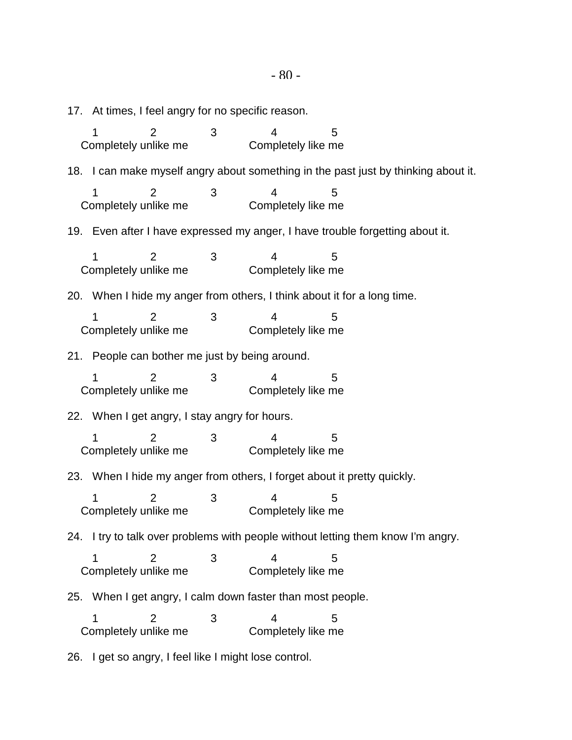17. At times, I feel angry for no specific reason. 12 3 4 5 Completely unlike me Completely like me 18. I can make myself angry about something in the past just by thinking about it. 12 3 4 5 Completely unlike me Completely like me 19. Even after I have expressed my anger, I have trouble forgetting about it. 12 3 4 5 Completely unlike me Completely like me 20. When I hide my anger from others, I think about it for a long time. 12 3 4 5 Completely unlike me Completely like me 21. People can bother me just by being around. 12 3 4 5 Completely unlike me Completely like me 22. When I get angry, I stay angry for hours. 12 3 4 5 Completely unlike me Completely like me 23. When I hide my anger from others, I forget about it pretty quickly. 12 3 4 5 Completely unlike me Completely like me 24. I try to talk over problems with people without letting them know I'm angry. 12 3 4 5 Completely unlike me Completely like me 25. When I get angry, I calm down faster than most people. 12 3 4 5 Completely unlike me Completely like me

26. I get so angry, I feel like I might lose control.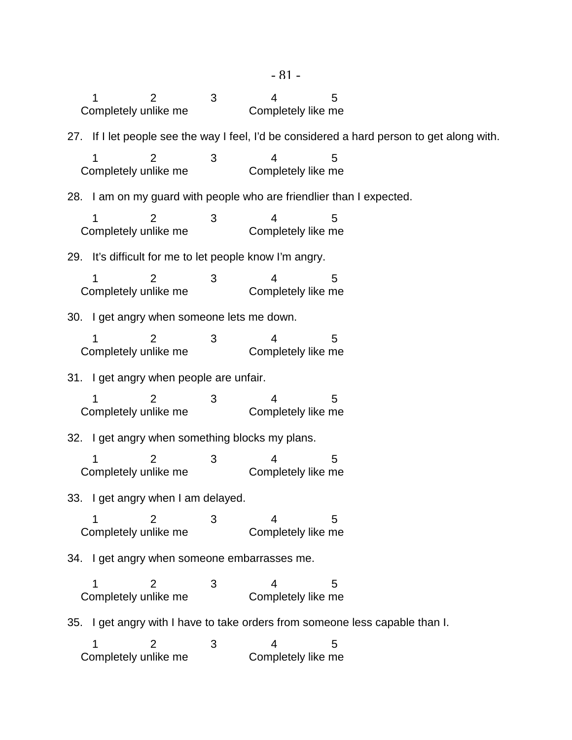| $-81-$                                                                       |                                                                      |                                            |   |                                                         |                                                                                            |
|------------------------------------------------------------------------------|----------------------------------------------------------------------|--------------------------------------------|---|---------------------------------------------------------|--------------------------------------------------------------------------------------------|
|                                                                              | Completely unlike me                                                 | 2                                          | 3 | 4<br>Completely like me                                 | 5                                                                                          |
|                                                                              |                                                                      |                                            |   |                                                         | 27. If I let people see the way I feel, I'd be considered a hard person to get along with. |
|                                                                              | 1<br>Completely unlike me                                            | 2                                          | 3 | 4<br>Completely like me                                 | 5                                                                                          |
|                                                                              | 28. I am on my guard with people who are friendlier than I expected. |                                            |   |                                                         |                                                                                            |
|                                                                              | Completely unlike me                                                 | $\overline{2}$                             | 3 | 4<br>Completely like me                                 | 5                                                                                          |
|                                                                              |                                                                      |                                            |   | 29. It's difficult for me to let people know I'm angry. |                                                                                            |
|                                                                              | Completely unlike me                                                 | $\overline{2}$                             | 3 | 4<br>Completely like me                                 | 5                                                                                          |
|                                                                              |                                                                      | 30. I get angry when someone lets me down. |   |                                                         |                                                                                            |
|                                                                              | Completely unlike me                                                 | 2                                          | 3 | 4<br>Completely like me                                 | 5                                                                                          |
|                                                                              |                                                                      | 31. I get angry when people are unfair.    |   |                                                         |                                                                                            |
|                                                                              | Completely unlike me                                                 | 2                                          | 3 | Completely like me                                      | 5                                                                                          |
|                                                                              |                                                                      |                                            |   | 32. I get angry when something blocks my plans.         |                                                                                            |
|                                                                              | Completely unlike me                                                 | $\overline{2}$                             | 3 | Completely like me                                      | 5                                                                                          |
|                                                                              | 33. I get angry when I am delayed.                                   |                                            |   |                                                         |                                                                                            |
|                                                                              | Completely unlike me                                                 | 2                                          | 3 | 4<br>Completely like me                                 | 5                                                                                          |
|                                                                              |                                                                      |                                            |   | 34. I get angry when someone embarrasses me.            |                                                                                            |
|                                                                              | Completely unlike me                                                 | 2                                          | 3 | 4<br>Completely like me                                 | 5                                                                                          |
| 35. I get angry with I have to take orders from someone less capable than I. |                                                                      |                                            |   |                                                         |                                                                                            |
|                                                                              | Completely unlike me                                                 | $\overline{2}$                             | 3 | 4<br>Completely like me                                 | 5                                                                                          |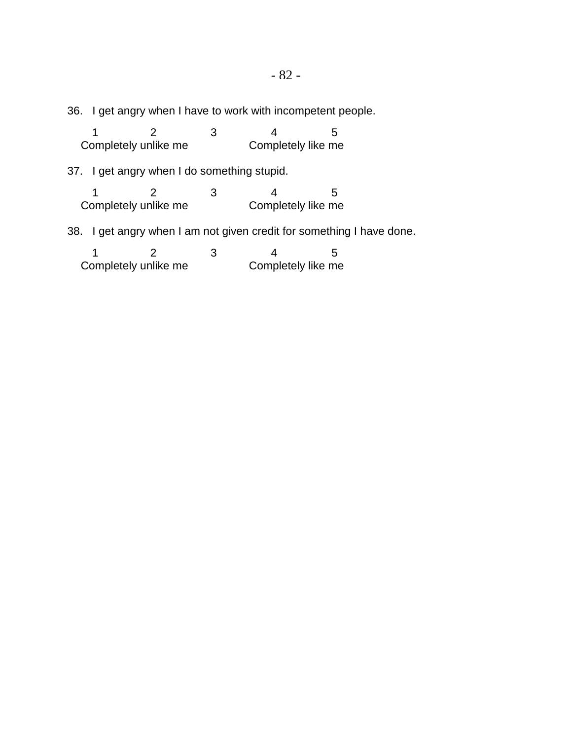36. I get angry when I have to work with incompetent people.

|                                                                       |                      |  |   |  |                    | b  |
|-----------------------------------------------------------------------|----------------------|--|---|--|--------------------|----|
|                                                                       | Completely unlike me |  |   |  | Completely like me |    |
| 37. I get angry when I do something stupid.                           |                      |  |   |  |                    |    |
|                                                                       |                      |  | З |  |                    | ٠h |
|                                                                       | Completely unlike me |  |   |  | Completely like me |    |
| 38. I get angry when I am not given credit for something I have done. |                      |  |   |  |                    |    |
|                                                                       |                      |  | З |  |                    | ٠h |
| Completely unlike me<br>Completely like me                            |                      |  |   |  |                    |    |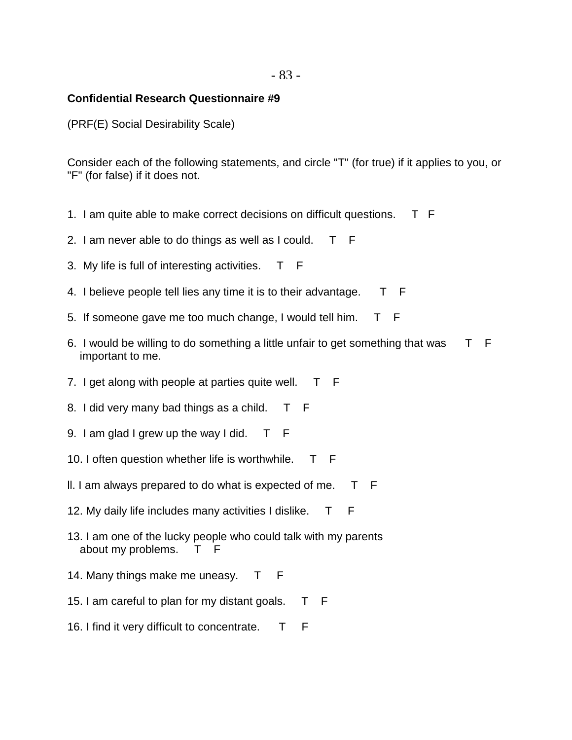### **Confidential Research Questionnaire #9**

(PRF(E) Social Desirability Scale)

Consider each of the following statements, and circle "T" (for true) if it applies to you, or "F" (for false) if it does not.

- 1. I am quite able to make correct decisions on difficult questions. T F
- 2. I am never able to do things as well as I could. T F
- 3. My life is full of interesting activities. T F
- 4. I believe people tell lies any time it is to their advantage. T F
- 5. If someone gave me too much change, I would tell him. T F
- 6. I would be willing to do something a little unfair to get something that was T F important to me.
- 7. I get along with people at parties quite well. T F
- 8. I did very many bad things as a child. T F
- 9. I am glad I grew up the way I did. T F
- 10. I often question whether life is worthwhile. T F
- II. I am always prepared to do what is expected of me.  $T$  F
- 12. My daily life includes many activities I dislike. T F
- 13. I am one of the lucky people who could talk with my parents about my problems. T F
- 14. Many things make me uneasy. T F
- 15. I am careful to plan for my distant goals. T F
- 16. I find it very difficult to concentrate. T F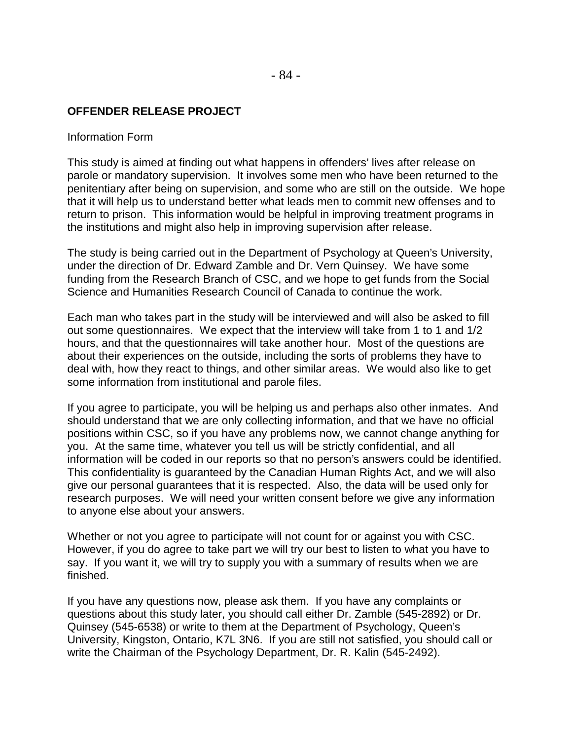### **OFFENDER RELEASE PROJECT**

#### Information Form

This study is aimed at finding out what happens in offenders' lives after release on parole or mandatory supervision. It involves some men who have been returned to the penitentiary after being on supervision, and some who are still on the outside. We hope that it will help us to understand better what leads men to commit new offenses and to return to prison. This information would be helpful in improving treatment programs in the institutions and might also help in improving supervision after release.

The study is being carried out in the Department of Psychology at Queen's University, under the direction of Dr. Edward Zamble and Dr. Vern Quinsey. We have some funding from the Research Branch of CSC, and we hope to get funds from the Social Science and Humanities Research Council of Canada to continue the work.

Each man who takes part in the study will be interviewed and will also be asked to fill out some questionnaires. We expect that the interview will take from 1 to 1 and 1/2 hours, and that the questionnaires will take another hour. Most of the questions are about their experiences on the outside, including the sorts of problems they have to deal with, how they react to things, and other similar areas. We would also like to get some information from institutional and parole files.

If you agree to participate, you will be helping us and perhaps also other inmates. And should understand that we are only collecting information, and that we have no official positions within CSC, so if you have any problems now, we cannot change anything for you. At the same time, whatever you tell us will be strictly confidential, and all information will be coded in our reports so that no person's answers could be identified. This confidentiality is guaranteed by the Canadian Human Rights Act, and we will also give our personal guarantees that it is respected. Also, the data will be used only for research purposes. We will need your written consent before we give any information to anyone else about your answers.

Whether or not you agree to participate will not count for or against you with CSC. However, if you do agree to take part we will try our best to listen to what you have to say. If you want it, we will try to supply you with a summary of results when we are finished.

If you have any questions now, please ask them. If you have any complaints or questions about this study later, you should call either Dr. Zamble (545-2892) or Dr. Quinsey (545-6538) or write to them at the Department of Psychology, Queen's University, Kingston, Ontario, K7L 3N6. If you are still not satisfied, you should call or write the Chairman of the Psychology Department, Dr. R. Kalin (545-2492).